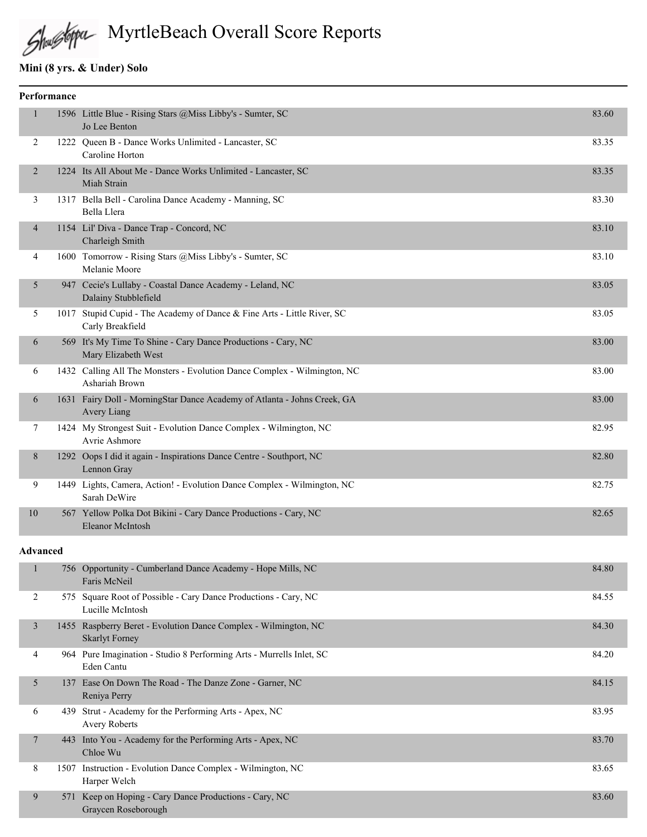# MyrtleBeach Overall Score Reports

# **Mini (8 yrs. & Under) Solo**

|                 | Performance |                                                                                             |       |
|-----------------|-------------|---------------------------------------------------------------------------------------------|-------|
| $\mathbf{1}$    |             | 1596 Little Blue - Rising Stars @Miss Libby's - Sumter, SC<br>Jo Lee Benton                 | 83.60 |
| 2               |             | 1222 Queen B - Dance Works Unlimited - Lancaster, SC<br>Caroline Horton                     | 83.35 |
| $\overline{2}$  |             | 1224 Its All About Me - Dance Works Unlimited - Lancaster, SC<br>Miah Strain                | 83.35 |
| 3               |             | 1317 Bella Bell - Carolina Dance Academy - Manning, SC<br>Bella Llera                       | 83.30 |
| $\overline{4}$  |             | 1154 Lil' Diva - Dance Trap - Concord, NC<br>Charleigh Smith                                | 83.10 |
| 4               |             | 1600 Tomorrow - Rising Stars @Miss Libby's - Sumter, SC<br>Melanie Moore                    | 83.10 |
| 5               |             | 947 Cecie's Lullaby - Coastal Dance Academy - Leland, NC<br>Dalainy Stubblefield            | 83.05 |
| 5               |             | 1017 Stupid Cupid - The Academy of Dance & Fine Arts - Little River, SC<br>Carly Breakfield | 83.05 |
| 6               |             | 569 It's My Time To Shine - Cary Dance Productions - Cary, NC<br>Mary Elizabeth West        | 83.00 |
| 6               |             | 1432 Calling All The Monsters - Evolution Dance Complex - Wilmington, NC<br>Ashariah Brown  | 83.00 |
| 6               |             | 1631 Fairy Doll - MorningStar Dance Academy of Atlanta - Johns Creek, GA<br>Avery Liang     | 83.00 |
| 7               |             | 1424 My Strongest Suit - Evolution Dance Complex - Wilmington, NC<br>Avrie Ashmore          | 82.95 |
| 8               |             | 1292 Oops I did it again - Inspirations Dance Centre - Southport, NC<br>Lennon Gray         | 82.80 |
| 9               |             | 1449 Lights, Camera, Action! - Evolution Dance Complex - Wilmington, NC<br>Sarah DeWire     | 82.75 |
| 10              |             | 567 Yellow Polka Dot Bikini - Cary Dance Productions - Cary, NC<br><b>Eleanor McIntosh</b>  | 82.65 |
| <b>Advanced</b> |             |                                                                                             |       |
| 1               |             | 756 Opportunity - Cumberland Dance Academy - Hope Mills, NC                                 | 84.80 |

|                |      | Faris McNeil                                                                             |       |
|----------------|------|------------------------------------------------------------------------------------------|-------|
| 2              |      | 575 Square Root of Possible - Cary Dance Productions - Cary, NC<br>Lucille McIntosh      | 84.55 |
| $\mathfrak{Z}$ |      | 1455 Raspberry Beret - Evolution Dance Complex - Wilmington, NC<br><b>Skarlyt Forney</b> | 84.30 |
| 4              |      | 964 Pure Imagination - Studio 8 Performing Arts - Murrells Inlet, SC<br>Eden Cantu       | 84.20 |
| 5              | 137  | Ease On Down The Road - The Danze Zone - Garner, NC<br>Reniya Perry                      | 84.15 |
| 6              | 439  | Strut - Academy for the Performing Arts - Apex, NC<br><b>Avery Roberts</b>               | 83.95 |
| $\tau$         | 443  | Into You - Academy for the Performing Arts - Apex, NC<br>Chloe Wu                        | 83.70 |
| 8              | 1507 | Instruction - Evolution Dance Complex - Wilmington, NC<br>Harper Welch                   | 83.65 |
| 9              | 571  | Keep on Hoping - Cary Dance Productions - Cary, NC<br>Graycen Roseborough                | 83.60 |
|                |      |                                                                                          |       |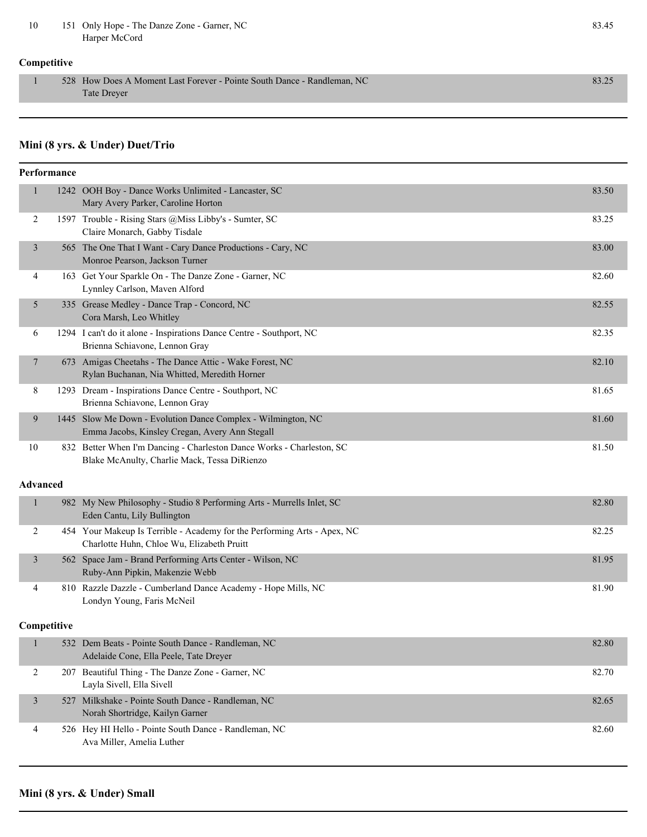#### 10 151 Only Hope - The Danze Zone - Garner, NC 83.45 Harper McCord

#### **Competitive**

1 528 How Does A Moment Last Forever - Pointe South Dance - Randleman, NC 83.25 Tate Dreyer

## **Mini (8 yrs. & Under) Duet/Trio**

|                 | Performance |                                                                                                                        |       |  |  |
|-----------------|-------------|------------------------------------------------------------------------------------------------------------------------|-------|--|--|
| $\mathbf{1}$    |             | 1242 OOH Boy - Dance Works Unlimited - Lancaster, SC<br>Mary Avery Parker, Caroline Horton                             | 83.50 |  |  |
| 2               |             | 1597 Trouble - Rising Stars @Miss Libby's - Sumter, SC<br>Claire Monarch, Gabby Tisdale                                | 83.25 |  |  |
| 3               |             | 565 The One That I Want - Cary Dance Productions - Cary, NC<br>Monroe Pearson, Jackson Turner                          | 83.00 |  |  |
| 4               |             | 163 Get Your Sparkle On - The Danze Zone - Garner, NC<br>Lynnley Carlson, Maven Alford                                 | 82.60 |  |  |
| 5               |             | 335 Grease Medley - Dance Trap - Concord, NC<br>Cora Marsh, Leo Whitley                                                | 82.55 |  |  |
| 6               |             | 1294 I can't do it alone - Inspirations Dance Centre - Southport, NC<br>Brienna Schiavone, Lennon Gray                 | 82.35 |  |  |
| 7               |             | 673 Amigas Cheetahs - The Dance Attic - Wake Forest, NC<br>Rylan Buchanan, Nia Whitted, Meredith Horner                | 82.10 |  |  |
| 8               |             | 1293 Dream - Inspirations Dance Centre - Southport, NC<br>Brienna Schiavone, Lennon Gray                               | 81.65 |  |  |
| 9               |             | 1445 Slow Me Down - Evolution Dance Complex - Wilmington, NC<br>Emma Jacobs, Kinsley Cregan, Avery Ann Stegall         | 81.60 |  |  |
| 10              |             | 832 Better When I'm Dancing - Charleston Dance Works - Charleston, SC<br>Blake McAnulty, Charlie Mack, Tessa DiRienzo  | 81.50 |  |  |
| <b>Advanced</b> |             |                                                                                                                        |       |  |  |
| $\mathbf{1}$    |             | 982 My New Philosophy - Studio 8 Performing Arts - Murrells Inlet, SC<br>Eden Cantu, Lily Bullington                   | 82.80 |  |  |
| 2               |             | 454 Your Makeup Is Terrible - Academy for the Performing Arts - Apex, NC<br>Charlotte Huhn, Chloe Wu, Elizabeth Pruitt | 82.25 |  |  |
| 3               |             | 562 Space Jam - Brand Performing Arts Center - Wilson, NC<br>Ruby-Ann Pipkin, Makenzie Webb                            | 81.95 |  |  |
| 4               |             | 810 Razzle Dazzle - Cumberland Dance Academy - Hope Mills, NC<br>Londyn Young, Faris McNeil                            | 81.90 |  |  |
|                 | Competitive |                                                                                                                        |       |  |  |
| $\mathbf{1}$    |             | 532 Dem Beats - Pointe South Dance - Randleman, NC<br>Adelaide Cone, Ella Peele, Tate Dreyer                           | 82.80 |  |  |
| $\overline{2}$  |             | 207 Beautiful Thing - The Danze Zone - Garner, NC<br>Layla Sivell, Ella Sivell                                         | 82.70 |  |  |
| 3               |             | 527 Milkshake - Pointe South Dance - Randleman, NC<br>Norah Shortridge, Kailyn Garner                                  | 82.65 |  |  |
| $\overline{4}$  |             | 526 Hey HI Hello - Pointe South Dance - Randleman, NC<br>Ava Miller, Amelia Luther                                     | 82.60 |  |  |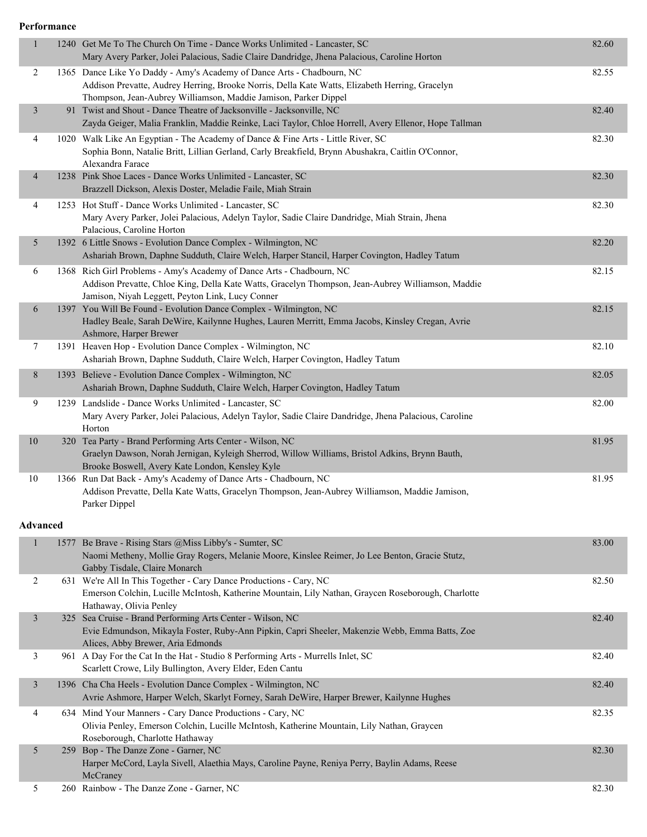**Performance**

| $\mathbf{1}$    | 1240 Get Me To The Church On Time - Dance Works Unlimited - Lancaster, SC                                                                                                  | 82.60 |
|-----------------|----------------------------------------------------------------------------------------------------------------------------------------------------------------------------|-------|
|                 | Mary Avery Parker, Jolei Palacious, Sadie Claire Dandridge, Jhena Palacious, Caroline Horton                                                                               |       |
| 2               | 1365 Dance Like Yo Daddy - Amy's Academy of Dance Arts - Chadbourn, NC                                                                                                     | 82.55 |
|                 | Addison Prevatte, Audrey Herring, Brooke Norris, Della Kate Watts, Elizabeth Herring, Gracelyn<br>Thompson, Jean-Aubrey Williamson, Maddie Jamison, Parker Dippel          |       |
| $\mathfrak{Z}$  | 91 Twist and Shout - Dance Theatre of Jacksonville - Jacksonville, NC                                                                                                      | 82.40 |
|                 | Zayda Geiger, Malia Franklin, Maddie Reinke, Laci Taylor, Chloe Horrell, Avery Ellenor, Hope Tallman                                                                       |       |
| 4               | 1020 Walk Like An Egyptian - The Academy of Dance & Fine Arts - Little River, SC                                                                                           | 82.30 |
|                 | Sophia Bonn, Natalie Britt, Lillian Gerland, Carly Breakfield, Brynn Abushakra, Caitlin O'Connor,<br>Alexandra Farace                                                      |       |
| $\overline{4}$  | 1238 Pink Shoe Laces - Dance Works Unlimited - Lancaster, SC                                                                                                               | 82.30 |
|                 | Brazzell Dickson, Alexis Doster, Meladie Faile, Miah Strain                                                                                                                |       |
| 4               | 1253 Hot Stuff - Dance Works Unlimited - Lancaster, SC                                                                                                                     | 82.30 |
|                 | Mary Avery Parker, Jolei Palacious, Adelyn Taylor, Sadie Claire Dandridge, Miah Strain, Jhena                                                                              |       |
|                 | Palacious, Caroline Horton                                                                                                                                                 |       |
| 5               | 1392 6 Little Snows - Evolution Dance Complex - Wilmington, NC                                                                                                             | 82.20 |
|                 | Ashariah Brown, Daphne Sudduth, Claire Welch, Harper Stancil, Harper Covington, Hadley Tatum                                                                               |       |
| 6               | 1368 Rich Girl Problems - Amy's Academy of Dance Arts - Chadbourn, NC<br>Addison Prevatte, Chloe King, Della Kate Watts, Gracelyn Thompson, Jean-Aubrey Williamson, Maddie | 82.15 |
|                 | Jamison, Niyah Leggett, Peyton Link, Lucy Conner                                                                                                                           |       |
| 6               | 1397 You Will Be Found - Evolution Dance Complex - Wilmington, NC                                                                                                          | 82.15 |
|                 | Hadley Beale, Sarah DeWire, Kailynne Hughes, Lauren Merritt, Emma Jacobs, Kinsley Cregan, Avrie                                                                            |       |
|                 | Ashmore, Harper Brewer                                                                                                                                                     |       |
| 7               | 1391 Heaven Hop - Evolution Dance Complex - Wilmington, NC<br>Ashariah Brown, Daphne Sudduth, Claire Welch, Harper Covington, Hadley Tatum                                 | 82.10 |
| 8               | 1393 Believe - Evolution Dance Complex - Wilmington, NC                                                                                                                    | 82.05 |
|                 | Ashariah Brown, Daphne Sudduth, Claire Welch, Harper Covington, Hadley Tatum                                                                                               |       |
| 9               | 1239 Landslide - Dance Works Unlimited - Lancaster, SC                                                                                                                     | 82.00 |
|                 | Mary Avery Parker, Jolei Palacious, Adelyn Taylor, Sadie Claire Dandridge, Jhena Palacious, Caroline                                                                       |       |
|                 | Horton                                                                                                                                                                     |       |
| 10              | 320 Tea Party - Brand Performing Arts Center - Wilson, NC                                                                                                                  | 81.95 |
|                 | Graelyn Dawson, Norah Jernigan, Kyleigh Sherrod, Willow Williams, Bristol Adkins, Brynn Bauth,                                                                             |       |
| 10              | Brooke Boswell, Avery Kate London, Kensley Kyle<br>1366 Run Dat Back - Amy's Academy of Dance Arts - Chadbourn, NC                                                         | 81.95 |
|                 | Addison Prevatte, Della Kate Watts, Gracelyn Thompson, Jean-Aubrey Williamson, Maddie Jamison,                                                                             |       |
|                 | Parker Dippel                                                                                                                                                              |       |
| <b>Advanced</b> |                                                                                                                                                                            |       |
| 1               | 1577 Be Brave - Rising Stars @Miss Libby's - Sumter, SC                                                                                                                    | 83.00 |
|                 | Naomi Metheny, Mollie Gray Rogers, Melanie Moore, Kinslee Reimer, Jo Lee Benton, Gracie Stutz,                                                                             |       |
|                 | Gabby Tisdale, Claire Monarch                                                                                                                                              |       |
| 2               | 631 We're All In This Together - Cary Dance Productions - Cary, NC                                                                                                         | 82.50 |
|                 | Emerson Colchin, Lucille McIntosh, Katherine Mountain, Lily Nathan, Graycen Roseborough, Charlotte                                                                         |       |
| $\mathfrak{Z}$  | Hathaway, Olivia Penley<br>325 Sea Cruise - Brand Performing Arts Center - Wilson, NC                                                                                      | 82.40 |
|                 | Evie Edmundson, Mikayla Foster, Ruby-Ann Pipkin, Capri Sheeler, Makenzie Webb, Emma Batts, Zoe                                                                             |       |
|                 | Alices, Abby Brewer, Aria Edmonds                                                                                                                                          |       |
| 3               | 961 A Day For the Cat In the Hat - Studio 8 Performing Arts - Murrells Inlet, SC                                                                                           | 82.40 |
|                 | Scarlett Crowe, Lily Bullington, Avery Elder, Eden Cantu                                                                                                                   |       |
| $\mathfrak{Z}$  | 1396 Cha Cha Heels - Evolution Dance Complex - Wilmington, NC                                                                                                              | 82.40 |
|                 | Avrie Ashmore, Harper Welch, Skarlyt Forney, Sarah DeWire, Harper Brewer, Kailynne Hughes                                                                                  |       |
| 4               | 634 Mind Your Manners - Cary Dance Productions - Cary, NC                                                                                                                  | 82.35 |
|                 | Olivia Penley, Emerson Colchin, Lucille McIntosh, Katherine Mountain, Lily Nathan, Graycen<br>Roseborough, Charlotte Hathaway                                              |       |
| 5 <sup>5</sup>  | 259 Bop - The Danze Zone - Garner, NC                                                                                                                                      | 82.30 |
|                 | Harper McCord, Layla Sivell, Alaethia Mays, Caroline Payne, Reniya Perry, Baylin Adams, Reese                                                                              |       |
|                 | McCraney                                                                                                                                                                   |       |
| 5               | 260 Rainbow - The Danze Zone - Garner, NC                                                                                                                                  | 82.30 |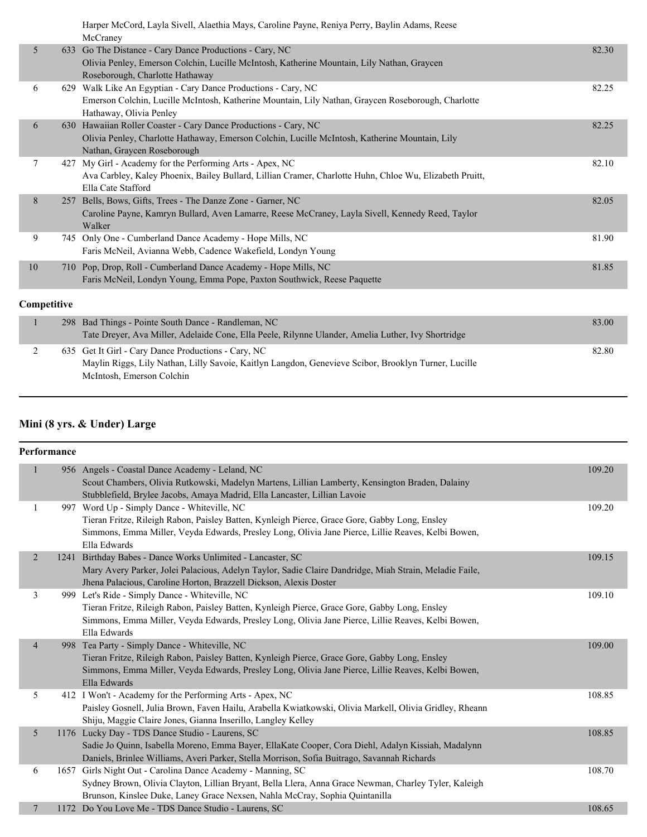|                |     | Harper McCord, Layla Sivell, Alaethia Mays, Caroline Payne, Reniya Perry, Baylin Adams, Reese           |       |
|----------------|-----|---------------------------------------------------------------------------------------------------------|-------|
|                |     | McCraney                                                                                                |       |
| 5 <sup>1</sup> |     | 633 Go The Distance - Cary Dance Productions - Cary, NC                                                 | 82.30 |
|                |     | Olivia Penley, Emerson Colchin, Lucille McIntosh, Katherine Mountain, Lily Nathan, Graycen              |       |
|                |     | Roseborough, Charlotte Hathaway                                                                         |       |
| 6              |     | 629 Walk Like An Egyptian - Cary Dance Productions - Cary, NC                                           | 82.25 |
|                |     | Emerson Colchin, Lucille McIntosh, Katherine Mountain, Lily Nathan, Graycen Roseborough, Charlotte      |       |
|                |     | Hathaway, Olivia Penley                                                                                 |       |
| 6              |     | 630 Hawaiian Roller Coaster - Cary Dance Productions - Cary, NC                                         | 82.25 |
|                |     | Olivia Penley, Charlotte Hathaway, Emerson Colchin, Lucille McIntosh, Katherine Mountain, Lily          |       |
|                |     | Nathan, Graycen Roseborough                                                                             |       |
| 7              | 427 | My Girl - Academy for the Performing Arts - Apex, NC                                                    | 82.10 |
|                |     | Ava Carbley, Kaley Phoenix, Bailey Bullard, Lillian Cramer, Charlotte Huhn, Chloe Wu, Elizabeth Pruitt, |       |
|                |     | Ella Cate Stafford                                                                                      |       |
| 8              | 257 | Bells, Bows, Gifts, Trees - The Danze Zone - Garner, NC                                                 | 82.05 |
|                |     | Caroline Payne, Kamryn Bullard, Aven Lamarre, Reese McCraney, Layla Sivell, Kennedy Reed, Taylor        |       |
|                |     | Walker                                                                                                  |       |
| 9              |     | 745 Only One - Cumberland Dance Academy - Hope Mills, NC                                                | 81.90 |
|                |     | Faris McNeil, Avianna Webb, Cadence Wakefield, Londyn Young                                             |       |
| 10             | 710 | Pop, Drop, Roll - Cumberland Dance Academy - Hope Mills, NC                                             | 81.85 |
|                |     | Faris McNeil, Londyn Young, Emma Pope, Paxton Southwick, Reese Paquette                                 |       |
| Competitive    |     |                                                                                                         |       |
|                |     |                                                                                                         |       |
|                |     | 298 Bad Things - Pointe South Dance - Randleman NC                                                      | 83.00 |

|  | 298 Bad Things - Pointe South Dance - Randleman, NC                                                  | 83.00 |
|--|------------------------------------------------------------------------------------------------------|-------|
|  | Tate Dreyer, Ava Miller, Adelaide Cone, Ella Peele, Rilynne Ulander, Amelia Luther, Ivy Shortridge   |       |
|  | 635 Get It Girl - Cary Dance Productions - Cary, NC                                                  | 82.80 |
|  | Maylin Riggs, Lily Nathan, Lilly Savoie, Kaitlyn Langdon, Genevieve Scibor, Brooklyn Turner, Lucille |       |
|  | McIntosh, Emerson Colchin                                                                            |       |

## **Mini (8 yrs. & Under) Large**

| <b>Performance</b> |      |                                                                                                                                                                                                                                                                       |        |
|--------------------|------|-----------------------------------------------------------------------------------------------------------------------------------------------------------------------------------------------------------------------------------------------------------------------|--------|
| $\mathbf{1}$       |      | 956 Angels - Coastal Dance Academy - Leland, NC<br>Scout Chambers, Olivia Rutkowski, Madelyn Martens, Lillian Lamberty, Kensington Braden, Dalainy<br>Stubblefield, Brylee Jacobs, Amaya Madrid, Ella Lancaster, Lillian Lavoie                                       | 109.20 |
| 1                  |      | 997 Word Up - Simply Dance - Whiteville, NC<br>Tieran Fritze, Rileigh Rabon, Paisley Batten, Kynleigh Pierce, Grace Gore, Gabby Long, Ensley<br>Simmons, Emma Miller, Veyda Edwards, Presley Long, Olivia Jane Pierce, Lillie Reaves, Kelbi Bowen,<br>Ella Edwards    | 109.20 |
| $\overline{2}$     | 1241 | Birthday Babes - Dance Works Unlimited - Lancaster, SC<br>Mary Avery Parker, Jolei Palacious, Adelyn Taylor, Sadie Claire Dandridge, Miah Strain, Meladie Faile,<br>Jhena Palacious, Caroline Horton, Brazzell Dickson, Alexis Doster                                 | 109.15 |
| 3                  |      | 999 Let's Ride - Simply Dance - Whiteville, NC<br>Tieran Fritze, Rileigh Rabon, Paisley Batten, Kynleigh Pierce, Grace Gore, Gabby Long, Ensley<br>Simmons, Emma Miller, Veyda Edwards, Presley Long, Olivia Jane Pierce, Lillie Reaves, Kelbi Bowen,<br>Ella Edwards | 109.10 |
| $\overline{4}$     |      | 998 Tea Party - Simply Dance - Whiteville, NC<br>Tieran Fritze, Rileigh Rabon, Paisley Batten, Kynleigh Pierce, Grace Gore, Gabby Long, Ensley<br>Simmons, Emma Miller, Veyda Edwards, Presley Long, Olivia Jane Pierce, Lillie Reaves, Kelbi Bowen,<br>Ella Edwards  | 109.00 |
| 5                  |      | 412 I Won't - Academy for the Performing Arts - Apex, NC<br>Paisley Gosnell, Julia Brown, Faven Hailu, Arabella Kwiatkowski, Olivia Markell, Olivia Gridley, Rheann<br>Shiju, Maggie Claire Jones, Gianna Inserillo, Langley Kelley                                   | 108.85 |
| 5                  |      | 1176 Lucky Day - TDS Dance Studio - Laurens, SC<br>Sadie Jo Quinn, Isabella Moreno, Emma Bayer, EllaKate Cooper, Cora Diehl, Adalyn Kissiah, Madalynn<br>Daniels, Brinlee Williams, Averi Parker, Stella Morrison, Sofia Buitrago, Savannah Richards                  | 108.85 |
| 6                  |      | 1657 Girls Night Out - Carolina Dance Academy - Manning, SC<br>Sydney Brown, Olivia Clayton, Lillian Bryant, Bella Llera, Anna Grace Newman, Charley Tyler, Kaleigh<br>Brunson, Kinslee Duke, Laney Grace Nexsen, Nahla McCray, Sophia Quintanilla                    | 108.70 |
| $\overline{7}$     |      | 1172 Do You Love Me - TDS Dance Studio - Laurens, SC                                                                                                                                                                                                                  | 108.65 |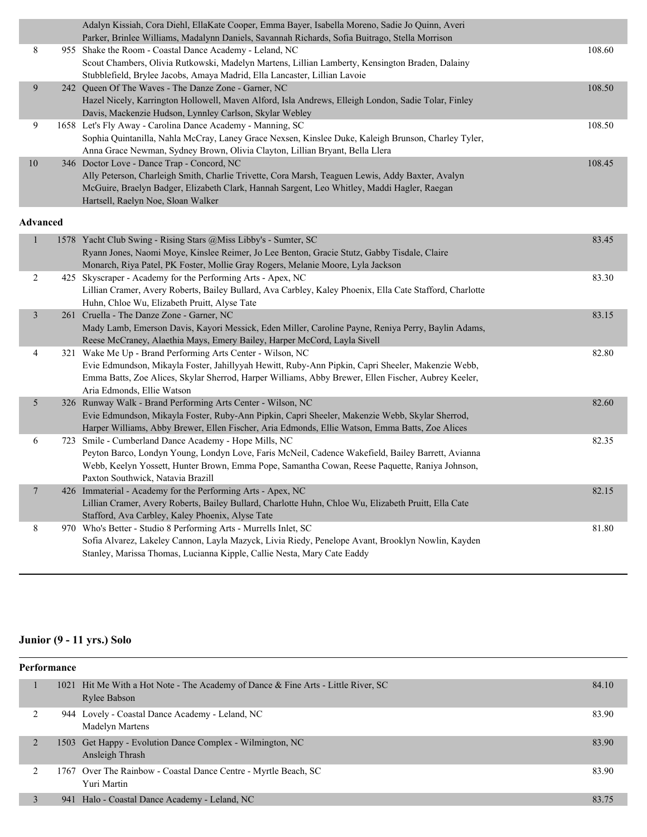|    | Adalyn Kissiah, Cora Diehl, EllaKate Cooper, Emma Bayer, Isabella Moreno, Sadie Jo Quinn, Averi<br>Parker, Brinlee Williams, Madalynn Daniels, Savannah Richards, Sofia Buitrago, Stella Morrison |        |
|----|---------------------------------------------------------------------------------------------------------------------------------------------------------------------------------------------------|--------|
| 8  | 955 Shake the Room - Coastal Dance Academy - Leland, NC                                                                                                                                           | 108.60 |
|    | Scout Chambers, Olivia Rutkowski, Madelyn Martens, Lillian Lamberty, Kensington Braden, Dalainy                                                                                                   |        |
|    | Stubblefield, Brylee Jacobs, Amaya Madrid, Ella Lancaster, Lillian Lavoie                                                                                                                         |        |
| 9  | 242 Oueen Of The Waves - The Danze Zone - Garner, NC                                                                                                                                              | 108.50 |
|    | Hazel Nicely, Karrington Hollowell, Maven Alford, Isla Andrews, Elleigh London, Sadie Tolar, Finley                                                                                               |        |
|    | Davis, Mackenzie Hudson, Lynnley Carlson, Skylar Webley                                                                                                                                           |        |
| 9  | 1658 Let's Fly Away - Carolina Dance Academy - Manning, SC                                                                                                                                        | 108.50 |
|    | Sophia Quintanilla, Nahla McCray, Laney Grace Nexsen, Kinslee Duke, Kaleigh Brunson, Charley Tyler,                                                                                               |        |
|    | Anna Grace Newman, Sydney Brown, Olivia Clayton, Lillian Bryant, Bella Llera                                                                                                                      |        |
| 10 | 346 Doctor Love - Dance Trap - Concord, NC                                                                                                                                                        | 108.45 |
|    | Ally Peterson, Charleigh Smith, Charlie Trivette, Cora Marsh, Teaguen Lewis, Addy Baxter, Avalyn                                                                                                  |        |
|    | McGuire, Braelyn Badger, Elizabeth Clark, Hannah Sargent, Leo Whitley, Maddi Hagler, Raegan                                                                                                       |        |
|    | Hartsell, Raelyn Noe, Sloan Walker                                                                                                                                                                |        |

#### **Advanced**

| $\mathbf{1}$   |     | 1578 Yacht Club Swing - Rising Stars @Miss Libby's - Sumter, SC<br>Ryann Jones, Naomi Moye, Kinslee Reimer, Jo Lee Benton, Gracie Stutz, Gabby Tisdale, Claire<br>Monarch, Riya Patel, PK Foster, Mollie Gray Rogers, Melanie Moore, Lyla Jackson                                                    | 83.45 |
|----------------|-----|------------------------------------------------------------------------------------------------------------------------------------------------------------------------------------------------------------------------------------------------------------------------------------------------------|-------|
| 2              |     | 425 Skyscraper - Academy for the Performing Arts - Apex, NC<br>Lillian Cramer, Avery Roberts, Bailey Bullard, Ava Carbley, Kaley Phoenix, Ella Cate Stafford, Charlotte<br>Huhn, Chloe Wu, Elizabeth Pruitt, Alyse Tate                                                                              | 83.30 |
| $\overline{3}$ |     | 261 Cruella - The Danze Zone - Garner, NC<br>Mady Lamb, Emerson Davis, Kayori Messick, Eden Miller, Caroline Payne, Reniya Perry, Baylin Adams,<br>Reese McCraney, Alaethia Mays, Emery Bailey, Harper McCord, Layla Sivell                                                                          | 83.15 |
| 4              |     | 321 Wake Me Up - Brand Performing Arts Center - Wilson, NC<br>Evie Edmundson, Mikayla Foster, Jahillyyah Hewitt, Ruby-Ann Pipkin, Capri Sheeler, Makenzie Webb,<br>Emma Batts, Zoe Alices, Skylar Sherrod, Harper Williams, Abby Brewer, Ellen Fischer, Aubrey Keeler,<br>Aria Edmonds, Ellie Watson | 82.80 |
| 5              |     | 326 Runway Walk - Brand Performing Arts Center - Wilson, NC<br>Evie Edmundson, Mikayla Foster, Ruby-Ann Pipkin, Capri Sheeler, Makenzie Webb, Skylar Sherrod,<br>Harper Williams, Abby Brewer, Ellen Fischer, Aria Edmonds, Ellie Watson, Emma Batts, Zoe Alices                                     | 82.60 |
| 6              | 723 | Smile - Cumberland Dance Academy - Hope Mills, NC<br>Peyton Barco, Londyn Young, Londyn Love, Faris McNeil, Cadence Wakefield, Bailey Barrett, Avianna<br>Webb, Keelyn Yossett, Hunter Brown, Emma Pope, Samantha Cowan, Reese Paquette, Raniya Johnson,<br>Paxton Southwick, Natavia Brazill        | 82.35 |
| $\overline{7}$ |     | 426 Immaterial - Academy for the Performing Arts - Apex, NC<br>Lillian Cramer, Avery Roberts, Bailey Bullard, Charlotte Huhn, Chloe Wu, Elizabeth Pruitt, Ella Cate<br>Stafford, Ava Carbley, Kaley Phoenix, Alyse Tate                                                                              | 82.15 |
| 8              | 970 | Who's Better - Studio 8 Performing Arts - Murrells Inlet, SC<br>Sofia Alvarez, Lakeley Cannon, Layla Mazyck, Livia Riedy, Penelope Avant, Brooklyn Nowlin, Kayden<br>Stanley, Marissa Thomas, Lucianna Kipple, Callie Nesta, Mary Cate Eaddy                                                         | 81.80 |

## **Junior (9 - 11 yrs.) Solo**

| Performance    |  |                                                                                                   |       |  |
|----------------|--|---------------------------------------------------------------------------------------------------|-------|--|
|                |  | 1021 Hit Me With a Hot Note - The Academy of Dance & Fine Arts - Little River, SC<br>Rylee Babson | 84.10 |  |
| ↑              |  | 944 Lovely - Coastal Dance Academy - Leland, NC<br>Madelyn Martens                                | 83.90 |  |
| $\overline{2}$ |  | 1503 Get Happy - Evolution Dance Complex - Wilmington, NC<br>Ansleigh Thrash                      | 83.90 |  |
|                |  | 1767 Over The Rainbow - Coastal Dance Centre - Myrtle Beach, SC<br>Yuri Martin                    | 83.90 |  |
| 3              |  | 941 Halo - Coastal Dance Academy - Leland, NC                                                     | 83.75 |  |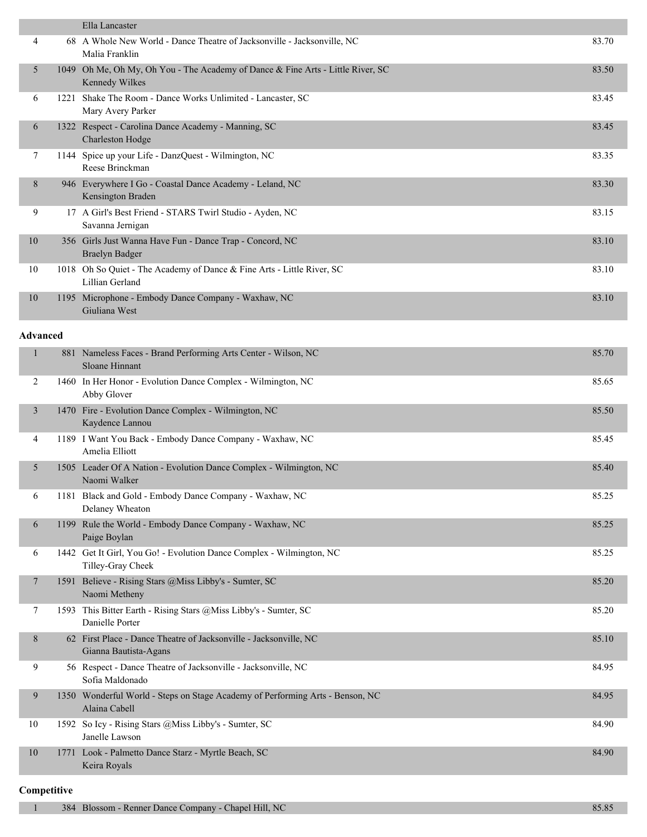|    |                 | Ella Lancaster                                                                                    |       |
|----|-----------------|---------------------------------------------------------------------------------------------------|-------|
| 4  |                 | 68 A Whole New World - Dance Theatre of Jacksonville - Jacksonville, NC<br>Malia Franklin         | 83.70 |
| 5  |                 | 1049 Oh Me, Oh My, Oh You - The Academy of Dance & Fine Arts - Little River, SC<br>Kennedy Wilkes | 83.50 |
| 6  | 1221            | Shake The Room - Dance Works Unlimited - Lancaster, SC<br>Mary Avery Parker                       | 83.45 |
| 6  |                 | 1322 Respect - Carolina Dance Academy - Manning, SC<br>Charleston Hodge                           | 83.45 |
| 7  |                 | 1144 Spice up your Life - DanzQuest - Wilmington, NC<br>Reese Brinckman                           | 83.35 |
| 8  |                 | 946 Everywhere I Go - Coastal Dance Academy - Leland, NC<br>Kensington Braden                     | 83.30 |
| 9  |                 | 17 A Girl's Best Friend - STARS Twirl Studio - Ayden, NC<br>Savanna Jernigan                      | 83.15 |
| 10 |                 | 356 Girls Just Wanna Have Fun - Dance Trap - Concord, NC<br><b>Braelyn Badger</b>                 | 83.10 |
| 10 |                 | 1018 Oh So Quiet - The Academy of Dance & Fine Arts - Little River, SC<br>Lillian Gerland         | 83.10 |
| 10 |                 | 1195 Microphone - Embody Dance Company - Waxhaw, NC<br>Giuliana West                              | 83.10 |
|    | <b>Advanced</b> |                                                                                                   |       |
| 1  |                 | 881 Nameless Faces - Brand Performing Arts Center - Wilson, NC<br>Sloane Hinnant                  | 85.70 |
| 2  |                 | 1460 In Her Honor - Evolution Dance Complex - Wilmington, NC<br>Abby Glover                       | 85.65 |
| 3  | 1470            | Fire - Evolution Dance Complex - Wilmington, NC<br>Kaydence Lannou                                | 85.50 |

| 4 | 1189 I Want You Back - Embody Dance Company - Waxhaw, NC<br>Amelia Elliott         | 85.45 |
|---|------------------------------------------------------------------------------------|-------|
|   | 1505 Leader Of A Nation - Evolution Dance Complex - Wilmington, NC<br>Naomi Walker | 85.40 |
| 6 | 181 Black and Gold - Embody Dance Company - Waxhaw, NC<br>Delaney Wheaton          | 85.25 |
| 6 | 1199 Rule the World - Embody Dance Company - Waxhaw, NC<br>Dao                     | 85.25 |

|    |      | Paige Boylan                                                                                   |       |
|----|------|------------------------------------------------------------------------------------------------|-------|
| 6  | 1442 | Get It Girl, You Go! - Evolution Dance Complex - Wilmington, NC<br>Tilley-Gray Cheek           | 85.25 |
| 7  | 1591 | Believe - Rising Stars @Miss Libby's - Sumter, SC<br>Naomi Metheny                             | 85.20 |
| 7  | 1593 | This Bitter Earth - Rising Stars @Miss Libby's - Sumter, SC<br>Danielle Porter                 | 85.20 |
| 8  | 62   | First Place - Dance Theatre of Jacksonville - Jacksonville, NC<br>Gianna Bautista-Agans        | 85.10 |
| 9  |      | 56 Respect - Dance Theatre of Jacksonville - Jacksonville, NC<br>Sofia Maldonado               | 84.95 |
| 9  |      | 1350 Wonderful World - Steps on Stage Academy of Performing Arts - Benson, NC<br>Alaina Cabell | 84.95 |
| 10 |      | 1592 So Icy - Rising Stars @Miss Libby's - Sumter, SC<br>Janelle Lawson                        | 84.90 |
| 10 | 1771 | Look - Palmetto Dance Starz - Myrtle Beach, SC<br>Keira Royals                                 | 84.90 |

# **Competitive**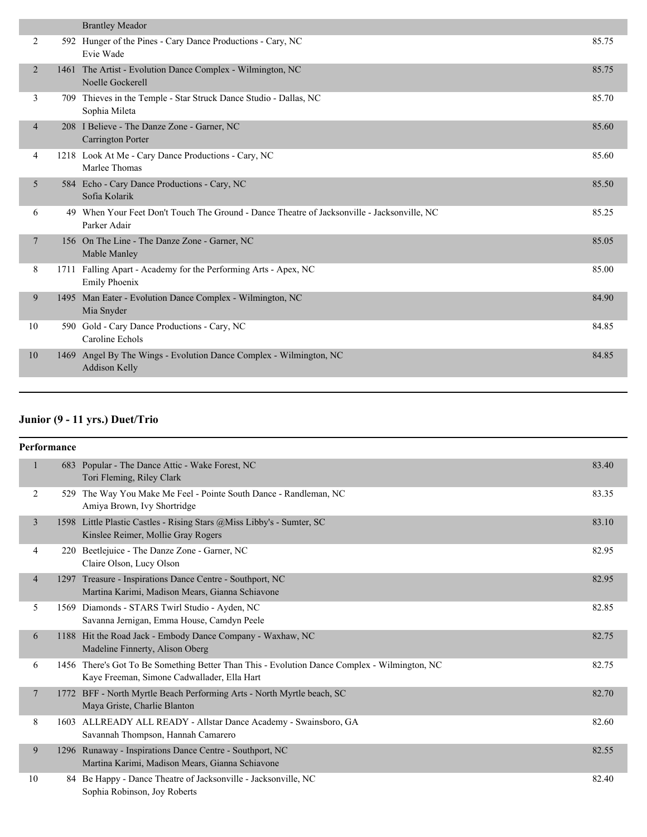|                | <b>Brantley Meador</b>                                                                                      |       |
|----------------|-------------------------------------------------------------------------------------------------------------|-------|
| 2              | 592 Hunger of the Pines - Cary Dance Productions - Cary, NC<br>Evie Wade                                    | 85.75 |
| 2              | 1461 The Artist - Evolution Dance Complex - Wilmington, NC<br>Noelle Gockerell                              | 85.75 |
| 3              | 709 Thieves in the Temple - Star Struck Dance Studio - Dallas, NC<br>Sophia Mileta                          | 85.70 |
| $\overline{4}$ | 208 I Believe - The Danze Zone - Garner, NC<br><b>Carrington Porter</b>                                     | 85.60 |
| 4              | 1218 Look At Me - Cary Dance Productions - Cary, NC<br>Marlee Thomas                                        | 85.60 |
| 5              | 584 Echo - Cary Dance Productions - Cary, NC<br>Sofia Kolarik                                               | 85.50 |
| 6              | 49 When Your Feet Don't Touch The Ground - Dance Theatre of Jacksonville - Jacksonville, NC<br>Parker Adair | 85.25 |
| 7              | 156 On The Line - The Danze Zone - Garner, NC<br>Mable Manley                                               | 85.05 |
| 8              | 1711 Falling Apart - Academy for the Performing Arts - Apex, NC<br><b>Emily Phoenix</b>                     | 85.00 |
| 9              | 1495 Man Eater - Evolution Dance Complex - Wilmington, NC<br>Mia Snyder                                     | 84.90 |
| 10             | 590 Gold - Cary Dance Productions - Cary, NC<br>Caroline Echols                                             | 84.85 |
| 10             | 1469 Angel By The Wings - Evolution Dance Complex - Wilmington, NC<br>Addison Kelly                         | 84.85 |
|                |                                                                                                             |       |

## **Junior (9 - 11 yrs.) Duet/Trio**

| Performance    |            |                                                                                                                                             |       |  |
|----------------|------------|---------------------------------------------------------------------------------------------------------------------------------------------|-------|--|
| 1              |            | 683 Popular - The Dance Attic - Wake Forest, NC<br>Tori Fleming, Riley Clark                                                                | 83.40 |  |
| 2              | 529        | The Way You Make Me Feel - Pointe South Dance - Randleman, NC<br>Amiya Brown, Ivy Shortridge                                                | 83.35 |  |
| 3              |            | 1598 Little Plastic Castles - Rising Stars @Miss Libby's - Sumter, SC<br>Kinslee Reimer, Mollie Gray Rogers                                 | 83.10 |  |
| 4              | <b>220</b> | Beetlejuice - The Danze Zone - Garner, NC<br>Claire Olson, Lucy Olson                                                                       | 82.95 |  |
| $\overline{4}$ | 1297       | Treasure - Inspirations Dance Centre - Southport, NC<br>Martina Karimi, Madison Mears, Gianna Schiavone                                     | 82.95 |  |
| 5              |            | 1569 Diamonds - STARS Twirl Studio - Ayden, NC<br>Savanna Jernigan, Emma House, Camdyn Peele                                                | 82.85 |  |
| 6              |            | 1188 Hit the Road Jack - Embody Dance Company - Waxhaw, NC<br>Madeline Finnerty, Alison Oberg                                               | 82.75 |  |
| 6              |            | 1456 There's Got To Be Something Better Than This - Evolution Dance Complex - Wilmington, NC<br>Kaye Freeman, Simone Cadwallader, Ella Hart | 82.75 |  |
| 7              |            | 1772 BFF - North Myrtle Beach Performing Arts - North Myrtle beach, SC<br>Maya Griste, Charlie Blanton                                      | 82.70 |  |
| 8              | 1603       | ALLREADY ALL READY - Allstar Dance Academy - Swainsboro, GA<br>Savannah Thompson, Hannah Camarero                                           | 82.60 |  |
| 9              |            | 1296 Runaway - Inspirations Dance Centre - Southport, NC<br>Martina Karimi, Madison Mears, Gianna Schiavone                                 | 82.55 |  |
| 10             |            | 84 Be Happy - Dance Theatre of Jacksonville - Jacksonville, NC<br>Sophia Robinson, Joy Roberts                                              | 82.40 |  |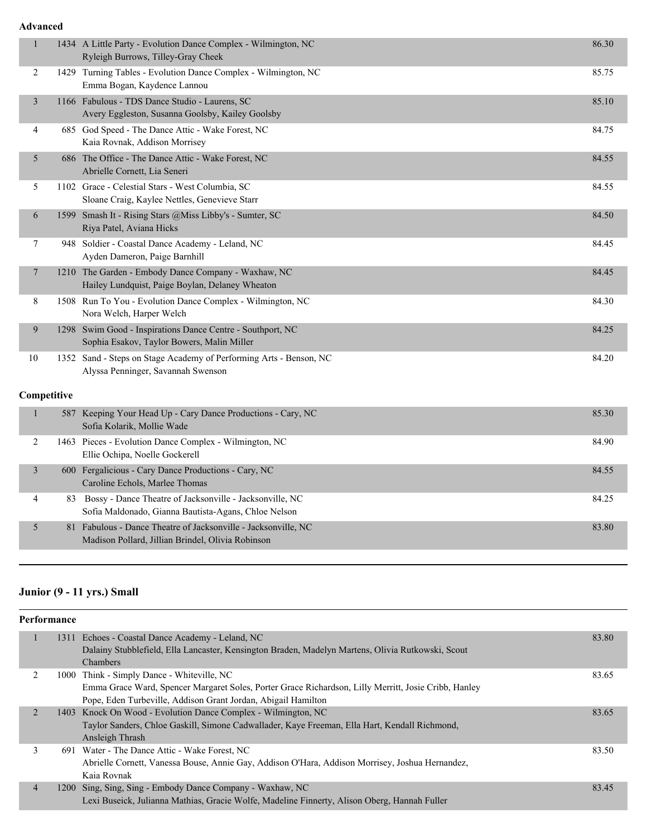#### **Advanced**

| $\mathbf{1}$ |  | 1434 A Little Party - Evolution Dance Complex - Wilmington, NC<br>Ryleigh Burrows, Tilley-Gray Cheek                | 86.30 |  |  |  |
|--------------|--|---------------------------------------------------------------------------------------------------------------------|-------|--|--|--|
| 2            |  | 1429 Turning Tables - Evolution Dance Complex - Wilmington, NC<br>Emma Bogan, Kaydence Lannou                       | 85.75 |  |  |  |
| 3            |  | 1166 Fabulous - TDS Dance Studio - Laurens, SC<br>Avery Eggleston, Susanna Goolsby, Kailey Goolsby                  | 85.10 |  |  |  |
| 4            |  | 685 God Speed - The Dance Attic - Wake Forest, NC<br>Kaia Rovnak, Addison Morrisey                                  | 84.75 |  |  |  |
| 5            |  | 686 The Office - The Dance Attic - Wake Forest, NC<br>Abrielle Cornett, Lia Seneri                                  | 84.55 |  |  |  |
| 5            |  | 1102 Grace - Celestial Stars - West Columbia, SC<br>Sloane Craig, Kaylee Nettles, Genevieve Starr                   | 84.55 |  |  |  |
| 6            |  | 1599 Smash It - Rising Stars @Miss Libby's - Sumter, SC<br>Riya Patel, Aviana Hicks                                 | 84.50 |  |  |  |
| 7            |  | 948 Soldier - Coastal Dance Academy - Leland, NC<br>Ayden Dameron, Paige Barnhill                                   | 84.45 |  |  |  |
| 7            |  | 1210 The Garden - Embody Dance Company - Waxhaw, NC<br>Hailey Lundquist, Paige Boylan, Delaney Wheaton              | 84.45 |  |  |  |
| 8            |  | 1508 Run To You - Evolution Dance Complex - Wilmington, NC<br>Nora Welch, Harper Welch                              | 84.30 |  |  |  |
| 9            |  | 1298 Swim Good - Inspirations Dance Centre - Southport, NC<br>Sophia Esakov, Taylor Bowers, Malin Miller            | 84.25 |  |  |  |
| 10           |  | 1352 Sand - Steps on Stage Academy of Performing Arts - Benson, NC<br>Alyssa Penninger, Savannah Swenson            | 84.20 |  |  |  |
| Competitive  |  |                                                                                                                     |       |  |  |  |
| $\mathbf{1}$ |  | 587 Keeping Your Head Up - Cary Dance Productions - Cary, NC<br>Sofia Kolarik, Mollie Wade                          | 85.30 |  |  |  |
| 2            |  | 1463 Pieces - Evolution Dance Complex - Wilmington, NC<br>Ellie Ochipa, Noelle Gockerell                            | 84.90 |  |  |  |
| 3            |  | 600 Fergalicious - Cary Dance Productions - Cary, NC<br>Caroline Echols, Marlee Thomas                              | 84.55 |  |  |  |
| 4            |  | 83 Bossy - Dance Theatre of Jacksonville - Jacksonville, NC<br>Sofia Maldonado, Gianna Bautista-Agans, Chloe Nelson | 84.25 |  |  |  |
| 5            |  | 81 Fabulous - Dance Theatre of Jacksonville - Jacksonville, NC<br>Madison Pollard, Jillian Brindel, Olivia Robinson | 83.80 |  |  |  |
|              |  |                                                                                                                     |       |  |  |  |

## **Junior (9 - 11 yrs.) Small**

| Performance    |  |                                                                                                      |                                                                                                                                                                                                                                                                               |  |  |
|----------------|--|------------------------------------------------------------------------------------------------------|-------------------------------------------------------------------------------------------------------------------------------------------------------------------------------------------------------------------------------------------------------------------------------|--|--|
|                |  |                                                                                                      | 83.80                                                                                                                                                                                                                                                                         |  |  |
|                |  | Dalainy Stubblefield, Ella Lancaster, Kensington Braden, Madelyn Martens, Olivia Rutkowski, Scout    |                                                                                                                                                                                                                                                                               |  |  |
|                |  | Chambers                                                                                             |                                                                                                                                                                                                                                                                               |  |  |
| 2              |  |                                                                                                      | 83.65                                                                                                                                                                                                                                                                         |  |  |
|                |  | Emma Grace Ward, Spencer Margaret Soles, Porter Grace Richardson, Lilly Merritt, Josie Cribb, Hanley |                                                                                                                                                                                                                                                                               |  |  |
|                |  | Pope, Eden Turbeville, Addison Grant Jordan, Abigail Hamilton                                        |                                                                                                                                                                                                                                                                               |  |  |
| 2              |  |                                                                                                      | 83.65                                                                                                                                                                                                                                                                         |  |  |
|                |  | Taylor Sanders, Chloe Gaskill, Simone Cadwallader, Kaye Freeman, Ella Hart, Kendall Richmond,        |                                                                                                                                                                                                                                                                               |  |  |
|                |  | Ansleigh Thrash                                                                                      |                                                                                                                                                                                                                                                                               |  |  |
| 3              |  |                                                                                                      | 83.50                                                                                                                                                                                                                                                                         |  |  |
|                |  | Abrielle Cornett, Vanessa Bouse, Annie Gay, Addison O'Hara, Addison Morrisey, Joshua Hernandez,      |                                                                                                                                                                                                                                                                               |  |  |
|                |  | Kaia Rovnak                                                                                          |                                                                                                                                                                                                                                                                               |  |  |
| $\overline{4}$ |  |                                                                                                      | 83.45                                                                                                                                                                                                                                                                         |  |  |
|                |  | Lexi Buseick, Julianna Mathias, Gracie Wolfe, Madeline Finnerty, Alison Oberg, Hannah Fuller         |                                                                                                                                                                                                                                                                               |  |  |
|                |  |                                                                                                      | 1311 Echoes - Coastal Dance Academy - Leland, NC<br>1000 Think - Simply Dance - Whiteville, NC<br>1403 Knock On Wood - Evolution Dance Complex - Wilmington, NC<br>691 Water - The Dance Attic - Wake Forest, NC<br>1200 Sing, Sing, Sing - Embody Dance Company - Waxhaw, NC |  |  |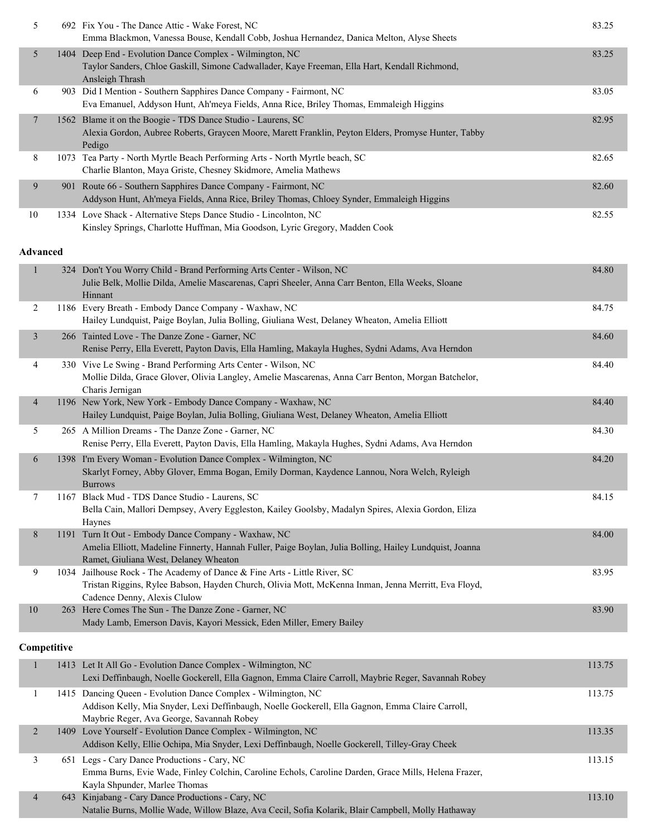| 5                        |             | 692 Fix You - The Dance Attic - Wake Forest, NC<br>Emma Blackmon, Vanessa Bouse, Kendall Cobb, Joshua Hernandez, Danica Melton, Alyse Sheets                                                                     | 83.25  |
|--------------------------|-------------|------------------------------------------------------------------------------------------------------------------------------------------------------------------------------------------------------------------|--------|
| 5                        |             | 1404 Deep End - Evolution Dance Complex - Wilmington, NC<br>Taylor Sanders, Chloe Gaskill, Simone Cadwallader, Kaye Freeman, Ella Hart, Kendall Richmond,<br>Ansleigh Thrash                                     | 83.25  |
| 6                        |             | 903 Did I Mention - Southern Sapphires Dance Company - Fairmont, NC<br>Eva Emanuel, Addyson Hunt, Ah'meya Fields, Anna Rice, Briley Thomas, Emmaleigh Higgins                                                    | 83.05  |
| 7                        |             | 1562 Blame it on the Boogie - TDS Dance Studio - Laurens, SC<br>Alexia Gordon, Aubree Roberts, Graycen Moore, Marett Franklin, Peyton Elders, Promyse Hunter, Tabby<br>Pedigo                                    | 82.95  |
| 8                        |             | 1073 Tea Party - North Myrtle Beach Performing Arts - North Myrtle beach, SC<br>Charlie Blanton, Maya Griste, Chesney Skidmore, Amelia Mathews                                                                   | 82.65  |
| 9                        |             | 901 Route 66 - Southern Sapphires Dance Company - Fairmont, NC<br>Addyson Hunt, Ah'meya Fields, Anna Rice, Briley Thomas, Chloey Synder, Emmaleigh Higgins                                                       | 82.60  |
| $10\,$                   |             | 1334 Love Shack - Alternative Steps Dance Studio - Lincolnton, NC<br>Kinsley Springs, Charlotte Huffman, Mia Goodson, Lyric Gregory, Madden Cook                                                                 | 82.55  |
| <b>Advanced</b>          |             |                                                                                                                                                                                                                  |        |
| $\mathbf{1}$             |             | 324 Don't You Worry Child - Brand Performing Arts Center - Wilson, NC<br>Julie Belk, Mollie Dilda, Amelie Mascarenas, Capri Sheeler, Anna Carr Benton, Ella Weeks, Sloane<br>Hinnant                             | 84.80  |
| 2                        |             | 1186 Every Breath - Embody Dance Company - Waxhaw, NC<br>Hailey Lundquist, Paige Boylan, Julia Bolling, Giuliana West, Delaney Wheaton, Amelia Elliott                                                           | 84.75  |
| $\mathfrak{Z}$           |             | 266 Tainted Love - The Danze Zone - Garner, NC<br>Renise Perry, Ella Everett, Payton Davis, Ella Hamling, Makayla Hughes, Sydni Adams, Ava Herndon                                                               | 84.60  |
| 4                        |             | 330 Vive Le Swing - Brand Performing Arts Center - Wilson, NC<br>Mollie Dilda, Grace Glover, Olivia Langley, Amelie Mascarenas, Anna Carr Benton, Morgan Batchelor,<br>Charis Jernigan                           | 84.40  |
| $\overline{\mathcal{A}}$ |             | 1196 New York, New York - Embody Dance Company - Waxhaw, NC<br>Hailey Lundquist, Paige Boylan, Julia Bolling, Giuliana West, Delaney Wheaton, Amelia Elliott                                                     | 84.40  |
| 5                        |             | 265 A Million Dreams - The Danze Zone - Garner, NC<br>Renise Perry, Ella Everett, Payton Davis, Ella Hamling, Makayla Hughes, Sydni Adams, Ava Herndon                                                           | 84.30  |
| 6                        |             | 1398 I'm Every Woman - Evolution Dance Complex - Wilmington, NC<br>Skarlyt Forney, Abby Glover, Emma Bogan, Emily Dorman, Kaydence Lannou, Nora Welch, Ryleigh<br><b>Burrows</b>                                 | 84.20  |
| 7                        |             | 1167 Black Mud - TDS Dance Studio - Laurens, SC<br>Bella Cain, Mallori Dempsey, Avery Eggleston, Kailey Goolsby, Madalyn Spires, Alexia Gordon, Eliza<br>Haynes                                                  | 84.15  |
| 8                        |             | 1191 Turn It Out - Embody Dance Company - Waxhaw, NC<br>Amelia Elliott, Madeline Finnerty, Hannah Fuller, Paige Boylan, Julia Bolling, Hailey Lundquist, Joanna<br>Ramet, Giuliana West, Delaney Wheaton         | 84.00  |
| 9                        |             | 1034 Jailhouse Rock - The Academy of Dance & Fine Arts - Little River, SC<br>Tristan Riggins, Rylee Babson, Hayden Church, Olivia Mott, McKenna Inman, Jenna Merritt, Eva Floyd,<br>Cadence Denny, Alexis Clulow | 83.95  |
| 10                       |             | 263 Here Comes The Sun - The Danze Zone - Garner, NC<br>Mady Lamb, Emerson Davis, Kayori Messick, Eden Miller, Emery Bailey                                                                                      | 83.90  |
|                          | Competitive |                                                                                                                                                                                                                  |        |
|                          |             | 1413 Let It All Go - Evolution Dance Complex - Wilmington, NC<br>Lexi Deffinbaugh, Noelle Gockerell, Ella Gagnon, Emma Claire Carroll, Maybrie Reger, Savannah Robey                                             | 113.75 |
| $\mathbf{1}$             |             | 1415 Dancing Queen - Evolution Dance Complex - Wilmington, NC<br>Addison Kelly, Mia Snyder, Lexi Deffinbaugh, Noelle Gockerell, Ella Gagnon, Emma Claire Carroll,<br>Maybrie Reger, Ava George, Savannah Robey   | 113.75 |
| 2                        |             | 1409 Love Yourself - Evolution Dance Complex - Wilmington, NC<br>Addison Kelly, Ellie Ochipa, Mia Snyder, Lexi Deffinbaugh, Noelle Gockerell, Tilley-Gray Cheek                                                  | 113.35 |
| 3                        |             | 651 Legs - Cary Dance Productions - Cary, NC<br>Emma Burns, Evie Wade, Finley Colchin, Caroline Echols, Caroline Darden, Grace Mills, Helena Frazer,<br>Kayla Shpunder, Marlee Thomas                            | 113.15 |
| 4                        |             | 643 Kinjabang - Cary Dance Productions - Cary, NC<br>Natalie Burns, Mollie Wade, Willow Blaze, Ava Cecil, Sofia Kolarik, Blair Campbell, Molly Hathaway                                                          | 113.10 |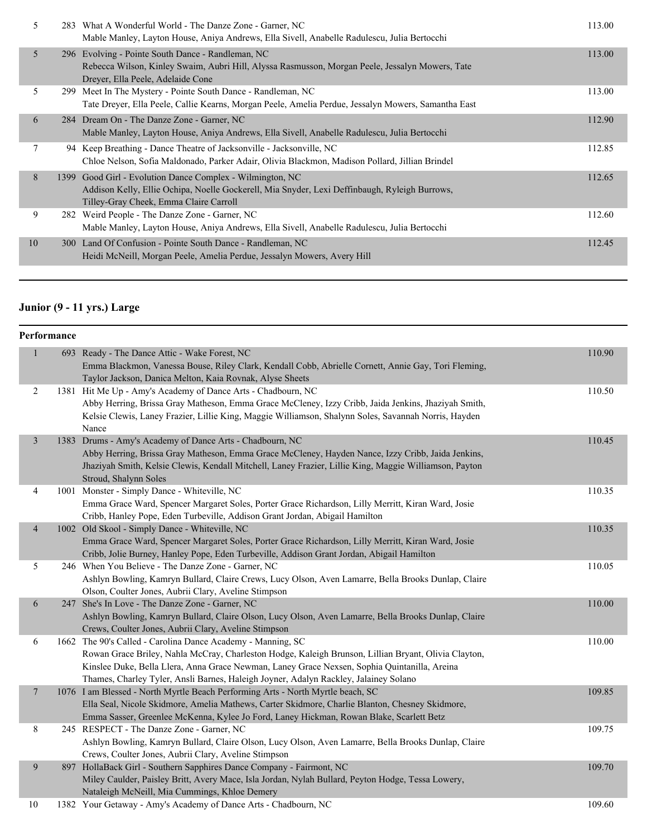| 5  | 283 What A Wonderful World - The Danze Zone - Garner, NC<br>Mable Manley, Layton House, Aniya Andrews, Ella Sivell, Anabelle Radulescu, Julia Bertocchi                                              | 113.00 |
|----|------------------------------------------------------------------------------------------------------------------------------------------------------------------------------------------------------|--------|
| 5  | 296 Evolving - Pointe South Dance - Randleman, NC<br>Rebecca Wilson, Kinley Swaim, Aubri Hill, Alyssa Rasmusson, Morgan Peele, Jessalyn Mowers, Tate<br>Dreyer, Ella Peele, Adelaide Cone            | 113.00 |
| 5  | 299 Meet In The Mystery - Pointe South Dance - Randleman, NC<br>Tate Dreyer, Ella Peele, Callie Kearns, Morgan Peele, Amelia Perdue, Jessalyn Mowers, Samantha East                                  | 113.00 |
| 6  | 284 Dream On - The Danze Zone - Garner, NC<br>Mable Manley, Layton House, Aniya Andrews, Ella Sivell, Anabelle Radulescu, Julia Bertocchi                                                            | 112.90 |
| 7  | 94 Keep Breathing - Dance Theatre of Jacksonville - Jacksonville, NC<br>Chloe Nelson, Sofia Maldonado, Parker Adair, Olivia Blackmon, Madison Pollard, Jillian Brindel                               | 112.85 |
| 8  | 1399 Good Girl - Evolution Dance Complex - Wilmington, NC<br>Addison Kelly, Ellie Ochipa, Noelle Gockerell, Mia Snyder, Lexi Deffinbaugh, Ryleigh Burrows,<br>Tilley-Gray Cheek, Emma Claire Carroll | 112.65 |
| 9  | 282 Weird People - The Danze Zone - Garner, NC<br>Mable Manley, Layton House, Aniya Andrews, Ella Sivell, Anabelle Radulescu, Julia Bertocchi                                                        | 112.60 |
| 10 | 300 Land Of Confusion - Pointe South Dance - Randleman, NC<br>Heidi McNeill, Morgan Peele, Amelia Perdue, Jessalyn Mowers, Avery Hill                                                                | 112.45 |

## **Junior (9 - 11 yrs.) Large**

| Performance    |                                                                                                                                                                                                                                                                                                                                                             |        |
|----------------|-------------------------------------------------------------------------------------------------------------------------------------------------------------------------------------------------------------------------------------------------------------------------------------------------------------------------------------------------------------|--------|
| 1              | 693 Ready - The Dance Attic - Wake Forest, NC<br>Emma Blackmon, Vanessa Bouse, Riley Clark, Kendall Cobb, Abrielle Cornett, Annie Gay, Tori Fleming,<br>Taylor Jackson, Danica Melton, Kaia Rovnak, Alyse Sheets                                                                                                                                            | 110.90 |
| $\overline{2}$ | 1381 Hit Me Up - Amy's Academy of Dance Arts - Chadbourn, NC<br>Abby Herring, Brissa Gray Matheson, Emma Grace McCleney, Izzy Cribb, Jaida Jenkins, Jhaziyah Smith,<br>Kelsie Clewis, Laney Frazier, Lillie King, Maggie Williamson, Shalynn Soles, Savannah Norris, Hayden<br>Nance                                                                        | 110.50 |
| $\overline{3}$ | 1383 Drums - Amy's Academy of Dance Arts - Chadbourn, NC<br>Abby Herring, Brissa Gray Matheson, Emma Grace McCleney, Hayden Nance, Izzy Cribb, Jaida Jenkins,<br>Jhaziyah Smith, Kelsie Clewis, Kendall Mitchell, Laney Frazier, Lillie King, Maggie Williamson, Payton<br>Stroud, Shalynn Soles                                                            | 110.45 |
| 4              | 1001 Monster - Simply Dance - Whiteville, NC<br>Emma Grace Ward, Spencer Margaret Soles, Porter Grace Richardson, Lilly Merritt, Kiran Ward, Josie<br>Cribb, Hanley Pope, Eden Turbeville, Addison Grant Jordan, Abigail Hamilton                                                                                                                           | 110.35 |
| 4              | 1002 Old Skool - Simply Dance - Whiteville, NC<br>Emma Grace Ward, Spencer Margaret Soles, Porter Grace Richardson, Lilly Merritt, Kiran Ward, Josie<br>Cribb, Jolie Burney, Hanley Pope, Eden Turbeville, Addison Grant Jordan, Abigail Hamilton                                                                                                           | 110.35 |
| 5              | 246 When You Believe - The Danze Zone - Garner, NC<br>Ashlyn Bowling, Kamryn Bullard, Claire Crews, Lucy Olson, Aven Lamarre, Bella Brooks Dunlap, Claire<br>Olson, Coulter Jones, Aubrii Clary, Aveline Stimpson                                                                                                                                           | 110.05 |
| 6              | 247 She's In Love - The Danze Zone - Garner, NC<br>Ashlyn Bowling, Kamryn Bullard, Claire Olson, Lucy Olson, Aven Lamarre, Bella Brooks Dunlap, Claire<br>Crews, Coulter Jones, Aubrii Clary, Aveline Stimpson                                                                                                                                              | 110.00 |
| 6              | 1662 The 90's Called - Carolina Dance Academy - Manning, SC<br>Rowan Grace Briley, Nahla McCray, Charleston Hodge, Kaleigh Brunson, Lillian Bryant, Olivia Clayton,<br>Kinslee Duke, Bella Llera, Anna Grace Newman, Laney Grace Nexsen, Sophia Quintanilla, Areina<br>Thames, Charley Tyler, Ansli Barnes, Haleigh Joyner, Adalyn Rackley, Jalainey Solano | 110.00 |
| 7              | 1076 I am Blessed - North Myrtle Beach Performing Arts - North Myrtle beach, SC<br>Ella Seal, Nicole Skidmore, Amelia Mathews, Carter Skidmore, Charlie Blanton, Chesney Skidmore,<br>Emma Sasser, Greenlee McKenna, Kylee Jo Ford, Laney Hickman, Rowan Blake, Scarlett Betz                                                                               | 109.85 |
| 8              | 245 RESPECT - The Danze Zone - Garner, NC<br>Ashlyn Bowling, Kamryn Bullard, Claire Olson, Lucy Olson, Aven Lamarre, Bella Brooks Dunlap, Claire<br>Crews, Coulter Jones, Aubrii Clary, Aveline Stimpson                                                                                                                                                    | 109.75 |
| 9              | 897 HollaBack Girl - Southern Sapphires Dance Company - Fairmont, NC<br>Miley Caulder, Paisley Britt, Avery Mace, Isla Jordan, Nylah Bullard, Peyton Hodge, Tessa Lowery,<br>Nataleigh McNeill, Mia Cummings, Khloe Demery                                                                                                                                  | 109.70 |
|                |                                                                                                                                                                                                                                                                                                                                                             |        |

10 1382 Your Getaway - Amy's Academy of Dance Arts - Chadbourn, NC 109.60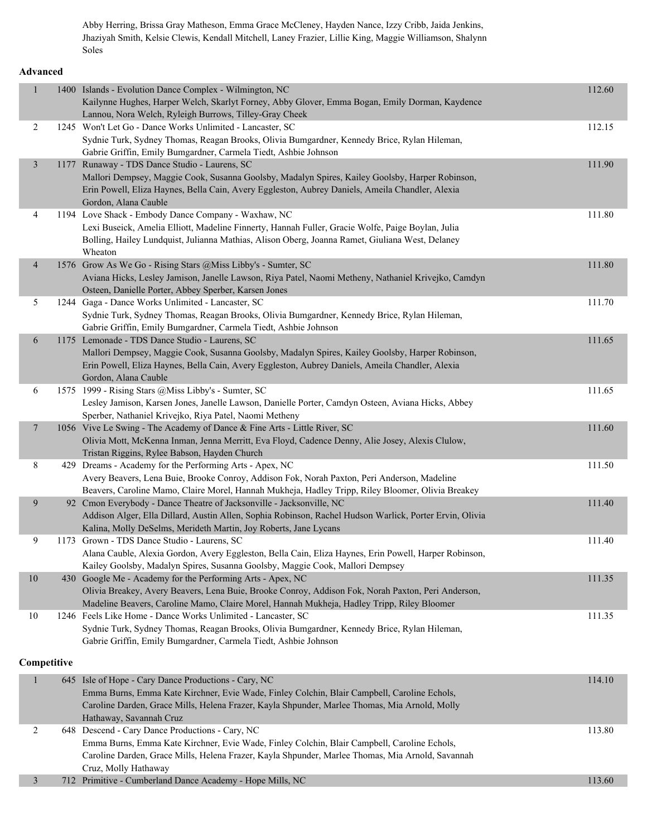Abby Herring, Brissa Gray Matheson, Emma Grace McCleney, Hayden Nance, Izzy Cribb, Jaida Jenkins, Jhaziyah Smith, Kelsie Clewis, Kendall Mitchell, Laney Frazier, Lillie King, Maggie Williamson, Shalynn Soles

#### **Advanced**

| $\mathbf{1}$   | 1400 Islands - Evolution Dance Complex - Wilmington, NC<br>Kailynne Hughes, Harper Welch, Skarlyt Forney, Abby Glover, Emma Bogan, Emily Dorman, Kaydence<br>Lannou, Nora Welch, Ryleigh Burrows, Tilley-Gray Cheek                                                             | 112.60 |
|----------------|---------------------------------------------------------------------------------------------------------------------------------------------------------------------------------------------------------------------------------------------------------------------------------|--------|
| $\overline{2}$ | 1245 Won't Let Go - Dance Works Unlimited - Lancaster, SC<br>Sydnie Turk, Sydney Thomas, Reagan Brooks, Olivia Bumgardner, Kennedy Brice, Rylan Hileman,<br>Gabrie Griffin, Emily Bumgardner, Carmela Tiedt, Ashbie Johnson                                                     | 112.15 |
| $\mathfrak{Z}$ | 1177 Runaway - TDS Dance Studio - Laurens, SC<br>Mallori Dempsey, Maggie Cook, Susanna Goolsby, Madalyn Spires, Kailey Goolsby, Harper Robinson,<br>Erin Powell, Eliza Haynes, Bella Cain, Avery Eggleston, Aubrey Daniels, Ameila Chandler, Alexia<br>Gordon, Alana Cauble     | 111.90 |
| 4              | 1194 Love Shack - Embody Dance Company - Waxhaw, NC<br>Lexi Buseick, Amelia Elliott, Madeline Finnerty, Hannah Fuller, Gracie Wolfe, Paige Boylan, Julia<br>Bolling, Hailey Lundquist, Julianna Mathias, Alison Oberg, Joanna Ramet, Giuliana West, Delaney<br>Wheaton          | 111.80 |
| $\overline{4}$ | 1576 Grow As We Go - Rising Stars @Miss Libby's - Sumter, SC<br>Aviana Hicks, Lesley Jamison, Janelle Lawson, Riya Patel, Naomi Metheny, Nathaniel Krivejko, Camdyn<br>Osteen, Danielle Porter, Abbey Sperber, Karsen Jones                                                     | 111.80 |
| 5              | 1244 Gaga - Dance Works Unlimited - Lancaster, SC<br>Sydnie Turk, Sydney Thomas, Reagan Brooks, Olivia Bumgardner, Kennedy Brice, Rylan Hileman,<br>Gabrie Griffin, Emily Bumgardner, Carmela Tiedt, Ashbie Johnson                                                             | 111.70 |
| 6              | 1175 Lemonade - TDS Dance Studio - Laurens, SC<br>Mallori Dempsey, Maggie Cook, Susanna Goolsby, Madalyn Spires, Kailey Goolsby, Harper Robinson,<br>Erin Powell, Eliza Haynes, Bella Cain, Avery Eggleston, Aubrey Daniels, Ameila Chandler, Alexia<br>Gordon, Alana Cauble    | 111.65 |
| 6              | 1575 1999 - Rising Stars @Miss Libby's - Sumter, SC<br>Lesley Jamison, Karsen Jones, Janelle Lawson, Danielle Porter, Camdyn Osteen, Aviana Hicks, Abbey<br>Sperber, Nathaniel Krivejko, Riya Patel, Naomi Metheny                                                              | 111.65 |
| $\tau$         | 1056 Vive Le Swing - The Academy of Dance & Fine Arts - Little River, SC<br>Olivia Mott, McKenna Inman, Jenna Merritt, Eva Floyd, Cadence Denny, Alie Josey, Alexis Clulow,<br>Tristan Riggins, Rylee Babson, Hayden Church                                                     | 111.60 |
| 8              | 429 Dreams - Academy for the Performing Arts - Apex, NC<br>Avery Beavers, Lena Buie, Brooke Conroy, Addison Fok, Norah Paxton, Peri Anderson, Madeline<br>Beavers, Caroline Mamo, Claire Morel, Hannah Mukheja, Hadley Tripp, Riley Bloomer, Olivia Breakey                     | 111.50 |
| 9              | 92 Cmon Everybody - Dance Theatre of Jacksonville - Jacksonville, NC<br>Addison Alger, Ella Dillard, Austin Allen, Sophia Robinson, Rachel Hudson Warlick, Porter Ervin, Olivia<br>Kalina, Molly DeSelms, Merideth Martin, Joy Roberts, Jane Lycans                             | 111.40 |
| 9              | 1173 Grown - TDS Dance Studio - Laurens, SC<br>Alana Cauble, Alexia Gordon, Avery Eggleston, Bella Cain, Eliza Haynes, Erin Powell, Harper Robinson,<br>Kailey Goolsby, Madalyn Spires, Susanna Goolsby, Maggie Cook, Mallori Dempsey                                           | 111.40 |
| 10             | 430 Google Me - Academy for the Performing Arts - Apex, NC<br>Olivia Breakey, Avery Beavers, Lena Buie, Brooke Conroy, Addison Fok, Norah Paxton, Peri Anderson,<br>Madeline Beavers, Caroline Mamo, Claire Morel, Hannah Mukheja, Hadley Tripp, Riley Bloomer                  | 111.35 |
| 10             | 1246 Feels Like Home - Dance Works Unlimited - Lancaster, SC<br>Sydnie Turk, Sydney Thomas, Reagan Brooks, Olivia Bumgardner, Kennedy Brice, Rylan Hileman,<br>Gabrie Griffin, Emily Bumgardner, Carmela Tiedt, Ashbie Johnson                                                  | 111.35 |
| Competitive    |                                                                                                                                                                                                                                                                                 |        |
| $\mathbf{1}$   | 645 Isle of Hope - Cary Dance Productions - Cary, NC<br>Emma Burns, Emma Kate Kirchner, Evie Wade, Finley Colchin, Blair Campbell, Caroline Echols,<br>Caroline Darden, Grace Mills, Helena Frazer, Kayla Shpunder, Marlee Thomas, Mia Arnold, Molly<br>Hathaway, Savannah Cruz | 114.10 |
| 2              | 648 Descend - Cary Dance Productions - Cary, NC<br>Emma Burns, Emma Kate Kirchner, Evie Wade, Finley Colchin, Blair Campbell, Caroline Echols,<br>Caroline Darden, Grace Mills, Helena Frazer, Kayla Shpunder, Marlee Thomas, Mia Arnold, Savannah<br>Cruz, Molly Hathaway      | 113.80 |
| $\mathfrak{Z}$ | 712 Primitive - Cumberland Dance Academy - Hope Mills, NC                                                                                                                                                                                                                       | 113.60 |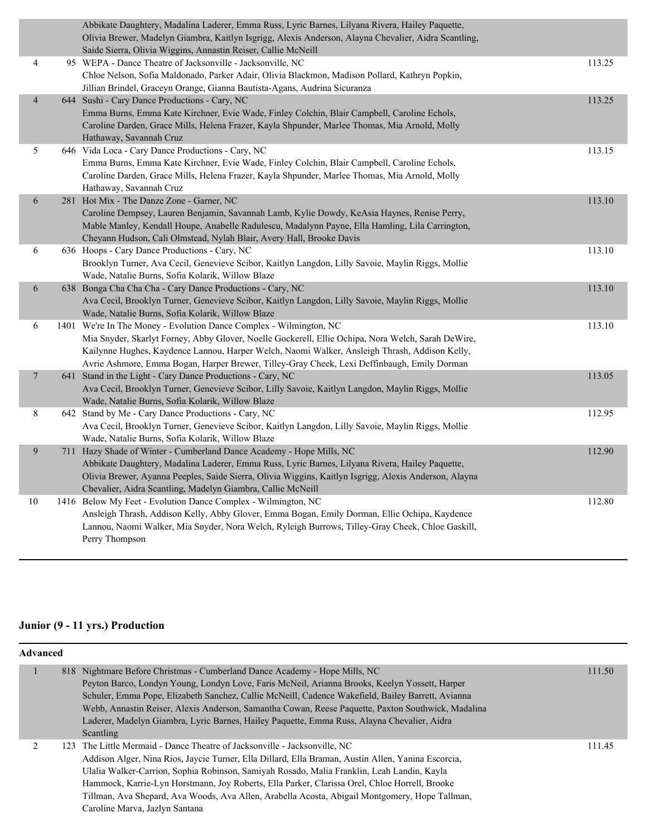|                 | Abbikate Daughtery, Madalina Laderer, Emma Russ, Lyric Barnes, Lilyana Rivera, Hailey Paquette,<br>Olivia Brewer, Madelyn Giambra, Kaitlyn Isgrigg, Alexis Anderson, Alayna Chevalier, Aidra Scantling, |        |
|-----------------|---------------------------------------------------------------------------------------------------------------------------------------------------------------------------------------------------------|--------|
|                 | Saide Sierra, Olivia Wiggins, Annastin Reiser, Callie McNeill                                                                                                                                           |        |
| 4               | 95 WEPA - Dance Theatre of Jacksonville - Jacksonville, NC                                                                                                                                              | 113.25 |
|                 | Chloe Nelson, Sofia Maldonado, Parker Adair, Olivia Blackmon, Madison Pollard, Kathryn Popkin,                                                                                                          |        |
|                 | Jillian Brindel, Graceyn Orange, Gianna Bautista-Agans, Audrina Sicuranza                                                                                                                               |        |
| $\overline{4}$  | 644 Sushi - Cary Dance Productions - Cary, NC                                                                                                                                                           | 113.25 |
|                 | Emma Burns, Emma Kate Kirchner, Evie Wade, Finley Colchin, Blair Campbell, Caroline Echols,                                                                                                             |        |
|                 | Caroline Darden, Grace Mills, Helena Frazer, Kayla Shpunder, Marlee Thomas, Mia Arnold, Molly                                                                                                           |        |
|                 | Hathaway, Savannah Cruz                                                                                                                                                                                 |        |
| $5\phantom{.0}$ | 646 Vida Loca - Cary Dance Productions - Cary, NC                                                                                                                                                       | 113.15 |
|                 | Emma Burns, Emma Kate Kirchner, Evie Wade, Finley Colchin, Blair Campbell, Caroline Echols,                                                                                                             |        |
|                 | Caroline Darden, Grace Mills, Helena Frazer, Kayla Shpunder, Marlee Thomas, Mia Arnold, Molly                                                                                                           |        |
|                 | Hathaway, Savannah Cruz                                                                                                                                                                                 |        |
| 6               | 281 Hot Mix - The Danze Zone - Garner, NC                                                                                                                                                               | 113.10 |
|                 | Caroline Dempsey, Lauren Benjamin, Savannah Lamb, Kylie Dowdy, KeAsia Haynes, Renise Perry,                                                                                                             |        |
|                 | Mable Manley, Kendall Houpe, Anabelle Radulescu, Madalynn Payne, Ella Hamling, Lila Carrington,                                                                                                         |        |
|                 | Cheyann Hudson, Cali Olmstead, Nylah Blair, Avery Hall, Brooke Davis                                                                                                                                    |        |
| 6               | 636 Hoops - Cary Dance Productions - Cary, NC                                                                                                                                                           | 113.10 |
|                 | Brooklyn Turner, Ava Cecil, Genevieve Scibor, Kaitlyn Langdon, Lilly Savoie, Maylin Riggs, Mollie                                                                                                       |        |
|                 | Wade, Natalie Burns, Sofia Kolarik, Willow Blaze                                                                                                                                                        |        |
| 6               | 638 Bonga Cha Cha Cha - Cary Dance Productions - Cary, NC                                                                                                                                               | 113.10 |
|                 | Ava Cecil, Brooklyn Turner, Genevieve Scibor, Kaitlyn Langdon, Lilly Savoie, Maylin Riggs, Mollie                                                                                                       |        |
|                 | Wade, Natalie Burns, Sofia Kolarik, Willow Blaze                                                                                                                                                        |        |
| 6               | 1401 We're In The Money - Evolution Dance Complex - Wilmington, NC                                                                                                                                      | 113.10 |
|                 | Mia Snyder, Skarlyt Forney, Abby Glover, Noelle Gockerell, Ellie Ochipa, Nora Welch, Sarah DeWire,                                                                                                      |        |
|                 | Kailynne Hughes, Kaydence Lannou, Harper Welch, Naomi Walker, Ansleigh Thrash, Addison Kelly,                                                                                                           |        |
|                 | Avrie Ashmore, Emma Bogan, Harper Brewer, Tilley-Gray Cheek, Lexi Deffinbaugh, Emily Dorman                                                                                                             |        |
| $7\phantom{.}$  | 641 Stand in the Light - Cary Dance Productions - Cary, NC                                                                                                                                              | 113.05 |
|                 | Ava Cecil, Brooklyn Turner, Genevieve Scibor, Lilly Savoie, Kaitlyn Langdon, Maylin Riggs, Mollie                                                                                                       |        |
|                 | Wade, Natalie Burns, Sofia Kolarik, Willow Blaze                                                                                                                                                        |        |
| $8\,$           | 642 Stand by Me - Cary Dance Productions - Cary, NC                                                                                                                                                     | 112.95 |
|                 | Ava Cecil, Brooklyn Turner, Genevieve Scibor, Kaitlyn Langdon, Lilly Savoie, Maylin Riggs, Mollie                                                                                                       |        |
|                 | Wade, Natalie Burns, Sofia Kolarik, Willow Blaze                                                                                                                                                        |        |
| 9               | 711 Hazy Shade of Winter - Cumberland Dance Academy - Hope Mills, NC                                                                                                                                    | 112.90 |
|                 | Abbikate Daughtery, Madalina Laderer, Emma Russ, Lyric Barnes, Lilyana Rivera, Hailey Paquette,                                                                                                         |        |
|                 | Olivia Brewer, Ayanna Peeples, Saide Sierra, Olivia Wiggins, Kaitlyn Isgrigg, Alexis Anderson, Alayna                                                                                                   |        |
|                 | Chevalier, Aidra Scantling, Madelyn Giambra, Callie McNeill                                                                                                                                             |        |
| 10              | 1416 Below My Feet - Evolution Dance Complex - Wilmington, NC                                                                                                                                           | 112.80 |
|                 | Ansleigh Thrash, Addison Kelly, Abby Glover, Emma Bogan, Emily Dorman, Ellie Ochipa, Kaydence                                                                                                           |        |
|                 | Lannou, Naomi Walker, Mia Snyder, Nora Welch, Ryleigh Burrows, Tilley-Gray Cheek, Chloe Gaskill,                                                                                                        |        |
|                 | Perry Thompson                                                                                                                                                                                          |        |

## **Junior (9 - 11 yrs.) Production**

|   | <b>Advanced</b> |                                                                                                                                                                                                                                                                                                                                                                                                                                                                                                                    |        |  |  |  |
|---|-----------------|--------------------------------------------------------------------------------------------------------------------------------------------------------------------------------------------------------------------------------------------------------------------------------------------------------------------------------------------------------------------------------------------------------------------------------------------------------------------------------------------------------------------|--------|--|--|--|
|   |                 | 818 Nightmare Before Christmas - Cumberland Dance Academy - Hope Mills, NC<br>Peyton Barco, Londyn Young, Londyn Love, Faris McNeil, Arianna Brooks, Keelyn Yossett, Harper<br>Schuler, Emma Pope, Elizabeth Sanchez, Callie McNeill, Cadence Wakefield, Bailey Barrett, Avianna<br>Webb, Annastin Reiser, Alexis Anderson, Samantha Cowan, Reese Paquette, Paxton Southwick, Madalina<br>Laderer, Madelyn Giambra, Lyric Barnes, Hailey Paquette, Emma Russ, Alayna Chevalier, Aidra<br>Scantling                 | 111.50 |  |  |  |
| ↑ |                 | 123 The Little Mermaid - Dance Theatre of Jacksonville - Jacksonville, NC<br>Addison Alger, Nina Rios, Jaycie Turner, Ella Dillard, Ella Braman, Austin Allen, Yanina Escorcia,<br>Ulalia Walker-Carrion, Sophia Robinson, Samiyah Rosado, Malia Franklin, Leah Landin, Kayla<br>Hammock, Karrie-Lyn Horstmann, Joy Roberts, Ella Parker, Clarissa Orel, Chloe Horrell, Brooke<br>Tillman, Ava Shepard, Ava Woods, Ava Allen, Arabella Acosta, Abigail Montgomery, Hope Tallman,<br>Caroline Marva, Jazlyn Santana | 111.45 |  |  |  |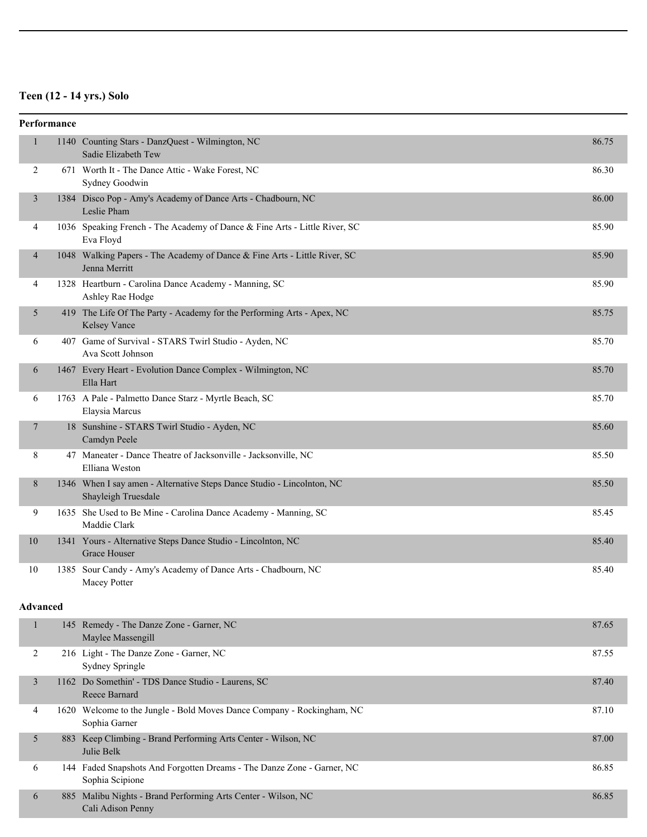## **Teen (12 - 14 yrs.) Solo**

|                 | Performance |                                                                                               |       |
|-----------------|-------------|-----------------------------------------------------------------------------------------------|-------|
| $\mathbf{1}$    |             | 1140 Counting Stars - DanzQuest - Wilmington, NC<br>Sadie Elizabeth Tew                       | 86.75 |
| 2               |             | 671 Worth It - The Dance Attic - Wake Forest, NC<br>Sydney Goodwin                            | 86.30 |
| 3               |             | 1384 Disco Pop - Amy's Academy of Dance Arts - Chadbourn, NC<br>Leslie Pham                   | 86.00 |
| 4               |             | 1036 Speaking French - The Academy of Dance & Fine Arts - Little River, SC<br>Eva Floyd       | 85.90 |
| $\overline{4}$  |             | 1048 Walking Papers - The Academy of Dance & Fine Arts - Little River, SC<br>Jenna Merritt    | 85.90 |
| 4               |             | 1328 Heartburn - Carolina Dance Academy - Manning, SC<br>Ashley Rae Hodge                     | 85.90 |
| 5               |             | 419 The Life Of The Party - Academy for the Performing Arts - Apex, NC<br>Kelsey Vance        | 85.75 |
| 6               |             | 407 Game of Survival - STARS Twirl Studio - Ayden, NC<br>Ava Scott Johnson                    | 85.70 |
| 6               |             | 1467 Every Heart - Evolution Dance Complex - Wilmington, NC<br>Ella Hart                      | 85.70 |
| 6               |             | 1763 A Pale - Palmetto Dance Starz - Myrtle Beach, SC<br>Elaysia Marcus                       | 85.70 |
| $\tau$          |             | 18 Sunshine - STARS Twirl Studio - Ayden, NC<br>Camdyn Peele                                  | 85.60 |
| 8               |             | 47 Maneater - Dance Theatre of Jacksonville - Jacksonville, NC<br>Elliana Weston              | 85.50 |
| 8               |             | 1346 When I say amen - Alternative Steps Dance Studio - Lincolnton, NC<br>Shayleigh Truesdale | 85.50 |
| 9               |             | 1635 She Used to Be Mine - Carolina Dance Academy - Manning, SC<br>Maddie Clark               | 85.45 |
| 10              |             | 1341 Yours - Alternative Steps Dance Studio - Lincolnton, NC<br><b>Grace Houser</b>           | 85.40 |
| 10              |             | 1385 Sour Candy - Amy's Academy of Dance Arts - Chadbourn, NC<br>Macey Potter                 | 85.40 |
| <b>Advanced</b> |             |                                                                                               |       |
| 1               |             | 145 Remedy - The Danze Zone - Garner, NC<br>Maylee Massengill                                 | 87.65 |
| $\overline{2}$  |             | 216 Light - The Danze Zone - Garner, NC<br>Sydney Springle                                    | 87.55 |

|   | $v, \text{unv}, v, \text{unv}$                                                            |       |
|---|-------------------------------------------------------------------------------------------|-------|
| 3 | 1162 Do Somethin' - TDS Dance Studio - Laurens, SC<br>Reece Barnard                       | 87.40 |
| 4 | 1620 Welcome to the Jungle - Bold Moves Dance Company - Rockingham, NC<br>Sophia Garner   | 87.10 |
|   | 883 Keep Climbing - Brand Performing Arts Center - Wilson, NC<br>Julie Belk               | 87.00 |
| 6 | 144 Faded Snapshots And Forgotten Dreams - The Danze Zone - Garner, NC<br>Sophia Scipione | 86.85 |
| 6 | 885 Malibu Nights - Brand Performing Arts Center - Wilson, NC<br>Cali Adison Penny        | 86.85 |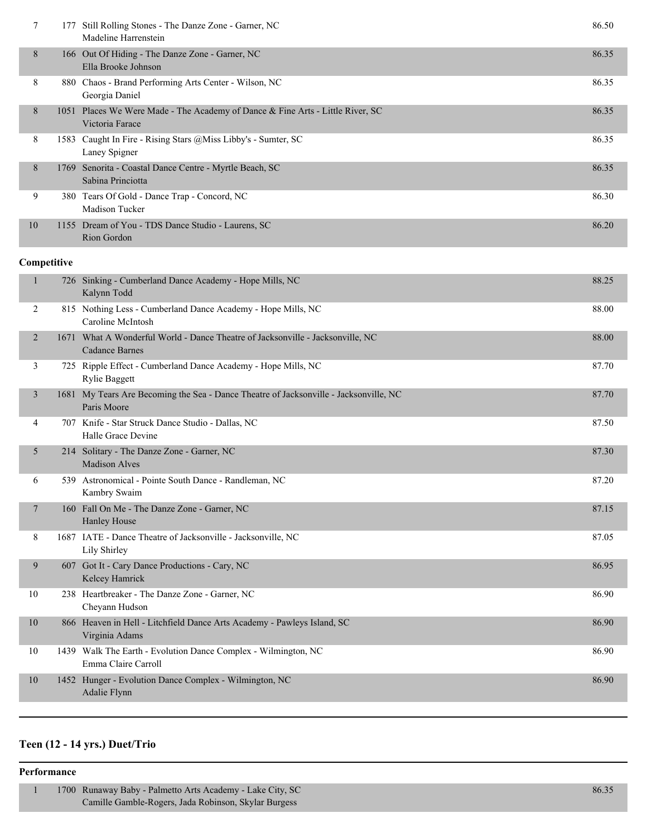|    | 177   | Still Rolling Stones - The Danze Zone - Garner, NC<br>Madeline Harrenstein                        | 86.50 |
|----|-------|---------------------------------------------------------------------------------------------------|-------|
| 8  |       | 166 Out Of Hiding - The Danze Zone - Garner, NC<br>Ella Brooke Johnson                            | 86.35 |
| 8  |       | 880 Chaos - Brand Performing Arts Center - Wilson, NC<br>Georgia Daniel                           | 86.35 |
| 8  |       | 1051 Places We Were Made - The Academy of Dance & Fine Arts - Little River, SC<br>Victoria Farace | 86.35 |
| 8  |       | 1583 Caught In Fire - Rising Stars @Miss Libby's - Sumter, SC<br>Laney Spigner                    | 86.35 |
| 8  | 1769- | Senorita - Coastal Dance Centre - Myrtle Beach, SC<br>Sabina Princiotta                           | 86.35 |
| 9  |       | 380 Tears Of Gold - Dance Trap - Concord, NC<br>Madison Tucker                                    | 86.30 |
| 10 |       | 1155 Dream of You - TDS Dance Studio - Laurens, SC<br>Rion Gordon                                 | 86.20 |

## **Competitive**

|    | 1  | 726 Sinking - Cumberland Dance Academy - Hope Mills, NC<br>Kalynn Todd                                  | 88.25 |
|----|----|---------------------------------------------------------------------------------------------------------|-------|
|    | 2  | 815 Nothing Less - Cumberland Dance Academy - Hope Mills, NC<br>Caroline McIntosh                       | 88.00 |
|    | 2  | 1671 What A Wonderful World - Dance Theatre of Jacksonville - Jacksonville, NC<br><b>Cadance Barnes</b> | 88.00 |
|    | 3  | 725 Ripple Effect - Cumberland Dance Academy - Hope Mills, NC<br><b>Rylie Baggett</b>                   | 87.70 |
|    | 3  | 1681 My Tears Are Becoming the Sea - Dance Theatre of Jacksonville - Jacksonville, NC<br>Paris Moore    | 87.70 |
|    | 4  | 707 Knife - Star Struck Dance Studio - Dallas, NC<br>Halle Grace Devine                                 | 87.50 |
|    | 5  | 214 Solitary - The Danze Zone - Garner, NC<br><b>Madison Alves</b>                                      | 87.30 |
|    | 6  | 539 Astronomical - Pointe South Dance - Randleman, NC<br>Kambry Swaim                                   | 87.20 |
|    | 7  | 160 Fall On Me - The Danze Zone - Garner, NC<br>Hanley House                                            | 87.15 |
|    | 8  | 1687 IATE - Dance Theatre of Jacksonville - Jacksonville, NC<br>Lily Shirley                            | 87.05 |
|    | 9  | 607 Got It - Cary Dance Productions - Cary, NC<br>Kelcey Hamrick                                        | 86.95 |
|    | 10 | 238 Heartbreaker - The Danze Zone - Garner, NC<br>Cheyann Hudson                                        | 86.90 |
|    | 10 | 866 Heaven in Hell - Litchfield Dance Arts Academy - Pawleys Island, SC<br>Virginia Adams               | 86.90 |
| 10 |    | 1439 Walk The Earth - Evolution Dance Complex - Wilmington, NC<br>Emma Claire Carroll                   | 86.90 |
|    | 10 | 1452 Hunger - Evolution Dance Complex - Wilmington, NC<br>Adalie Flynn                                  | 86.90 |
|    |    |                                                                                                         |       |

## **Teen (12 - 14 yrs.) Duet/Trio**

#### **Performance**

| 1700 Runaway Baby - Palmetto Arts Academy - Lake City, SC | 86.35 |
|-----------------------------------------------------------|-------|
| Camille Gamble-Rogers, Jada Robinson, Skylar Burgess      |       |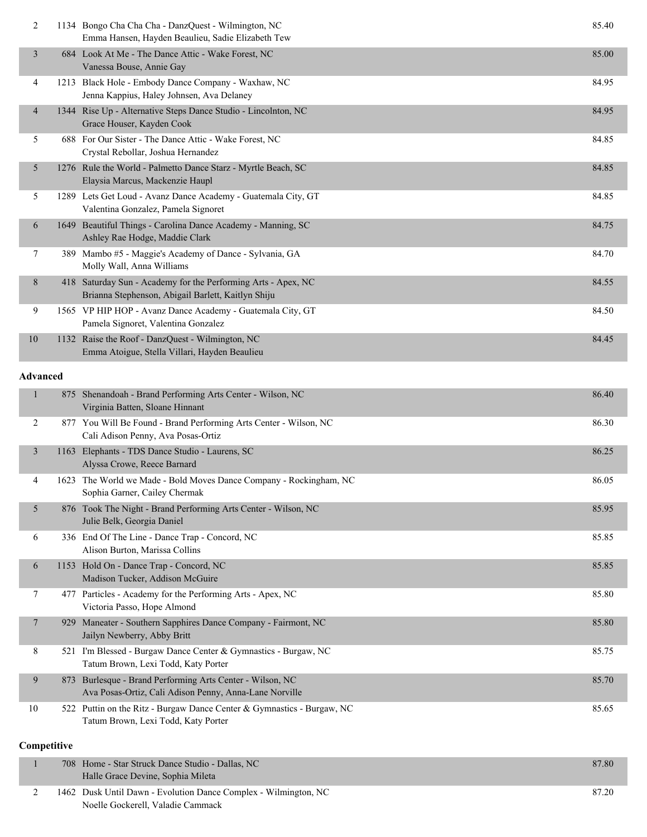| 2              |      | 1134 Bongo Cha Cha Cha - DanzQuest - Wilmington, NC<br>Emma Hansen, Hayden Beaulieu, Sadie Elizabeth Tew            | 85.40 |
|----------------|------|---------------------------------------------------------------------------------------------------------------------|-------|
| 3              |      | 684 Look At Me - The Dance Attic - Wake Forest, NC<br>Vanessa Bouse, Annie Gay                                      | 85.00 |
| 4              | 1213 | Black Hole - Embody Dance Company - Waxhaw, NC<br>Jenna Kappius, Haley Johnsen, Ava Delaney                         | 84.95 |
| $\overline{4}$ |      | 1344 Rise Up - Alternative Steps Dance Studio - Lincolnton, NC<br>Grace Houser, Kayden Cook                         | 84.95 |
| 5              |      | 688 For Our Sister - The Dance Attic - Wake Forest, NC<br>Crystal Rebollar, Joshua Hernandez                        | 84.85 |
| 5              |      | 1276 Rule the World - Palmetto Dance Starz - Myrtle Beach, SC<br>Elaysia Marcus, Mackenzie Haupl                    | 84.85 |
| 5              | 1289 | Lets Get Loud - Avanz Dance Academy - Guatemala City, GT<br>Valentina Gonzalez, Pamela Signoret                     | 84.85 |
| 6              | 1649 | Beautiful Things - Carolina Dance Academy - Manning, SC<br>Ashley Rae Hodge, Maddie Clark                           | 84.75 |
| 7              |      | 389 Mambo #5 - Maggie's Academy of Dance - Sylvania, GA<br>Molly Wall, Anna Williams                                | 84.70 |
| 8              |      | 418 Saturday Sun - Academy for the Performing Arts - Apex, NC<br>Brianna Stephenson, Abigail Barlett, Kaitlyn Shiju | 84.55 |
| 9              |      | 1565 VP HIP HOP - Avanz Dance Academy - Guatemala City, GT<br>Pamela Signoret, Valentina Gonzalez                   | 84.50 |
| 10             |      | 1132 Raise the Roof - DanzQuest - Wilmington, NC<br>Emma Atoigue, Stella Villari, Hayden Beaulieu                   | 84.45 |

#### **Advanced**

| 1              |      | 875 Shenandoah - Brand Performing Arts Center - Wilson, NC<br>Virginia Batten, Sloane Hinnant                   | 86.40 |
|----------------|------|-----------------------------------------------------------------------------------------------------------------|-------|
| 2              |      | 877 You Will Be Found - Brand Performing Arts Center - Wilson, NC<br>Cali Adison Penny, Ava Posas-Ortiz         | 86.30 |
| $\overline{3}$ | 1163 | Elephants - TDS Dance Studio - Laurens, SC<br>Alyssa Crowe, Reece Barnard                                       | 86.25 |
| 4              |      | 1623 The World we Made - Bold Moves Dance Company - Rockingham, NC<br>Sophia Garner, Cailey Chermak             | 86.05 |
| 5              |      | 876 Took The Night - Brand Performing Arts Center - Wilson, NC<br>Julie Belk, Georgia Daniel                    | 85.95 |
| 6              |      | 336 End Of The Line - Dance Trap - Concord, NC<br>Alison Burton, Marissa Collins                                | 85.85 |
| 6              | 1153 | Hold On - Dance Trap - Concord, NC<br>Madison Tucker, Addison McGuire                                           | 85.85 |
| 7              |      | 477 Particles - Academy for the Performing Arts - Apex, NC<br>Victoria Passo, Hope Almond                       | 85.80 |
| $\overline{7}$ |      | 929 Maneater - Southern Sapphires Dance Company - Fairmont, NC<br>Jailyn Newberry, Abby Britt                   | 85.80 |
| 8              |      | 521 I'm Blessed - Burgaw Dance Center & Gymnastics - Burgaw, NC<br>Tatum Brown, Lexi Todd, Katy Porter          | 85.75 |
| 9              | 873  | Burlesque - Brand Performing Arts Center - Wilson, NC<br>Ava Posas-Ortiz, Cali Adison Penny, Anna-Lane Norville | 85.70 |
| 10             |      | 522 Puttin on the Ritz - Burgaw Dance Center & Gymnastics - Burgaw, NC<br>Tatum Brown, Lexi Todd, Katy Porter   | 85.65 |
| Competitive    |      |                                                                                                                 |       |

#### 1 708 Home - Star Struck Dance Studio - Dallas, NC 87.80 Halle Grace Devine, Sophia Mileta 2 1462 Dusk Until Dawn - Evolution Dance Complex - Wilmington, NC 87.20 Noelle Gockerell, Valadie Cammack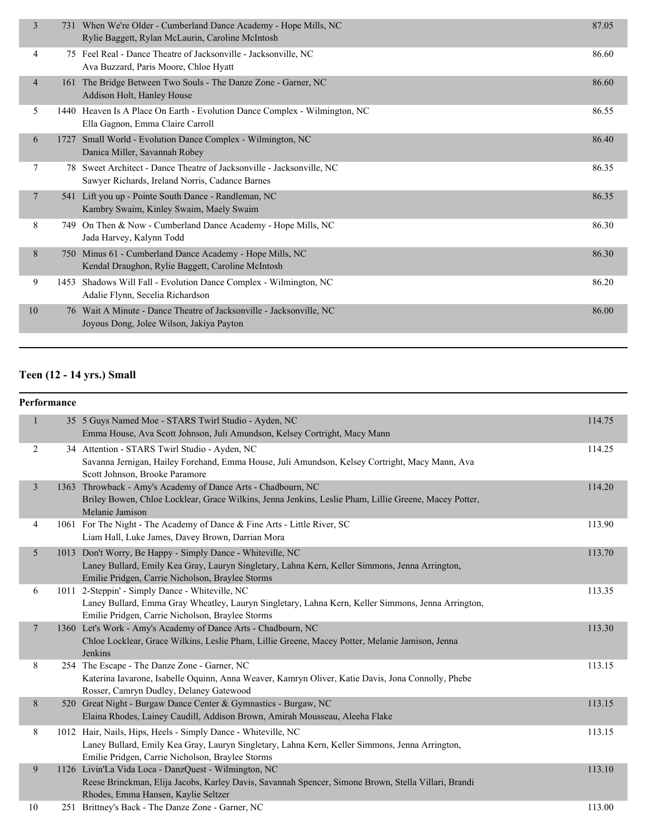| 3              | 731  | When We're Older - Cumberland Dance Academy - Hope Mills, NC<br>Rylie Baggett, Rylan McLaurin, Caroline McIntosh         | 87.05 |
|----------------|------|--------------------------------------------------------------------------------------------------------------------------|-------|
| 4              |      | 75 Feel Real - Dance Theatre of Jacksonville - Jacksonville, NC<br>Ava Buzzard, Paris Moore, Chloe Hyatt                 | 86.60 |
| $\overline{4}$ |      | 161 The Bridge Between Two Souls - The Danze Zone - Garner, NC<br>Addison Holt, Hanley House                             | 86.60 |
| 5              | 1440 | Heaven Is A Place On Earth - Evolution Dance Complex - Wilmington, NC<br>Ella Gagnon, Emma Claire Carroll                | 86.55 |
| 6              | 1727 | Small World - Evolution Dance Complex - Wilmington, NC<br>Danica Miller, Savannah Robey                                  | 86.40 |
| 7              |      | 78 Sweet Architect - Dance Theatre of Jacksonville - Jacksonville, NC<br>Sawyer Richards, Ireland Norris, Cadance Barnes | 86.35 |
| $\overline{7}$ |      | 541 Lift you up - Pointe South Dance - Randleman, NC<br>Kambry Swaim, Kinley Swaim, Maely Swaim                          | 86.35 |
| 8              | 749. | On Then & Now - Cumberland Dance Academy - Hope Mills, NC<br>Jada Harvey, Kalynn Todd                                    | 86.30 |
| 8              | 750- | Minus 61 - Cumberland Dance Academy - Hope Mills, NC<br>Kendal Draughon, Rylie Baggett, Caroline McIntosh                | 86.30 |
| 9              | 1453 | Shadows Will Fall - Evolution Dance Complex - Wilmington, NC<br>Adalie Flynn, Secelia Richardson                         | 86.20 |
| 10             | 76   | Wait A Minute - Dance Theatre of Jacksonville - Jacksonville, NC<br>Joyous Dong, Jolee Wilson, Jakiya Payton             | 86.00 |
|                |      |                                                                                                                          |       |

## **Teen (12 - 14 yrs.) Small**

#### **Performance**

| $\mathbf{1}$    | 35 5 Guys Named Moe - STARS Twirl Studio - Ayden, NC<br>Emma House, Ava Scott Johnson, Juli Amundson, Kelsey Cortright, Macy Mann                                                                                   | 114.75 |
|-----------------|---------------------------------------------------------------------------------------------------------------------------------------------------------------------------------------------------------------------|--------|
| $\overline{2}$  | 34 Attention - STARS Twirl Studio - Ayden, NC<br>Savanna Jernigan, Hailey Forehand, Emma House, Juli Amundson, Kelsey Cortright, Macy Mann, Ava<br>Scott Johnson, Brooke Paramore                                   | 114.25 |
| $\mathfrak{Z}$  | 1363 Throwback - Amy's Academy of Dance Arts - Chadbourn, NC<br>Briley Bowen, Chloe Locklear, Grace Wilkins, Jenna Jenkins, Leslie Pham, Lillie Greene, Macey Potter,<br>Melanie Jamison                            | 114.20 |
| 4               | 1061 For The Night - The Academy of Dance & Fine Arts - Little River, SC<br>Liam Hall, Luke James, Davey Brown, Darrian Mora                                                                                        | 113.90 |
| 5               | 1013 Don't Worry, Be Happy - Simply Dance - Whiteville, NC<br>Laney Bullard, Emily Kea Gray, Lauryn Singletary, Lahna Kern, Keller Simmons, Jenna Arrington,<br>Emilie Pridgen, Carrie Nicholson, Braylee Storms    | 113.70 |
| 6               | 1011 2-Steppin' - Simply Dance - Whiteville, NC<br>Laney Bullard, Emma Gray Wheatley, Lauryn Singletary, Lahna Kern, Keller Simmons, Jenna Arrington,<br>Emilie Pridgen, Carrie Nicholson, Braylee Storms           | 113.35 |
| $7\phantom{.0}$ | 1360 Let's Work - Amy's Academy of Dance Arts - Chadbourn, NC<br>Chloe Locklear, Grace Wilkins, Leslie Pham, Lillie Greene, Macey Potter, Melanie Jamison, Jenna<br>Jenkins                                         | 113.30 |
| 8               | 254 The Escape - The Danze Zone - Garner, NC<br>Katerina Iavarone, Isabelle Oquinn, Anna Weaver, Kamryn Oliver, Katie Davis, Jona Connolly, Phebe<br>Rosser, Camryn Dudley, Delaney Gatewood                        | 113.15 |
| 8               | 520 Great Night - Burgaw Dance Center & Gymnastics - Burgaw, NC<br>Elaina Rhodes, Lainey Caudill, Addison Brown, Amirah Mousseau, Aleeha Flake                                                                      | 113.15 |
| 8               | 1012 Hair, Nails, Hips, Heels - Simply Dance - Whiteville, NC<br>Laney Bullard, Emily Kea Gray, Lauryn Singletary, Lahna Kern, Keller Simmons, Jenna Arrington,<br>Emilie Pridgen, Carrie Nicholson, Braylee Storms | 113.15 |
| 9               | 1126 Livin'La Vida Loca - DanzQuest - Wilmington, NC<br>Reese Brinckman, Elija Jacobs, Karley Davis, Savannah Spencer, Simone Brown, Stella Villari, Brandi<br>Rhodes, Emma Hansen, Kaylie Seltzer                  | 113.10 |
| 10              | 251 Brittney's Back - The Danze Zone - Garner, NC                                                                                                                                                                   | 113.00 |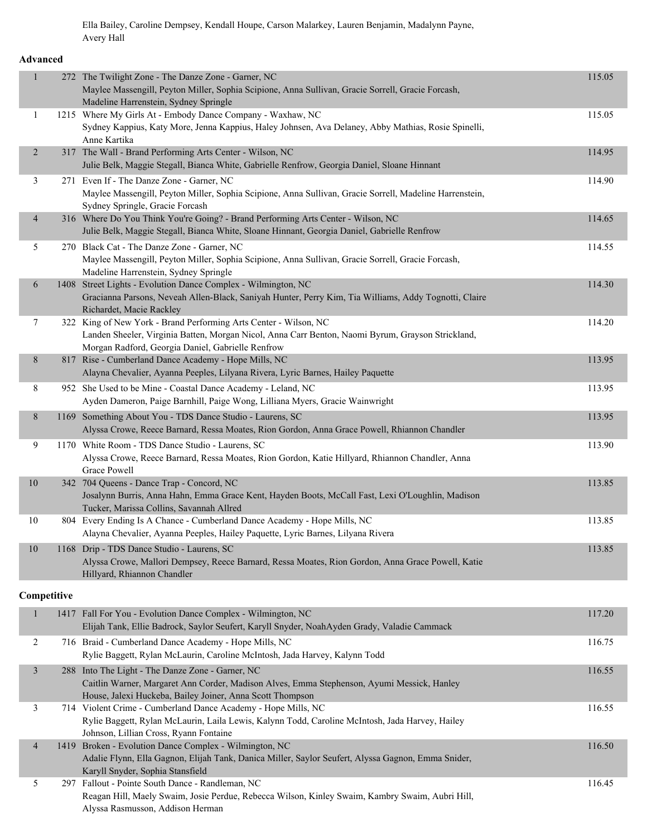Ella Bailey, Caroline Dempsey, Kendall Houpe, Carson Malarkey, Lauren Benjamin, Madalynn Payne, Avery Hall

| Advanced |  |
|----------|--|
|----------|--|

| $\mathbf{1}$   | 272 The Twilight Zone - The Danze Zone - Garner, NC<br>Maylee Massengill, Peyton Miller, Sophia Scipione, Anna Sullivan, Gracie Sorrell, Gracie Forcash,<br>Madeline Harrenstein, Sydney Springle                          | 115.05 |
|----------------|----------------------------------------------------------------------------------------------------------------------------------------------------------------------------------------------------------------------------|--------|
| $\mathbf{1}$   | 1215 Where My Girls At - Embody Dance Company - Waxhaw, NC<br>Sydney Kappius, Katy More, Jenna Kappius, Haley Johnsen, Ava Delaney, Abby Mathias, Rosie Spinelli,<br>Anne Kartika                                          | 115.05 |
| $\overline{2}$ | 317 The Wall - Brand Performing Arts Center - Wilson, NC<br>Julie Belk, Maggie Stegall, Bianca White, Gabrielle Renfrow, Georgia Daniel, Sloane Hinnant                                                                    | 114.95 |
| 3              | 271 Even If - The Danze Zone - Garner, NC<br>Maylee Massengill, Peyton Miller, Sophia Scipione, Anna Sullivan, Gracie Sorrell, Madeline Harrenstein,<br>Sydney Springle, Gracie Forcash                                    | 114.90 |
| $\overline{4}$ | 316 Where Do You Think You're Going? - Brand Performing Arts Center - Wilson, NC<br>Julie Belk, Maggie Stegall, Bianca White, Sloane Hinnant, Georgia Daniel, Gabrielle Renfrow                                            | 114.65 |
| 5              | 270 Black Cat - The Danze Zone - Garner, NC<br>Maylee Massengill, Peyton Miller, Sophia Scipione, Anna Sullivan, Gracie Sorrell, Gracie Forcash,<br>Madeline Harrenstein, Sydney Springle                                  | 114.55 |
| 6              | 1408 Street Lights - Evolution Dance Complex - Wilmington, NC<br>Gracianna Parsons, Neveah Allen-Black, Saniyah Hunter, Perry Kim, Tia Williams, Addy Tognotti, Claire<br>Richardet, Macie Rackley                         | 114.30 |
| 7              | 322 King of New York - Brand Performing Arts Center - Wilson, NC<br>Landen Sheeler, Virginia Batten, Morgan Nicol, Anna Carr Benton, Naomi Byrum, Grayson Strickland,<br>Morgan Radford, Georgia Daniel, Gabrielle Renfrow | 114.20 |
| 8              | 817 Rise - Cumberland Dance Academy - Hope Mills, NC<br>Alayna Chevalier, Ayanna Peeples, Lilyana Rivera, Lyric Barnes, Hailey Paquette                                                                                    | 113.95 |
| 8              | 952 She Used to be Mine - Coastal Dance Academy - Leland, NC<br>Ayden Dameron, Paige Barnhill, Paige Wong, Lilliana Myers, Gracie Wainwright                                                                               | 113.95 |
| $8\phantom{.}$ | 1169 Something About You - TDS Dance Studio - Laurens, SC<br>Alyssa Crowe, Reece Barnard, Ressa Moates, Rion Gordon, Anna Grace Powell, Rhiannon Chandler                                                                  | 113.95 |
| 9              | 1170 White Room - TDS Dance Studio - Laurens, SC<br>Alyssa Crowe, Reece Barnard, Ressa Moates, Rion Gordon, Katie Hillyard, Rhiannon Chandler, Anna<br>Grace Powell                                                        | 113.90 |
| 10             | 342 704 Queens - Dance Trap - Concord, NC<br>Josalynn Burris, Anna Hahn, Emma Grace Kent, Hayden Boots, McCall Fast, Lexi O'Loughlin, Madison<br>Tucker, Marissa Collins, Savannah Allred                                  | 113.85 |
| 10             | 804 Every Ending Is A Chance - Cumberland Dance Academy - Hope Mills, NC<br>Alayna Chevalier, Ayanna Peeples, Hailey Paquette, Lyric Barnes, Lilyana Rivera                                                                | 113.85 |
| 10             | 1168 Drip - TDS Dance Studio - Laurens, SC<br>Alyssa Crowe, Mallori Dempsey, Reece Barnard, Ressa Moates, Rion Gordon, Anna Grace Powell, Katie<br>Hillyard, Rhiannon Chandler                                             | 113.85 |
| Competitive    |                                                                                                                                                                                                                            |        |
| 1              | 1417 Fall For You - Evolution Dance Complex - Wilmington, NC<br>Elijah Tank, Ellie Badrock, Saylor Seufert, Karyll Snyder, NoahAyden Grady, Valadie Cammack                                                                | 117.20 |
| $\overline{2}$ | 716 Braid - Cumberland Dance Academy - Hope Mills, NC<br>Rylie Baggett, Rylan McLaurin, Caroline McIntosh, Jada Harvey, Kalynn Todd                                                                                        | 116.75 |
| $\mathfrak{Z}$ | 288 Into The Light - The Danze Zone - Garner, NC<br>Caitlin Warner, Margaret Ann Corder, Madison Alves, Emma Stephenson, Ayumi Messick, Hanley<br>House, Jalexi Huckeba, Bailey Joiner, Anna Scott Thompson                | 116.55 |
| 3              | 714 Violent Crime - Cumberland Dance Academy - Hope Mills, NC<br>Rylie Baggett, Rylan McLaurin, Laila Lewis, Kalynn Todd, Caroline McIntosh, Jada Harvey, Hailey<br>Johnson, Lillian Cross, Ryann Fontaine                 | 116.55 |
| 4              | 1419 Broken - Evolution Dance Complex - Wilmington, NC<br>Adalie Flynn, Ella Gagnon, Elijah Tank, Danica Miller, Saylor Seufert, Alyssa Gagnon, Emma Snider,<br>Karyll Snyder, Sophia Stansfield                           | 116.50 |
| 5              | 297 Fallout - Pointe South Dance - Randleman, NC<br>Reagan Hill, Maely Swaim, Josie Perdue, Rebecca Wilson, Kinley Swaim, Kambry Swaim, Aubri Hill,<br>Alyssa Rasmusson, Addison Herman                                    | 116.45 |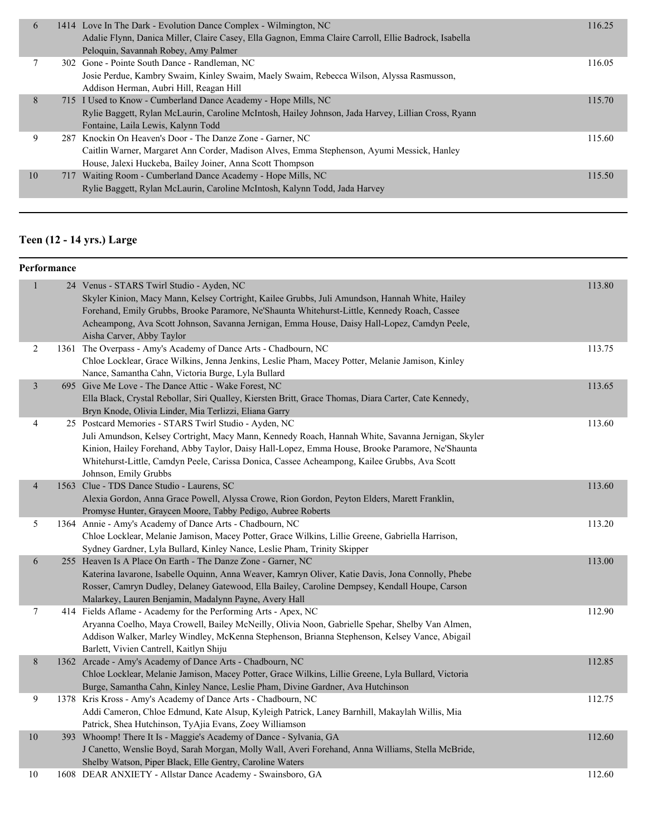| 1414 Love In The Dark - Evolution Dance Complex - Wilmington, NC<br>116.25<br>6<br>Adalie Flynn, Danica Miller, Claire Casey, Ella Gagnon, Emma Claire Carroll, Ellie Badrock, Isabella<br>Peloquin, Savannah Robey, Amy Palmer<br>302 Gone - Pointe South Dance - Randleman, NC<br>116.05<br>Josie Perdue, Kambry Swaim, Kinley Swaim, Maely Swaim, Rebecca Wilson, Alyssa Rasmusson,<br>Addison Herman, Aubri Hill, Reagan Hill<br>8<br>715 I Used to Know - Cumberland Dance Academy - Hope Mills, NC<br>115.70<br>Rylie Baggett, Rylan McLaurin, Caroline McIntosh, Hailey Johnson, Jada Harvey, Lillian Cross, Ryann<br>Fontaine, Laila Lewis, Kalynn Todd<br>287 Knockin On Heaven's Door - The Danze Zone - Garner, NC<br>115.60<br>9<br>Caitlin Warner, Margaret Ann Corder, Madison Alves, Emma Stephenson, Ayumi Messick, Hanley<br>House, Jalexi Huckeba, Bailey Joiner, Anna Scott Thompson<br>717 Waiting Room - Cumberland Dance Academy - Hope Mills, NC<br>10<br>115.50<br>Rylie Baggett, Rylan McLaurin, Caroline McIntosh, Kalynn Todd, Jada Harvey |  |  |
|-----------------------------------------------------------------------------------------------------------------------------------------------------------------------------------------------------------------------------------------------------------------------------------------------------------------------------------------------------------------------------------------------------------------------------------------------------------------------------------------------------------------------------------------------------------------------------------------------------------------------------------------------------------------------------------------------------------------------------------------------------------------------------------------------------------------------------------------------------------------------------------------------------------------------------------------------------------------------------------------------------------------------------------------------------------------------|--|--|
|                                                                                                                                                                                                                                                                                                                                                                                                                                                                                                                                                                                                                                                                                                                                                                                                                                                                                                                                                                                                                                                                       |  |  |
|                                                                                                                                                                                                                                                                                                                                                                                                                                                                                                                                                                                                                                                                                                                                                                                                                                                                                                                                                                                                                                                                       |  |  |
|                                                                                                                                                                                                                                                                                                                                                                                                                                                                                                                                                                                                                                                                                                                                                                                                                                                                                                                                                                                                                                                                       |  |  |
|                                                                                                                                                                                                                                                                                                                                                                                                                                                                                                                                                                                                                                                                                                                                                                                                                                                                                                                                                                                                                                                                       |  |  |
|                                                                                                                                                                                                                                                                                                                                                                                                                                                                                                                                                                                                                                                                                                                                                                                                                                                                                                                                                                                                                                                                       |  |  |

#### **Teen (12 - 14 yrs.) Large**

#### **Performance** 1 24 Venus - STARS Twirl Studio - Ayden, NC 113.80 Skyler Kinion, Macy Mann, Kelsey Cortright, Kailee Grubbs, Juli Amundson, Hannah White, Hailey Forehand, Emily Grubbs, Brooke Paramore, Ne'Shaunta Whitehurst-Little, Kennedy Roach, Cassee Acheampong, Ava Scott Johnson, Savanna Jernigan, Emma House, Daisy Hall-Lopez, Camdyn Peele, Aisha Carver, Abby Taylor 2 1361 The Overpass - Amy's Academy of Dance Arts - Chadbourn, NC 113.75 Chloe Locklear, Grace Wilkins, Jenna Jenkins, Leslie Pham, Macey Potter, Melanie Jamison, Kinley Nance, Samantha Cahn, Victoria Burge, Lyla Bullard 3 695 Give Me Love - The Dance Attic - Wake Forest, NC 113.65 Ella Black, Crystal Rebollar, Siri Qualley, Kiersten Britt, Grace Thomas, Diara Carter, Cate Kennedy, Bryn Knode, Olivia Linder, Mia Terlizzi, Eliana Garry 4 25 Postcard Memories - STARS Twirl Studio - Ayden, NC 113.60 Juli Amundson, Kelsey Cortright, Macy Mann, Kennedy Roach, Hannah White, Savanna Jernigan, Skyler Kinion, Hailey Forehand, Abby Taylor, Daisy Hall-Lopez, Emma House, Brooke Paramore, Ne'Shaunta Whitehurst-Little, Camdyn Peele, Carissa Donica, Cassee Acheampong, Kailee Grubbs, Ava Scott Johnson, Emily Grubbs 4 1563 Clue - TDS Dance Studio - Laurens, SC 113.60 Alexia Gordon, Anna Grace Powell, Alyssa Crowe, Rion Gordon, Peyton Elders, Marett Franklin, Promyse Hunter, Graycen Moore, Tabby Pedigo, Aubree Roberts 5 1364 Annie - Amy's Academy of Dance Arts - Chadbourn, NC 113.20 Chloe Locklear, Melanie Jamison, Macey Potter, Grace Wilkins, Lillie Greene, Gabriella Harrison, Sydney Gardner, Lyla Bullard, Kinley Nance, Leslie Pham, Trinity Skipper 6 255 Heaven Is A Place On Earth - The Danze Zone - Garner, NC 113.00 Katerina Iavarone, Isabelle Oquinn, Anna Weaver, Kamryn Oliver, Katie Davis, Jona Connolly, Phebe Rosser, Camryn Dudley, Delaney Gatewood, Ella Bailey, Caroline Dempsey, Kendall Houpe, Carson Malarkey, Lauren Benjamin, Madalynn Payne, Avery Hall 7 414 Fields Aflame - Academy for the Performing Arts - Apex, NC 112.90 Aryanna Coelho, Maya Crowell, Bailey McNeilly, Olivia Noon, Gabrielle Spehar, Shelby Van Almen, Addison Walker, Marley Windley, McKenna Stephenson, Brianna Stephenson, Kelsey Vance, Abigail Barlett, Vivien Cantrell, Kaitlyn Shiju 8 1362 Arcade - Amy's Academy of Dance Arts - Chadbourn, NC 112.85 Chloe Locklear, Melanie Jamison, Macey Potter, Grace Wilkins, Lillie Greene, Lyla Bullard, Victoria Burge, Samantha Cahn, Kinley Nance, Leslie Pham, Divine Gardner, Ava Hutchinson 9 1378 Kris Kross - Amy's Academy of Dance Arts - Chadbourn, NC 112.75 Addi Cameron, Chloe Edmund, Kate Alsup, Kyleigh Patrick, Laney Barnhill, Makaylah Willis, Mia Patrick, Shea Hutchinson, TyAjia Evans, Zoey Williamson 10 393 Whoomp! There It Is - Maggie's Academy of Dance - Sylvania, GA 112.60 J Canetto, Wenslie Boyd, Sarah Morgan, Molly Wall, Averi Forehand, Anna Williams, Stella McBride, Shelby Watson, Piper Black, Elle Gentry, Caroline Waters 10 1608 DEAR ANXIETY - Allstar Dance Academy - Swainsboro, GA 112.60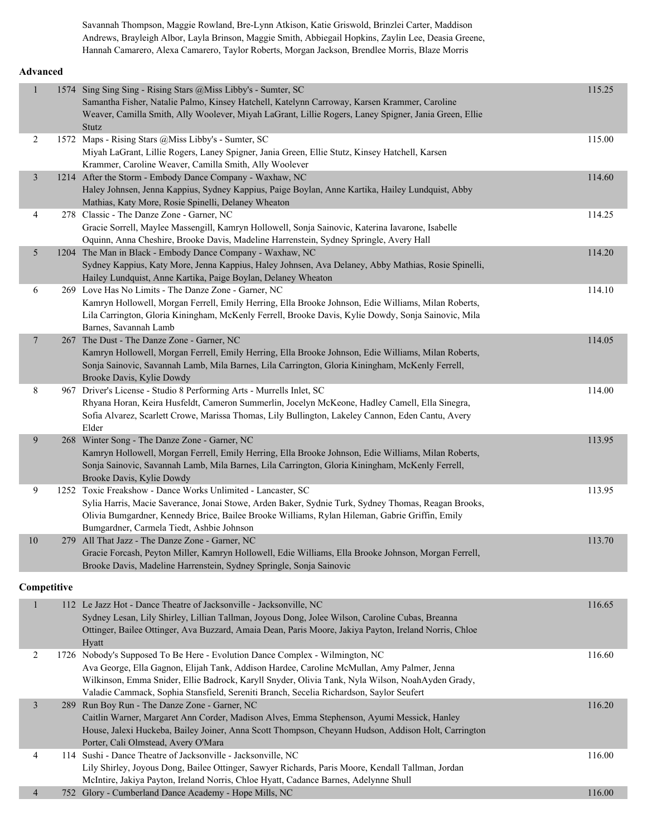Savannah Thompson, Maggie Rowland, Bre-Lynn Atkison, Katie Griswold, Brinzlei Carter, Maddison Andrews, Brayleigh Albor, Layla Brinson, Maggie Smith, Abbiegail Hopkins, Zaylin Lee, Deasia Greene, Hannah Camarero, Alexa Camarero, Taylor Roberts, Morgan Jackson, Brendlee Morris, Blaze Morris

#### **Advanced**

| $\mathbf{1}$   | 1574 Sing Sing Sing - Rising Stars @Miss Libby's - Sumter, SC<br>Samantha Fisher, Natalie Palmo, Kinsey Hatchell, Katelynn Carroway, Karsen Krammer, Caroline<br>Weaver, Camilla Smith, Ally Woolever, Miyah LaGrant, Lillie Rogers, Laney Spigner, Jania Green, Ellie<br>Stutz                                                                                           | 115.25 |
|----------------|---------------------------------------------------------------------------------------------------------------------------------------------------------------------------------------------------------------------------------------------------------------------------------------------------------------------------------------------------------------------------|--------|
| $\overline{2}$ | 1572 Maps - Rising Stars @Miss Libby's - Sumter, SC<br>Miyah LaGrant, Lillie Rogers, Laney Spigner, Jania Green, Ellie Stutz, Kinsey Hatchell, Karsen<br>Krammer, Caroline Weaver, Camilla Smith, Ally Woolever                                                                                                                                                           | 115.00 |
| 3              | 1214 After the Storm - Embody Dance Company - Waxhaw, NC<br>Haley Johnsen, Jenna Kappius, Sydney Kappius, Paige Boylan, Anne Kartika, Hailey Lundquist, Abby<br>Mathias, Katy More, Rosie Spinelli, Delaney Wheaton                                                                                                                                                       | 114.60 |
| 4              | 278 Classic - The Danze Zone - Garner, NC<br>Gracie Sorrell, Maylee Massengill, Kamryn Hollowell, Sonja Sainovic, Katerina Iavarone, Isabelle<br>Oquinn, Anna Cheshire, Brooke Davis, Madeline Harrenstein, Sydney Springle, Avery Hall                                                                                                                                   | 114.25 |
| 5              | 1204 The Man in Black - Embody Dance Company - Waxhaw, NC<br>Sydney Kappius, Katy More, Jenna Kappius, Haley Johnsen, Ava Delaney, Abby Mathias, Rosie Spinelli,<br>Hailey Lundquist, Anne Kartika, Paige Boylan, Delaney Wheaton                                                                                                                                         | 114.20 |
| 6              | 269 Love Has No Limits - The Danze Zone - Garner, NC<br>Kamryn Hollowell, Morgan Ferrell, Emily Herring, Ella Brooke Johnson, Edie Williams, Milan Roberts,<br>Lila Carrington, Gloria Kiningham, McKenly Ferrell, Brooke Davis, Kylie Dowdy, Sonja Sainovic, Mila<br>Barnes, Savannah Lamb                                                                               | 114.10 |
| 7              | 267 The Dust - The Danze Zone - Garner, NC<br>Kamryn Hollowell, Morgan Ferrell, Emily Herring, Ella Brooke Johnson, Edie Williams, Milan Roberts,<br>Sonja Sainovic, Savannah Lamb, Mila Barnes, Lila Carrington, Gloria Kiningham, McKenly Ferrell,<br>Brooke Davis, Kylie Dowdy                                                                                         | 114.05 |
| 8              | 967 Driver's License - Studio 8 Performing Arts - Murrells Inlet, SC<br>Rhyana Horan, Keira Husfeldt, Cameron Summerlin, Jocelyn McKeone, Hadley Camell, Ella Sinegra,<br>Sofia Alvarez, Scarlett Crowe, Marissa Thomas, Lily Bullington, Lakeley Cannon, Eden Cantu, Avery<br>Elder                                                                                      | 114.00 |
| 9              | 268 Winter Song - The Danze Zone - Garner, NC<br>Kamryn Hollowell, Morgan Ferrell, Emily Herring, Ella Brooke Johnson, Edie Williams, Milan Roberts,<br>Sonja Sainovic, Savannah Lamb, Mila Barnes, Lila Carrington, Gloria Kiningham, McKenly Ferrell,<br>Brooke Davis, Kylie Dowdy                                                                                      | 113.95 |
| 9              | 1252 Toxic Freakshow - Dance Works Unlimited - Lancaster, SC<br>Sylia Harris, Macie Saverance, Jonai Stowe, Arden Baker, Sydnie Turk, Sydney Thomas, Reagan Brooks,<br>Olivia Bumgardner, Kennedy Brice, Bailee Brooke Williams, Rylan Hileman, Gabrie Griffin, Emily<br>Bumgardner, Carmela Tiedt, Ashbie Johnson                                                        | 113.95 |
| 10             | 279 All That Jazz - The Danze Zone - Garner, NC<br>Gracie Forcash, Peyton Miller, Kamryn Hollowell, Edie Williams, Ella Brooke Johnson, Morgan Ferrell,<br>Brooke Davis, Madeline Harrenstein, Sydney Springle, Sonja Sainovic                                                                                                                                            | 113.70 |
| Competitive    |                                                                                                                                                                                                                                                                                                                                                                           |        |
| $\mathbf{1}$   | 112 Le Jazz Hot - Dance Theatre of Jacksonville - Jacksonville, NC<br>Sydney Lesan, Lily Shirley, Lillian Tallman, Joyous Dong, Jolee Wilson, Caroline Cubas, Breanna<br>Ottinger, Bailee Ottinger, Ava Buzzard, Amaia Dean, Paris Moore, Jakiya Payton, Ireland Norris, Chloe<br>Hyatt                                                                                   | 116.65 |
| 2              | 1726 Nobody's Supposed To Be Here - Evolution Dance Complex - Wilmington, NC<br>Ava George, Ella Gagnon, Elijah Tank, Addison Hardee, Caroline McMullan, Amy Palmer, Jenna<br>Wilkinson, Emma Snider, Ellie Badrock, Karyll Snyder, Olivia Tank, Nyla Wilson, NoahAyden Grady,<br>Valadie Cammack, Sophia Stansfield, Sereniti Branch, Secelia Richardson, Saylor Seufert | 116.60 |
| $\mathfrak{Z}$ | 289 Run Boy Run - The Danze Zone - Garner, NC<br>Caitlin Warner, Margaret Ann Corder, Madison Alves, Emma Stephenson, Ayumi Messick, Hanley<br>House, Jalexi Huckeba, Bailey Joiner, Anna Scott Thompson, Cheyann Hudson, Addison Holt, Carrington<br>Porter, Cali Olmstead, Avery O'Mara                                                                                 | 116.20 |
| 4              | 114 Sushi - Dance Theatre of Jacksonville - Jacksonville, NC<br>Lily Shirley, Joyous Dong, Bailee Ottinger, Sawyer Richards, Paris Moore, Kendall Tallman, Jordan<br>McIntire, Jakiya Payton, Ireland Norris, Chloe Hyatt, Cadance Barnes, Adelynne Shull                                                                                                                 | 116.00 |
| 4              | 752 Glory - Cumberland Dance Academy - Hope Mills, NC                                                                                                                                                                                                                                                                                                                     | 116.00 |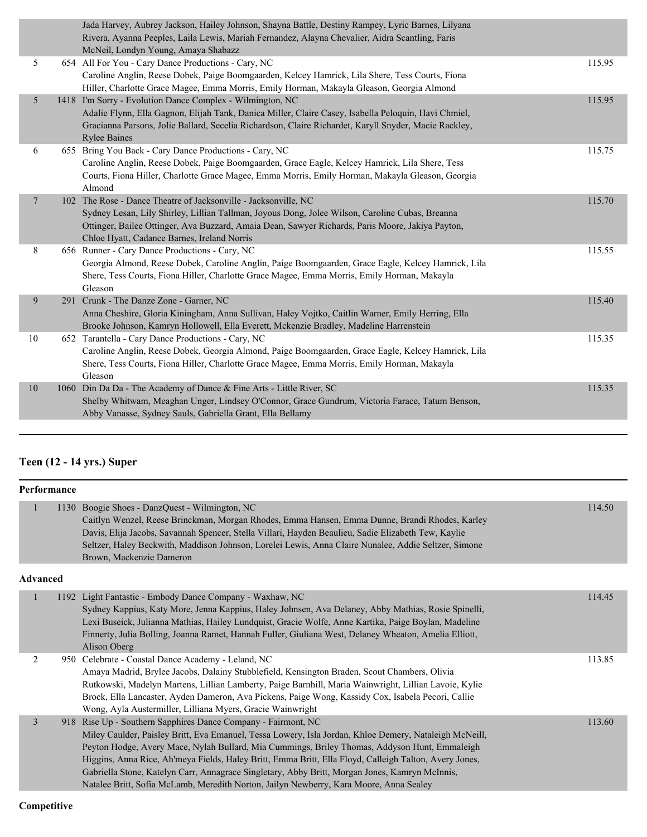|                 | Jada Harvey, Aubrey Jackson, Hailey Johnson, Shayna Battle, Destiny Rampey, Lyric Barnes, Lilyana<br>Rivera, Ayanna Peeples, Laila Lewis, Mariah Fernandez, Alayna Chevalier, Aidra Scantling, Faris<br>McNeil, Londyn Young, Amaya Shabazz                                                                           |        |
|-----------------|-----------------------------------------------------------------------------------------------------------------------------------------------------------------------------------------------------------------------------------------------------------------------------------------------------------------------|--------|
| 5               | 654 All For You - Cary Dance Productions - Cary, NC<br>Caroline Anglin, Reese Dobek, Paige Boomgaarden, Kelcey Hamrick, Lila Shere, Tess Courts, Fiona<br>Hiller, Charlotte Grace Magee, Emma Morris, Emily Horman, Makayla Gleason, Georgia Almond                                                                   | 115.95 |
| $5\overline{)}$ | 1418 I'm Sorry - Evolution Dance Complex - Wilmington, NC<br>Adalie Flynn, Ella Gagnon, Elijah Tank, Danica Miller, Claire Casey, Isabella Peloquin, Havi Chmiel,<br>Gracianna Parsons, Jolie Ballard, Secelia Richardson, Claire Richardet, Karyll Snyder, Macie Rackley,<br><b>Rylee Baines</b>                     | 115.95 |
| 6               | 655 Bring You Back - Cary Dance Productions - Cary, NC<br>Caroline Anglin, Reese Dobek, Paige Boomgaarden, Grace Eagle, Kelcey Hamrick, Lila Shere, Tess<br>Courts, Fiona Hiller, Charlotte Grace Magee, Emma Morris, Emily Horman, Makayla Gleason, Georgia<br>Almond                                                | 115.75 |
| $\tau$          | 102 The Rose - Dance Theatre of Jacksonville - Jacksonville, NC<br>Sydney Lesan, Lily Shirley, Lillian Tallman, Joyous Dong, Jolee Wilson, Caroline Cubas, Breanna<br>Ottinger, Bailee Ottinger, Ava Buzzard, Amaia Dean, Sawyer Richards, Paris Moore, Jakiya Payton,<br>Chloe Hyatt, Cadance Barnes, Ireland Norris | 115.70 |
| 8               | 656 Runner - Cary Dance Productions - Cary, NC<br>Georgia Almond, Reese Dobek, Caroline Anglin, Paige Boomgaarden, Grace Eagle, Kelcey Hamrick, Lila<br>Shere, Tess Courts, Fiona Hiller, Charlotte Grace Magee, Emma Morris, Emily Horman, Makayla<br>Gleason                                                        | 115.55 |
| 9               | 291 Crunk - The Danze Zone - Garner, NC<br>Anna Cheshire, Gloria Kiningham, Anna Sullivan, Haley Vojtko, Caitlin Warner, Emily Herring, Ella<br>Brooke Johnson, Kamryn Hollowell, Ella Everett, Mckenzie Bradley, Madeline Harrenstein                                                                                | 115.40 |
| 10              | 652 Tarantella - Cary Dance Productions - Cary, NC<br>Caroline Anglin, Reese Dobek, Georgia Almond, Paige Boomgaarden, Grace Eagle, Kelcey Hamrick, Lila<br>Shere, Tess Courts, Fiona Hiller, Charlotte Grace Magee, Emma Morris, Emily Horman, Makayla<br>Gleason                                                    | 115.35 |
| 10              | 1060 Din Da Da - The Academy of Dance & Fine Arts - Little River, SC<br>Shelby Whitwam, Meaghan Unger, Lindsey O'Connor, Grace Gundrum, Victoria Farace, Tatum Benson,<br>Abby Vanasse, Sydney Sauls, Gabriella Grant, Ella Bellamy                                                                                   | 115.35 |
|                 |                                                                                                                                                                                                                                                                                                                       |        |

## **Teen (12 - 14 yrs.) Super**

| Performance |
|-------------|
|             |

| 1130 Boogie Shoes - DanzQuest - Wilmington, NC<br>114.50<br>Caitlyn Wenzel, Reese Brinckman, Morgan Rhodes, Emma Hansen, Emma Dunne, Brandi Rhodes, Karley<br>Davis, Elija Jacobs, Savannah Spencer, Stella Villari, Hayden Beaulieu, Sadie Elizabeth Tew, Kaylie<br>Seltzer, Haley Beckwith, Maddison Johnson, Lorelei Lewis, Anna Claire Nunalee, Addie Seltzer, Simone<br>Brown, Mackenzie Dameron<br>Advanced<br>$\mathbf{1}$<br>1192 Light Fantastic - Embody Dance Company - Waxhaw, NC<br>114.45<br>Sydney Kappius, Katy More, Jenna Kappius, Haley Johnsen, Ava Delaney, Abby Mathias, Rosie Spinelli,<br>Lexi Buseick, Julianna Mathias, Hailey Lundquist, Gracie Wolfe, Anne Kartika, Paige Boylan, Madeline<br>Finnerty, Julia Bolling, Joanna Ramet, Hannah Fuller, Giuliana West, Delaney Wheaton, Amelia Elliott, |  |              |  |
|---------------------------------------------------------------------------------------------------------------------------------------------------------------------------------------------------------------------------------------------------------------------------------------------------------------------------------------------------------------------------------------------------------------------------------------------------------------------------------------------------------------------------------------------------------------------------------------------------------------------------------------------------------------------------------------------------------------------------------------------------------------------------------------------------------------------------------|--|--------------|--|
|                                                                                                                                                                                                                                                                                                                                                                                                                                                                                                                                                                                                                                                                                                                                                                                                                                 |  |              |  |
|                                                                                                                                                                                                                                                                                                                                                                                                                                                                                                                                                                                                                                                                                                                                                                                                                                 |  |              |  |
|                                                                                                                                                                                                                                                                                                                                                                                                                                                                                                                                                                                                                                                                                                                                                                                                                                 |  |              |  |
|                                                                                                                                                                                                                                                                                                                                                                                                                                                                                                                                                                                                                                                                                                                                                                                                                                 |  |              |  |
|                                                                                                                                                                                                                                                                                                                                                                                                                                                                                                                                                                                                                                                                                                                                                                                                                                 |  |              |  |
|                                                                                                                                                                                                                                                                                                                                                                                                                                                                                                                                                                                                                                                                                                                                                                                                                                 |  |              |  |
|                                                                                                                                                                                                                                                                                                                                                                                                                                                                                                                                                                                                                                                                                                                                                                                                                                 |  |              |  |
|                                                                                                                                                                                                                                                                                                                                                                                                                                                                                                                                                                                                                                                                                                                                                                                                                                 |  |              |  |
|                                                                                                                                                                                                                                                                                                                                                                                                                                                                                                                                                                                                                                                                                                                                                                                                                                 |  | Alison Oberg |  |
| $\overline{2}$<br>113.85<br>950 Celebrate - Coastal Dance Academy - Leland, NC                                                                                                                                                                                                                                                                                                                                                                                                                                                                                                                                                                                                                                                                                                                                                  |  |              |  |
| Amaya Madrid, Brylee Jacobs, Dalainy Stubblefield, Kensington Braden, Scout Chambers, Olivia                                                                                                                                                                                                                                                                                                                                                                                                                                                                                                                                                                                                                                                                                                                                    |  |              |  |
| Rutkowski, Madelyn Martens, Lillian Lamberty, Paige Barnhill, Maria Wainwright, Lillian Lavoie, Kylie                                                                                                                                                                                                                                                                                                                                                                                                                                                                                                                                                                                                                                                                                                                           |  |              |  |
| Brock, Ella Lancaster, Ayden Dameron, Ava Pickens, Paige Wong, Kassidy Cox, Isabela Pecori, Callie                                                                                                                                                                                                                                                                                                                                                                                                                                                                                                                                                                                                                                                                                                                              |  |              |  |
| Wong, Ayla Austermiller, Lilliana Myers, Gracie Wainwright                                                                                                                                                                                                                                                                                                                                                                                                                                                                                                                                                                                                                                                                                                                                                                      |  |              |  |
| 3<br>918 Rise Up - Southern Sapphires Dance Company - Fairmont, NC<br>113.60                                                                                                                                                                                                                                                                                                                                                                                                                                                                                                                                                                                                                                                                                                                                                    |  |              |  |
| Miley Caulder, Paisley Britt, Eva Emanuel, Tessa Lowery, Isla Jordan, Khloe Demery, Nataleigh McNeill,                                                                                                                                                                                                                                                                                                                                                                                                                                                                                                                                                                                                                                                                                                                          |  |              |  |
| Peyton Hodge, Avery Mace, Nylah Bullard, Mia Cummings, Briley Thomas, Addyson Hunt, Emmaleigh                                                                                                                                                                                                                                                                                                                                                                                                                                                                                                                                                                                                                                                                                                                                   |  |              |  |
| Higgins, Anna Rice, Ah'meya Fields, Haley Britt, Emma Britt, Ella Floyd, Calleigh Talton, Avery Jones,                                                                                                                                                                                                                                                                                                                                                                                                                                                                                                                                                                                                                                                                                                                          |  |              |  |
| Gabriella Stone, Katelyn Carr, Annagrace Singletary, Abby Britt, Morgan Jones, Kamryn McInnis,                                                                                                                                                                                                                                                                                                                                                                                                                                                                                                                                                                                                                                                                                                                                  |  |              |  |
| Natalee Britt, Sofia McLamb, Meredith Norton, Jailyn Newberry, Kara Moore, Anna Sealey                                                                                                                                                                                                                                                                                                                                                                                                                                                                                                                                                                                                                                                                                                                                          |  |              |  |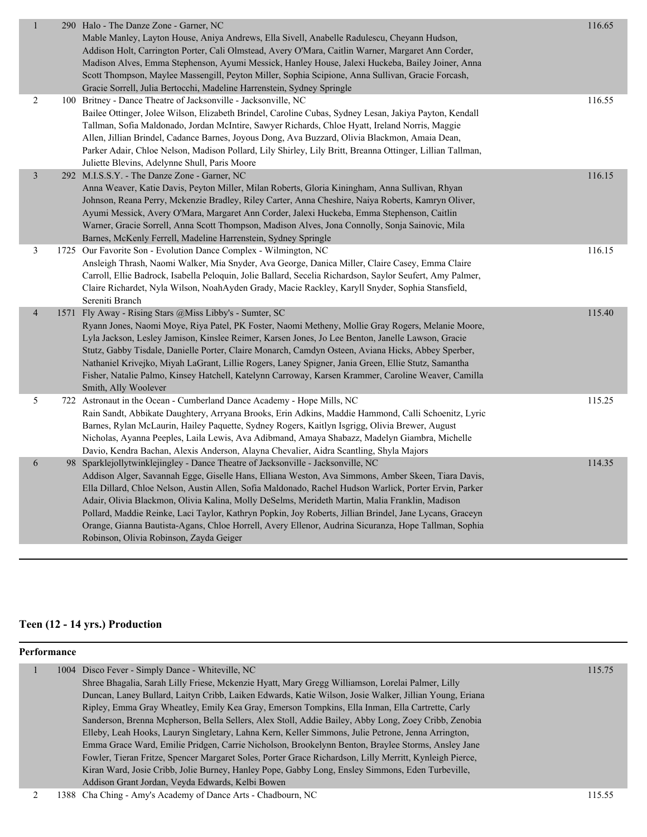| $\mathbf{1}$   | 290 Halo - The Danze Zone - Garner, NC<br>Mable Manley, Layton House, Aniya Andrews, Ella Sivell, Anabelle Radulescu, Cheyann Hudson,<br>Addison Holt, Carrington Porter, Cali Olmstead, Avery O'Mara, Caitlin Warner, Margaret Ann Corder,<br>Madison Alves, Emma Stephenson, Ayumi Messick, Hanley House, Jalexi Huckeba, Bailey Joiner, Anna<br>Scott Thompson, Maylee Massengill, Peyton Miller, Sophia Scipione, Anna Sullivan, Gracie Forcash,<br>Gracie Sorrell, Julia Bertocchi, Madeline Harrenstein, Sydney Springle                                                                                                                                   | 116.65 |
|----------------|------------------------------------------------------------------------------------------------------------------------------------------------------------------------------------------------------------------------------------------------------------------------------------------------------------------------------------------------------------------------------------------------------------------------------------------------------------------------------------------------------------------------------------------------------------------------------------------------------------------------------------------------------------------|--------|
| $\overline{c}$ | 100 Britney - Dance Theatre of Jacksonville - Jacksonville, NC<br>Bailee Ottinger, Jolee Wilson, Elizabeth Brindel, Caroline Cubas, Sydney Lesan, Jakiya Payton, Kendall<br>Tallman, Sofia Maldonado, Jordan McIntire, Sawyer Richards, Chloe Hyatt, Ireland Norris, Maggie<br>Allen, Jillian Brindel, Cadance Barnes, Joyous Dong, Ava Buzzard, Olivia Blackmon, Amaia Dean,<br>Parker Adair, Chloe Nelson, Madison Pollard, Lily Shirley, Lily Britt, Breanna Ottinger, Lillian Tallman,<br>Juliette Blevins, Adelynne Shull, Paris Moore                                                                                                                      | 116.55 |
| $\mathfrak{Z}$ | 292 M.I.S.S.Y. - The Danze Zone - Garner, NC<br>Anna Weaver, Katie Davis, Peyton Miller, Milan Roberts, Gloria Kiningham, Anna Sullivan, Rhyan<br>Johnson, Reana Perry, Mckenzie Bradley, Riley Carter, Anna Cheshire, Naiya Roberts, Kamryn Oliver,<br>Ayumi Messick, Avery O'Mara, Margaret Ann Corder, Jalexi Huckeba, Emma Stephenson, Caitlin<br>Warner, Gracie Sorrell, Anna Scott Thompson, Madison Alves, Jona Connolly, Sonja Sainovic, Mila<br>Barnes, McKenly Ferrell, Madeline Harrenstein, Sydney Springle                                                                                                                                          | 116.15 |
| 3              | 1725 Our Favorite Son - Evolution Dance Complex - Wilmington, NC<br>Ansleigh Thrash, Naomi Walker, Mia Snyder, Ava George, Danica Miller, Claire Casey, Emma Claire<br>Carroll, Ellie Badrock, Isabella Peloquin, Jolie Ballard, Secelia Richardson, Saylor Seufert, Amy Palmer,<br>Claire Richardet, Nyla Wilson, NoahAyden Grady, Macie Rackley, Karyll Snyder, Sophia Stansfield,<br>Sereniti Branch                                                                                                                                                                                                                                                          | 116.15 |
| $\overline{4}$ | 1571 Fly Away - Rising Stars @Miss Libby's - Sumter, SC<br>Ryann Jones, Naomi Moye, Riya Patel, PK Foster, Naomi Metheny, Mollie Gray Rogers, Melanie Moore,<br>Lyla Jackson, Lesley Jamison, Kinslee Reimer, Karsen Jones, Jo Lee Benton, Janelle Lawson, Gracie<br>Stutz, Gabby Tisdale, Danielle Porter, Claire Monarch, Camdyn Osteen, Aviana Hicks, Abbey Sperber,<br>Nathaniel Krivejko, Miyah LaGrant, Lillie Rogers, Laney Spigner, Jania Green, Ellie Stutz, Samantha<br>Fisher, Natalie Palmo, Kinsey Hatchell, Katelynn Carroway, Karsen Krammer, Caroline Weaver, Camilla<br>Smith, Ally Woolever                                                    | 115.40 |
| 5              | 722 Astronaut in the Ocean - Cumberland Dance Academy - Hope Mills, NC<br>Rain Sandt, Abbikate Daughtery, Arryana Brooks, Erin Adkins, Maddie Hammond, Calli Schoenitz, Lyric<br>Barnes, Rylan McLaurin, Hailey Paquette, Sydney Rogers, Kaitlyn Isgrigg, Olivia Brewer, August<br>Nicholas, Ayanna Peeples, Laila Lewis, Ava Adibmand, Amaya Shabazz, Madelyn Giambra, Michelle<br>Davio, Kendra Bachan, Alexis Anderson, Alayna Chevalier, Aidra Scantling, Shyla Majors                                                                                                                                                                                       | 115.25 |
| 6              | 98 Sparklejollytwinklejingley - Dance Theatre of Jacksonville - Jacksonville, NC<br>Addison Alger, Savannah Egge, Giselle Hans, Elliana Weston, Ava Simmons, Amber Skeen, Tiara Davis,<br>Ella Dillard, Chloe Nelson, Austin Allen, Sofia Maldonado, Rachel Hudson Warlick, Porter Ervin, Parker<br>Adair, Olivia Blackmon, Olivia Kalina, Molly DeSelms, Merideth Martin, Malia Franklin, Madison<br>Pollard, Maddie Reinke, Laci Taylor, Kathryn Popkin, Joy Roberts, Jillian Brindel, Jane Lycans, Graceyn<br>Orange, Gianna Bautista-Agans, Chloe Horrell, Avery Ellenor, Audrina Sicuranza, Hope Tallman, Sophia<br>Robinson, Olivia Robinson, Zayda Geiger | 114.35 |

## **Teen (12 - 14 yrs.) Production**

| Performance |  |                                                                                                         |        |
|-------------|--|---------------------------------------------------------------------------------------------------------|--------|
|             |  | 1004 Disco Fever - Simply Dance - Whiteville, NC                                                        | 115.75 |
|             |  | Shree Bhagalia, Sarah Lilly Friese, Mckenzie Hyatt, Mary Gregg Williamson, Lorelai Palmer, Lilly        |        |
|             |  | Duncan, Laney Bullard, Laityn Cribb, Laiken Edwards, Katie Wilson, Josie Walker, Jillian Young, Eriana  |        |
|             |  | Ripley, Emma Gray Wheatley, Emily Kea Gray, Emerson Tompkins, Ella Inman, Ella Cartrette, Carly         |        |
|             |  | Sanderson, Brenna Mcpherson, Bella Sellers, Alex Stoll, Addie Bailey, Abby Long, Zoey Cribb, Zenobia    |        |
|             |  | Elleby, Leah Hooks, Lauryn Singletary, Lahna Kern, Keller Simmons, Julie Petrone, Jenna Arrington,      |        |
|             |  | Emma Grace Ward, Emilie Pridgen, Carrie Nicholson, Brookelynn Benton, Braylee Storms, Ansley Jane       |        |
|             |  | Fowler, Tieran Fritze, Spencer Margaret Soles, Porter Grace Richardson, Lilly Merritt, Kynleigh Pierce, |        |
|             |  | Kiran Ward, Josie Cribb, Jolie Burney, Hanley Pope, Gabby Long, Ensley Simmons, Eden Turbeville,        |        |
|             |  | Addison Grant Jordan, Veyda Edwards, Kelbi Bowen                                                        |        |
|             |  | $\overline{a}$                                                                                          |        |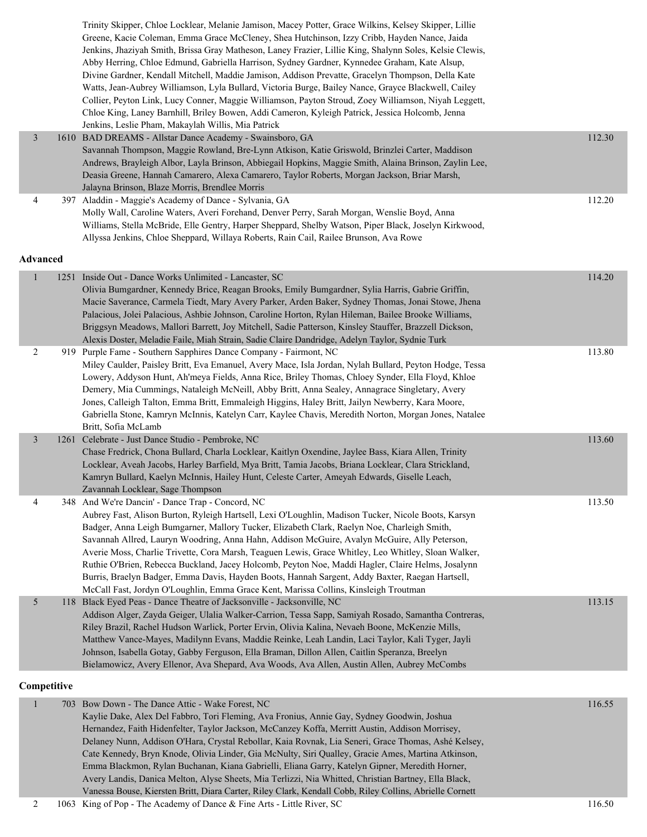|                 |      | Trinity Skipper, Chloe Locklear, Melanie Jamison, Macey Potter, Grace Wilkins, Kelsey Skipper, Lillie<br>Greene, Kacie Coleman, Emma Grace McCleney, Shea Hutchinson, Izzy Cribb, Hayden Nance, Jaida<br>Jenkins, Jhaziyah Smith, Brissa Gray Matheson, Laney Frazier, Lillie King, Shalynn Soles, Kelsie Clewis,<br>Abby Herring, Chloe Edmund, Gabriella Harrison, Sydney Gardner, Kynnedee Graham, Kate Alsup,<br>Divine Gardner, Kendall Mitchell, Maddie Jamison, Addison Prevatte, Gracelyn Thompson, Della Kate<br>Watts, Jean-Aubrey Williamson, Lyla Bullard, Victoria Burge, Bailey Nance, Grayce Blackwell, Cailey<br>Collier, Peyton Link, Lucy Conner, Maggie Williamson, Payton Stroud, Zoey Williamson, Niyah Leggett,<br>Chloe King, Laney Barnhill, Briley Bowen, Addi Cameron, Kyleigh Patrick, Jessica Holcomb, Jenna<br>Jenkins, Leslie Pham, Makaylah Willis, Mia Patrick |        |
|-----------------|------|------------------------------------------------------------------------------------------------------------------------------------------------------------------------------------------------------------------------------------------------------------------------------------------------------------------------------------------------------------------------------------------------------------------------------------------------------------------------------------------------------------------------------------------------------------------------------------------------------------------------------------------------------------------------------------------------------------------------------------------------------------------------------------------------------------------------------------------------------------------------------------------------|--------|
| $\mathfrak{Z}$  |      | 1610 BAD DREAMS - Allstar Dance Academy - Swainsboro, GA<br>Savannah Thompson, Maggie Rowland, Bre-Lynn Atkison, Katie Griswold, Brinzlei Carter, Maddison<br>Andrews, Brayleigh Albor, Layla Brinson, Abbiegail Hopkins, Maggie Smith, Alaina Brinson, Zaylin Lee,<br>Deasia Greene, Hannah Camarero, Alexa Camarero, Taylor Roberts, Morgan Jackson, Briar Marsh,<br>Jalayna Brinson, Blaze Morris, Brendlee Morris                                                                                                                                                                                                                                                                                                                                                                                                                                                                          | 112.30 |
| 4               |      | 397 Aladdin - Maggie's Academy of Dance - Sylvania, GA<br>Molly Wall, Caroline Waters, Averi Forehand, Denver Perry, Sarah Morgan, Wenslie Boyd, Anna<br>Williams, Stella McBride, Elle Gentry, Harper Sheppard, Shelby Watson, Piper Black, Joselyn Kirkwood,<br>Allyssa Jenkins, Chloe Sheppard, Willaya Roberts, Rain Cail, Railee Brunson, Ava Rowe                                                                                                                                                                                                                                                                                                                                                                                                                                                                                                                                        | 112.20 |
| <b>Advanced</b> |      |                                                                                                                                                                                                                                                                                                                                                                                                                                                                                                                                                                                                                                                                                                                                                                                                                                                                                                |        |
| $\mathbf{1}$    |      | 1251 Inside Out - Dance Works Unlimited - Lancaster, SC<br>Olivia Bumgardner, Kennedy Brice, Reagan Brooks, Emily Bumgardner, Sylia Harris, Gabrie Griffin,<br>Macie Saverance, Carmela Tiedt, Mary Avery Parker, Arden Baker, Sydney Thomas, Jonai Stowe, Jhena<br>Palacious, Jolei Palacious, Ashbie Johnson, Caroline Horton, Rylan Hileman, Bailee Brooke Williams,<br>Briggsyn Meadows, Mallori Barrett, Joy Mitchell, Sadie Patterson, Kinsley Stauffer, Brazzell Dickson,<br>Alexis Doster, Meladie Faile, Miah Strain, Sadie Claire Dandridge, Adelyn Taylor, Sydnie Turk                                                                                                                                                                                                                                                                                                              | 114.20 |
| 2               |      | 919 Purple Fame - Southern Sapphires Dance Company - Fairmont, NC<br>Miley Caulder, Paisley Britt, Eva Emanuel, Avery Mace, Isla Jordan, Nylah Bullard, Peyton Hodge, Tessa<br>Lowery, Addyson Hunt, Ah'meya Fields, Anna Rice, Briley Thomas, Chloey Synder, Ella Floyd, Khloe<br>Demery, Mia Cummings, Nataleigh McNeill, Abby Britt, Anna Sealey, Annagrace Singletary, Avery<br>Jones, Calleigh Talton, Emma Britt, Emmaleigh Higgins, Haley Britt, Jailyn Newberry, Kara Moore,<br>Gabriella Stone, Kamryn McInnis, Katelyn Carr, Kaylee Chavis, Meredith Norton, Morgan Jones, Natalee<br>Britt, Sofia McLamb                                                                                                                                                                                                                                                                            | 113.80 |
| $\mathfrak{Z}$  | 1261 | Celebrate - Just Dance Studio - Pembroke, NC<br>Chase Fredrick, Chona Bullard, Charla Locklear, Kaitlyn Oxendine, Jaylee Bass, Kiara Allen, Trinity<br>Locklear, Aveah Jacobs, Harley Barfield, Mya Britt, Tamia Jacobs, Briana Locklear, Clara Strickland,<br>Kamryn Bullard, Kaelyn McInnis, Hailey Hunt, Celeste Carter, Ameyah Edwards, Giselle Leach,<br>Zavannah Locklear, Sage Thompson                                                                                                                                                                                                                                                                                                                                                                                                                                                                                                 | 113.60 |
| 4               |      | 348 And We're Dancin' - Dance Trap - Concord, NC<br>Aubrey Fast, Alison Burton, Ryleigh Hartsell, Lexi O'Loughlin, Madison Tucker, Nicole Boots, Karsyn<br>Badger, Anna Leigh Bumgarner, Mallory Tucker, Elizabeth Clark, Raelyn Noe, Charleigh Smith,<br>Savannah Allred, Lauryn Woodring, Anna Hahn, Addison McGuire, Avalyn McGuire, Ally Peterson,<br>Averie Moss, Charlie Trivette, Cora Marsh, Teaguen Lewis, Grace Whitley, Leo Whitley, Sloan Walker,<br>Ruthie O'Brien, Rebecca Buckland, Jacey Holcomb, Peyton Noe, Maddi Hagler, Claire Helms, Josalynn<br>Burris, Braelyn Badger, Emma Davis, Hayden Boots, Hannah Sargent, Addy Baxter, Raegan Hartsell,<br>McCall Fast, Jordyn O'Loughlin, Emma Grace Kent, Marissa Collins, Kinsleigh Troutman                                                                                                                                  | 113.50 |
| 5               |      | 118 Black Eyed Peas - Dance Theatre of Jacksonville - Jacksonville, NC<br>Addison Alger, Zayda Geiger, Ulalia Walker-Carrion, Tessa Sapp, Samiyah Rosado, Samantha Contreras,<br>Riley Brazil, Rachel Hudson Warlick, Porter Ervin, Olivia Kalina, Nevaeh Boone, McKenzie Mills,<br>Matthew Vance-Mayes, Madilynn Evans, Maddie Reinke, Leah Landin, Laci Taylor, Kali Tyger, Jayli<br>Johnson, Isabella Gotay, Gabby Ferguson, Ella Braman, Dillon Allen, Caitlin Speranza, Breelyn<br>Bielamowicz, Avery Ellenor, Ava Shepard, Ava Woods, Ava Allen, Austin Allen, Aubrey McCombs                                                                                                                                                                                                                                                                                                            | 113.15 |
| Competitive     |      |                                                                                                                                                                                                                                                                                                                                                                                                                                                                                                                                                                                                                                                                                                                                                                                                                                                                                                |        |
| 1               |      | 703 Bow Down - The Dance Attic - Wake Forest, NC<br>Kaylie Dake, Alex Del Fabbro, Tori Fleming, Ava Fronius, Annie Gay, Sydney Goodwin, Joshua<br>Hernandez, Faith Hidenfelter, Taylor Jackson, McCanzey Koffa, Merritt Austin, Addison Morrisey,<br>Delaney Nunn, Addison O'Hara, Crystal Rebollar, Kaia Rovnak, Lia Seneri, Grace Thomas, Ashé Kelsey,<br>Cate Kennedy, Bryn Knode, Olivia Linder, Gia McNulty, Siri Qualley, Gracie Ames, Martina Atkinson,                                                                                                                                                                                                                                                                                                                                                                                                                                 | 116.55 |

Emma Blackmon, Rylan Buchanan, Kiana Gabrielli, Eliana Garry, Katelyn Gipner, Meredith Horner, Avery Landis, Danica Melton, Alyse Sheets, Mia Terlizzi, Nia Whitted, Christian Bartney, Ella Black, Vanessa Bouse, Kiersten Britt, Diara Carter, Riley Clark, Kendall Cobb, Riley Collins, Abrielle Cornett

2 1063 King of Pop - The Academy of Dance & Fine Arts - Little River, SC 116.50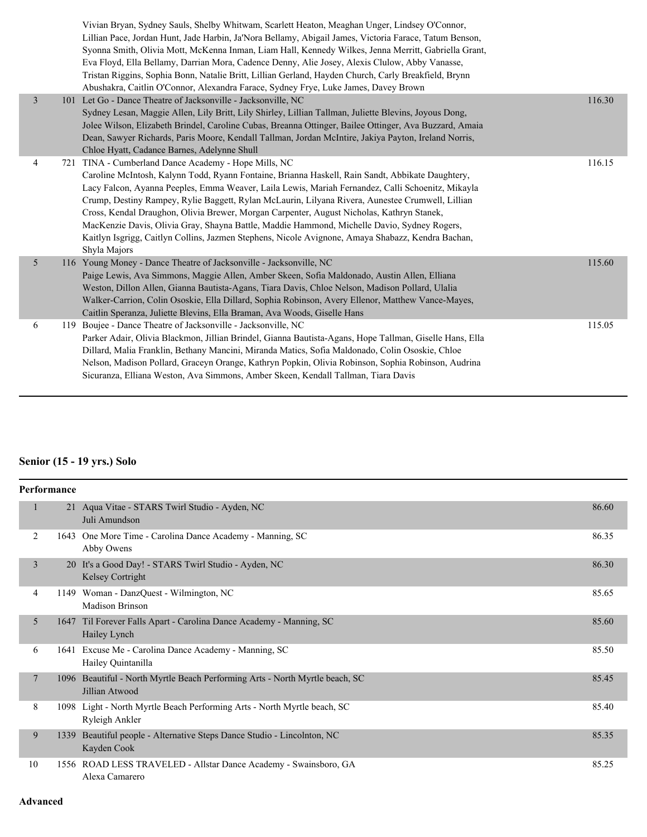|                | Vivian Bryan, Sydney Sauls, Shelby Whitwam, Scarlett Heaton, Meaghan Unger, Lindsey O'Connor,<br>Lillian Pace, Jordan Hunt, Jade Harbin, Ja'Nora Bellamy, Abigail James, Victoria Farace, Tatum Benson,<br>Syonna Smith, Olivia Mott, McKenna Inman, Liam Hall, Kennedy Wilkes, Jenna Merritt, Gabriella Grant,<br>Eva Floyd, Ella Bellamy, Darrian Mora, Cadence Denny, Alie Josey, Alexis Clulow, Abby Vanasse,<br>Tristan Riggins, Sophia Bonn, Natalie Britt, Lillian Gerland, Hayden Church, Carly Breakfield, Brynn<br>Abushakra, Caitlin O'Connor, Alexandra Farace, Sydney Frye, Luke James, Davey Brown                                                                   |        |
|----------------|------------------------------------------------------------------------------------------------------------------------------------------------------------------------------------------------------------------------------------------------------------------------------------------------------------------------------------------------------------------------------------------------------------------------------------------------------------------------------------------------------------------------------------------------------------------------------------------------------------------------------------------------------------------------------------|--------|
| $\overline{3}$ | 101 Let Go - Dance Theatre of Jacksonville - Jacksonville, NC<br>Sydney Lesan, Maggie Allen, Lily Britt, Lily Shirley, Lillian Tallman, Juliette Blevins, Joyous Dong,<br>Jolee Wilson, Elizabeth Brindel, Caroline Cubas, Breanna Ottinger, Bailee Ottinger, Ava Buzzard, Amaia<br>Dean, Sawyer Richards, Paris Moore, Kendall Tallman, Jordan McIntire, Jakiya Payton, Ireland Norris,<br>Chloe Hyatt, Cadance Barnes, Adelynne Shull                                                                                                                                                                                                                                            | 116.30 |
| $\overline{4}$ | 721 TINA - Cumberland Dance Academy - Hope Mills, NC<br>Caroline McIntosh, Kalynn Todd, Ryann Fontaine, Brianna Haskell, Rain Sandt, Abbikate Daughtery,<br>Lacy Falcon, Ayanna Peeples, Emma Weaver, Laila Lewis, Mariah Fernandez, Calli Schoenitz, Mikayla<br>Crump, Destiny Rampey, Rylie Baggett, Rylan McLaurin, Lilyana Rivera, Aunestee Crumwell, Lillian<br>Cross, Kendal Draughon, Olivia Brewer, Morgan Carpenter, August Nicholas, Kathryn Stanek,<br>MacKenzie Davis, Olivia Gray, Shayna Battle, Maddie Hammond, Michelle Davio, Sydney Rogers,<br>Kaitlyn Isgrigg, Caitlyn Collins, Jazmen Stephens, Nicole Avignone, Amaya Shabazz, Kendra Bachan,<br>Shyla Majors | 116.15 |
| 5              | 116 Young Money - Dance Theatre of Jacksonville - Jacksonville, NC<br>Paige Lewis, Ava Simmons, Maggie Allen, Amber Skeen, Sofia Maldonado, Austin Allen, Elliana<br>Weston, Dillon Allen, Gianna Bautista-Agans, Tiara Davis, Chloe Nelson, Madison Pollard, Ulalia<br>Walker-Carrion, Colin Ososkie, Ella Dillard, Sophia Robinson, Avery Ellenor, Matthew Vance-Mayes,<br>Caitlin Speranza, Juliette Blevins, Ella Braman, Ava Woods, Giselle Hans                                                                                                                                                                                                                              | 115.60 |
| 6              | 119 Boujee - Dance Theatre of Jacksonville - Jacksonville, NC<br>Parker Adair, Olivia Blackmon, Jillian Brindel, Gianna Bautista-Agans, Hope Tallman, Giselle Hans, Ella<br>Dillard, Malia Franklin, Bethany Mancini, Miranda Matics, Sofia Maldonado, Colin Ososkie, Chloe<br>Nelson, Madison Pollard, Graceyn Orange, Kathryn Popkin, Olivia Robinson, Sophia Robinson, Audrina<br>Sicuranza, Elliana Weston, Ava Simmons, Amber Skeen, Kendall Tallman, Tiara Davis                                                                                                                                                                                                             | 115.05 |

## **Senior (15 - 19 yrs.) Solo**

|                | Performance |                                                                                            |       |
|----------------|-------------|--------------------------------------------------------------------------------------------|-------|
|                |             | 21 Aqua Vitae - STARS Twirl Studio - Ayden, NC<br>Juli Amundson                            | 86.60 |
| 2              |             | 1643 One More Time - Carolina Dance Academy - Manning, SC<br>Abby Owens                    | 86.35 |
| $\overline{3}$ |             | 20 It's a Good Day! - STARS Twirl Studio - Ayden, NC<br>Kelsey Cortright                   | 86.30 |
| 4              |             | 1149 Woman - DanzQuest - Wilmington, NC<br><b>Madison Brinson</b>                          | 85.65 |
| 5              |             | 1647 Til Forever Falls Apart - Carolina Dance Academy - Manning, SC<br>Hailey Lynch        | 85.60 |
| 6              |             | 1641 Excuse Me - Carolina Dance Academy - Manning, SC<br>Hailey Quintanilla                | 85.50 |
| 7              | 1096        | Beautiful - North Myrtle Beach Performing Arts - North Myrtle beach, SC<br>Jillian Atwood  | 85.45 |
| 8              |             | 1098 Light - North Myrtle Beach Performing Arts - North Myrtle beach, SC<br>Ryleigh Ankler | 85.40 |
| 9              | 1339        | Beautiful people - Alternative Steps Dance Studio - Lincolnton, NC<br>Kayden Cook          | 85.35 |
| 10             |             | 1556 ROAD LESS TRAVELED - Allstar Dance Academy - Swainsboro, GA<br>Alexa Camarero         | 85.25 |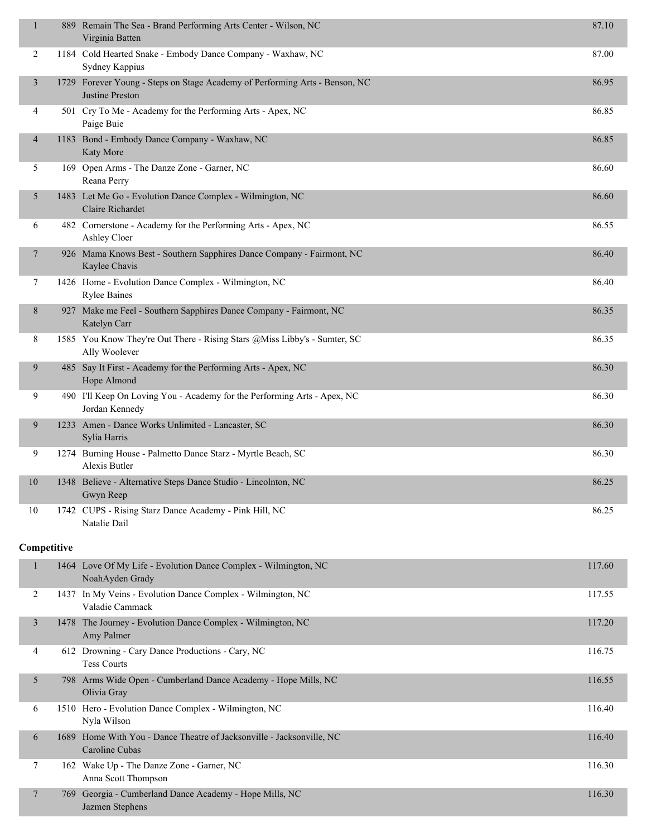| 1           | 889 Remain The Sea - Brand Performing Arts Center - Wilson, NC<br>Virginia Batten              | 87.10  |
|-------------|------------------------------------------------------------------------------------------------|--------|
| 2           | 1184 Cold Hearted Snake - Embody Dance Company - Waxhaw, NC<br>Sydney Kappius                  | 87.00  |
| 3           | 1729 Forever Young - Steps on Stage Academy of Performing Arts - Benson, NC<br>Justine Preston | 86.95  |
| 4           | 501 Cry To Me - Academy for the Performing Arts - Apex, NC<br>Paige Buie                       | 86.85  |
| 4           | 1183 Bond - Embody Dance Company - Waxhaw, NC<br>Katy More                                     | 86.85  |
| 5           | 169 Open Arms - The Danze Zone - Garner, NC<br>Reana Perry                                     | 86.60  |
| 5           | 1483 Let Me Go - Evolution Dance Complex - Wilmington, NC<br>Claire Richardet                  | 86.60  |
| 6           | 482 Cornerstone - Academy for the Performing Arts - Apex, NC<br>Ashley Cloer                   | 86.55  |
| 7           | 926 Mama Knows Best - Southern Sapphires Dance Company - Fairmont, NC<br>Kaylee Chavis         | 86.40  |
| 7           | 1426 Home - Evolution Dance Complex - Wilmington, NC<br><b>Rylee Baines</b>                    | 86.40  |
| 8           | 927 Make me Feel - Southern Sapphires Dance Company - Fairmont, NC<br>Katelyn Carr             | 86.35  |
| 8           | 1585 You Know They're Out There - Rising Stars @Miss Libby's - Sumter, SC<br>Ally Woolever     | 86.35  |
| 9           | 485 Say It First - Academy for the Performing Arts - Apex, NC<br>Hope Almond                   | 86.30  |
| 9           | 490 I'll Keep On Loving You - Academy for the Performing Arts - Apex, NC<br>Jordan Kennedy     | 86.30  |
| 9           | 1233 Amen - Dance Works Unlimited - Lancaster, SC<br>Sylia Harris                              | 86.30  |
| 9           | 1274 Burning House - Palmetto Dance Starz - Myrtle Beach, SC<br>Alexis Butler                  | 86.30  |
| 10          | 1348 Believe - Alternative Steps Dance Studio - Lincolnton, NC<br>Gwyn Reep                    | 86.25  |
| 10          | 1742 CUPS - Rising Starz Dance Academy - Pink Hill, NC<br>Natalie Dail                         | 86.25  |
| Competitive |                                                                                                |        |
| 1           | 1464 Love Of My Life - Evolution Dance Complex - Wilmington, NC<br>NoahAyden Grady             | 117.60 |
| 2           | 1437 In My Veins - Evolution Dance Complex - Wilmington, NC<br>Valadie Cammack                 | 117.55 |
| 3           | 1478 The Journey - Evolution Dance Complex - Wilmington, NC<br>Amy Palmer                      | 117.20 |
| 4           | 612 Drowning - Cary Dance Productions - Cary, NC<br><b>Tess Courts</b>                         | 116.75 |
| 5           | 798 Arms Wide Open - Cumberland Dance Academy - Hope Mills, NC<br>Olivia Gray                  | 116.55 |
| 6           | 1510 Hero - Evolution Dance Complex - Wilmington, NC<br>Nyla Wilson                            | 116.40 |
| 6           | 1689 Home With You - Dance Theatre of Jacksonville - Jacksonville, NC<br>Caroline Cubas        | 116.40 |
| 7           | 162 Wake Up - The Danze Zone - Garner, NC<br>Anna Scott Thompson                               | 116.30 |
| 7           | 769 Georgia - Cumberland Dance Academy - Hope Mills, NC<br>Jazmen Stephens                     | 116.30 |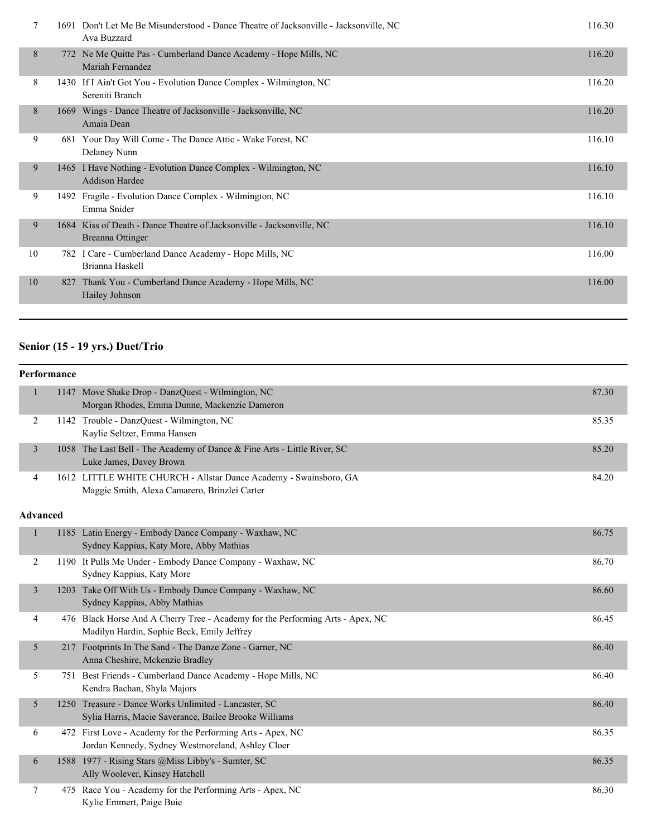| 7  |      | 1691 Don't Let Me Be Misunderstood - Dance Theatre of Jacksonville - Jacksonville, NC<br>Ava Buzzard | 116.30 |
|----|------|------------------------------------------------------------------------------------------------------|--------|
| 8  |      | 772 Ne Me Quitte Pas - Cumberland Dance Academy - Hope Mills, NC<br>Mariah Fernandez                 | 116.20 |
| 8  |      | 1430 If I Ain't Got You - Evolution Dance Complex - Wilmington, NC<br>Sereniti Branch                | 116.20 |
| 8  |      | 1669 Wings - Dance Theatre of Jacksonville - Jacksonville, NC<br>Amaia Dean                          | 116.20 |
| 9  |      | 681 Your Day Will Come - The Dance Attic - Wake Forest, NC<br>Delaney Nunn                           | 116.10 |
| 9  |      | 1465 I Have Nothing - Evolution Dance Complex - Wilmington, NC<br><b>Addison Hardee</b>              | 116.10 |
| 9  | 1492 | Fragile - Evolution Dance Complex - Wilmington, NC<br>Emma Snider                                    | 116.10 |
| 9  |      | 1684 Kiss of Death - Dance Theatre of Jacksonville - Jacksonville, NC<br>Breanna Ottinger            | 116.10 |
| 10 |      | 782 I Care - Cumberland Dance Academy - Hope Mills, NC<br>Brianna Haskell                            | 116.00 |
| 10 | 827  | Thank You - Cumberland Dance Academy - Hope Mills, NC<br>Hailey Johnson                              | 116.00 |
|    |      |                                                                                                      |        |

## **Senior (15 - 19 yrs.) Duet/Trio**

|                 | Performance |                                                                                                                              |       |
|-----------------|-------------|------------------------------------------------------------------------------------------------------------------------------|-------|
| $\mathbf{1}$    |             | 1147 Move Shake Drop - DanzQuest - Wilmington, NC<br>Morgan Rhodes, Emma Dunne, Mackenzie Dameron                            | 87.30 |
| 2               |             | 1142 Trouble - DanzQuest - Wilmington, NC<br>Kaylie Seltzer, Emma Hansen                                                     | 85.35 |
| 3               |             | 1058 The Last Bell - The Academy of Dance & Fine Arts - Little River, SC<br>Luke James, Davey Brown                          | 85.20 |
| $\overline{4}$  |             | 1612 LITTLE WHITE CHURCH - Allstar Dance Academy - Swainsboro, GA<br>Maggie Smith, Alexa Camarero, Brinzlei Carter           | 84.20 |
| <b>Advanced</b> |             |                                                                                                                              |       |
| $\,1$           |             | 1185 Latin Energy - Embody Dance Company - Waxhaw, NC<br>Sydney Kappius, Katy More, Abby Mathias                             | 86.75 |
| 2               |             | 1190 It Pulls Me Under - Embody Dance Company - Waxhaw, NC<br>Sydney Kappius, Katy More                                      | 86.70 |
| 3               |             | 1203 Take Off With Us - Embody Dance Company - Waxhaw, NC<br>Sydney Kappius, Abby Mathias                                    | 86.60 |
| 4               |             | 476 Black Horse And A Cherry Tree - Academy for the Performing Arts - Apex, NC<br>Madilyn Hardin, Sophie Beck, Emily Jeffrey | 86.45 |
| 5               |             | 217 Footprints In The Sand - The Danze Zone - Garner, NC<br>Anna Cheshire, Mckenzie Bradley                                  | 86.40 |
| 5               |             | 751 Best Friends - Cumberland Dance Academy - Hope Mills, NC<br>Kendra Bachan, Shyla Majors                                  | 86.40 |
| 5               |             | 1250 Treasure - Dance Works Unlimited - Lancaster, SC<br>Sylia Harris, Macie Saverance, Bailee Brooke Williams               | 86.40 |
| 6               |             | 472 First Love - Academy for the Performing Arts - Apex, NC<br>Jordan Kennedy, Sydney Westmoreland, Ashley Cloer             | 86.35 |
| 6               |             | 1588 1977 - Rising Stars @Miss Libby's - Sumter, SC<br>Ally Woolever, Kinsey Hatchell                                        | 86.35 |
| 7               |             | 475 Race You - Academy for the Performing Arts - Apex, NC<br>Kylie Emmert, Paige Buie                                        | 86.30 |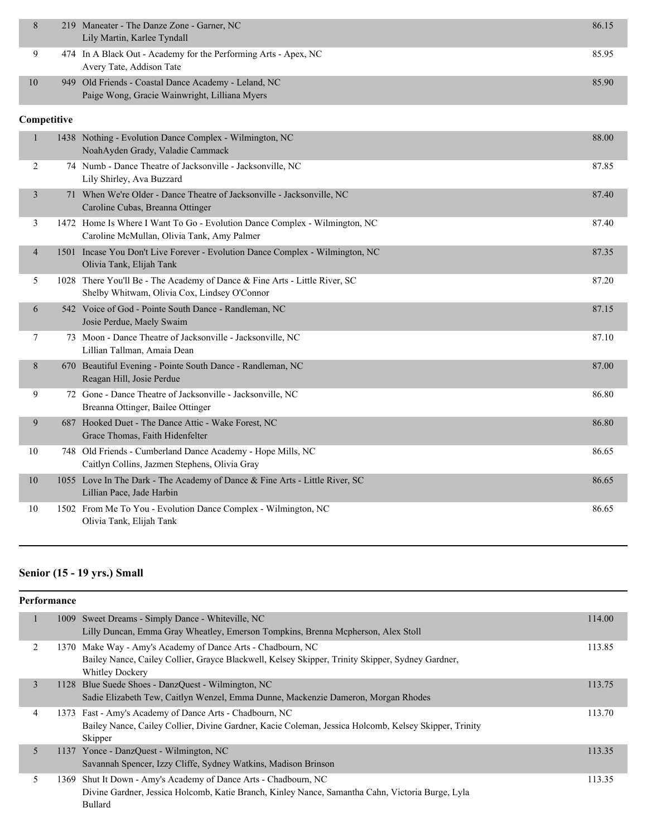|    | 219 Maneater - The Danze Zone - Garner, NC<br>Lily Martin, Karlee Tyndall                             | 86.15 |
|----|-------------------------------------------------------------------------------------------------------|-------|
|    | 474 In A Black Out - Academy for the Performing Arts - Apex, NC<br>Avery Tate, Addison Tate           | 85.95 |
| 10 | 949 Old Friends - Coastal Dance Academy - Leland, NC<br>Paige Wong, Gracie Wainwright, Lilliana Myers | 85.90 |
|    |                                                                                                       |       |

## **Competitive**

| 1  |     | 1438 Nothing - Evolution Dance Complex - Wilmington, NC<br>NoahAyden Grady, Valadie Cammack                                | 88.00 |
|----|-----|----------------------------------------------------------------------------------------------------------------------------|-------|
| 2  |     | 74 Numb - Dance Theatre of Jacksonville - Jacksonville, NC<br>Lily Shirley, Ava Buzzard                                    | 87.85 |
| 3  |     | 71 When We're Older - Dance Theatre of Jacksonville - Jacksonville, NC<br>Caroline Cubas, Breanna Ottinger                 | 87.40 |
| 3  |     | 1472 Home Is Where I Want To Go - Evolution Dance Complex - Wilmington, NC<br>Caroline McMullan, Olivia Tank, Amy Palmer   | 87.40 |
| 4  |     | 1501 Incase You Don't Live Forever - Evolution Dance Complex - Wilmington, NC<br>Olivia Tank, Elijah Tank                  | 87.35 |
| 5  |     | 1028 There You'll Be - The Academy of Dance & Fine Arts - Little River, SC<br>Shelby Whitwam, Olivia Cox, Lindsey O'Connor | 87.20 |
| 6  |     | 542 Voice of God - Pointe South Dance - Randleman, NC<br>Josie Perdue, Maely Swaim                                         | 87.15 |
| 7  |     | 73 Moon - Dance Theatre of Jacksonville - Jacksonville, NC<br>Lillian Tallman, Amaia Dean                                  | 87.10 |
| 8  | 670 | Beautiful Evening - Pointe South Dance - Randleman, NC<br>Reagan Hill, Josie Perdue                                        | 87.00 |
| 9  |     | 72 Gone - Dance Theatre of Jacksonville - Jacksonville, NC<br>Breanna Ottinger, Bailee Ottinger                            | 86.80 |
| 9  |     | 687 Hooked Duet - The Dance Attic - Wake Forest, NC<br>Grace Thomas, Faith Hidenfelter                                     | 86.80 |
| 10 | 748 | Old Friends - Cumberland Dance Academy - Hope Mills, NC<br>Caitlyn Collins, Jazmen Stephens, Olivia Gray                   | 86.65 |
| 10 |     | 1055 Love In The Dark - The Academy of Dance & Fine Arts - Little River, SC<br>Lillian Pace, Jade Harbin                   | 86.65 |
| 10 |     | 1502 From Me To You - Evolution Dance Complex - Wilmington, NC<br>Olivia Tank, Elijah Tank                                 | 86.65 |

## **Senior (15 - 19 yrs.) Small**

| <b>Performance</b> |  |                                                                                                                                                                                           |        |  |
|--------------------|--|-------------------------------------------------------------------------------------------------------------------------------------------------------------------------------------------|--------|--|
| 1                  |  | 1009 Sweet Dreams - Simply Dance - Whiteville, NC<br>Lilly Duncan, Emma Gray Wheatley, Emerson Tompkins, Brenna Mcpherson, Alex Stoll                                                     | 114.00 |  |
| 2                  |  | 1370 Make Way - Amy's Academy of Dance Arts - Chadbourn, NC<br>Bailey Nance, Cailey Collier, Grayce Blackwell, Kelsey Skipper, Trinity Skipper, Sydney Gardner,<br><b>Whitley Dockery</b> | 113.85 |  |
| 3                  |  | 1128 Blue Suede Shoes - DanzQuest - Wilmington, NC<br>Sadie Elizabeth Tew, Caitlyn Wenzel, Emma Dunne, Mackenzie Dameron, Morgan Rhodes                                                   | 113.75 |  |
| 4                  |  | 1373 Fast - Amy's Academy of Dance Arts - Chadbourn, NC<br>Bailey Nance, Cailey Collier, Divine Gardner, Kacie Coleman, Jessica Holcomb, Kelsey Skipper, Trinity<br>Skipper               | 113.70 |  |
| 5                  |  | 1137 Yonce - DanzQuest - Wilmington, NC<br>Savannah Spencer, Izzy Cliffe, Sydney Watkins, Madison Brinson                                                                                 | 113.35 |  |
| 5                  |  | 1369 Shut It Down - Amy's Academy of Dance Arts - Chadbourn, NC<br>Divine Gardner, Jessica Holcomb, Katie Branch, Kinley Nance, Samantha Cahn, Victoria Burge, Lyla<br><b>Bullard</b>     | 113.35 |  |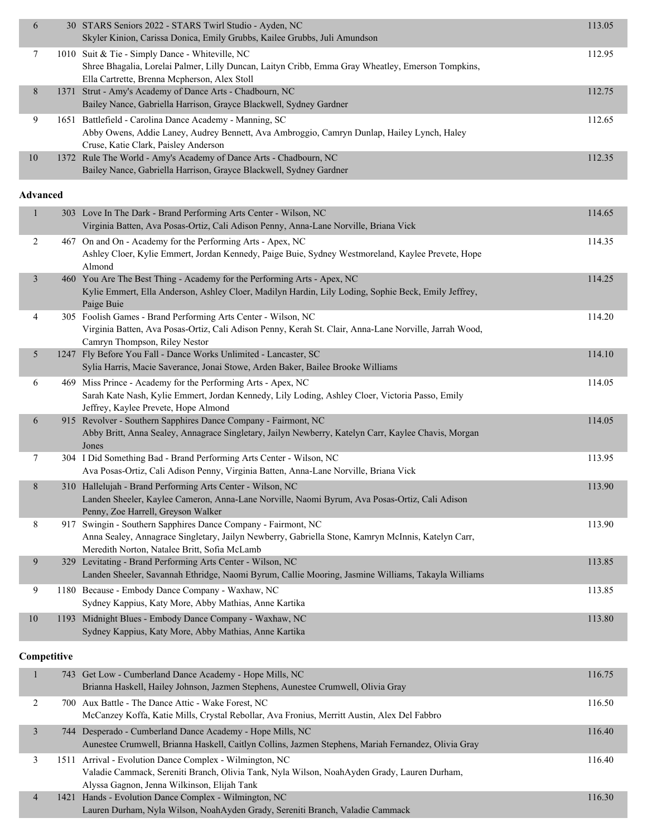| 6               | 30 STARS Seniors 2022 - STARS Twirl Studio - Ayden, NC<br>Skyler Kinion, Carissa Donica, Emily Grubbs, Kailee Grubbs, Juli Amundson                                                                                 | 113.05 |
|-----------------|---------------------------------------------------------------------------------------------------------------------------------------------------------------------------------------------------------------------|--------|
| 7               | 1010 Suit & Tie - Simply Dance - Whiteville, NC<br>Shree Bhagalia, Lorelai Palmer, Lilly Duncan, Laityn Cribb, Emma Gray Wheatley, Emerson Tompkins,<br>Ella Cartrette, Brenna Mcpherson, Alex Stoll                | 112.95 |
| $8\phantom{.}$  | 1371 Strut - Amy's Academy of Dance Arts - Chadbourn, NC<br>Bailey Nance, Gabriella Harrison, Grayce Blackwell, Sydney Gardner                                                                                      | 112.75 |
| 9               | 1651 Battlefield - Carolina Dance Academy - Manning, SC<br>Abby Owens, Addie Laney, Audrey Bennett, Ava Ambroggio, Camryn Dunlap, Hailey Lynch, Haley<br>Cruse, Katie Clark, Paisley Anderson                       | 112.65 |
| 10              | 1372 Rule The World - Amy's Academy of Dance Arts - Chadbourn, NC<br>Bailey Nance, Gabriella Harrison, Grayce Blackwell, Sydney Gardner                                                                             | 112.35 |
| <b>Advanced</b> |                                                                                                                                                                                                                     |        |
| 1               | 303 Love In The Dark - Brand Performing Arts Center - Wilson, NC<br>Virginia Batten, Ava Posas-Ortiz, Cali Adison Penny, Anna-Lane Norville, Briana Vick                                                            | 114.65 |
| $\overline{2}$  | 467 On and On - Academy for the Performing Arts - Apex, NC<br>Ashley Cloer, Kylie Emmert, Jordan Kennedy, Paige Buie, Sydney Westmoreland, Kaylee Prevete, Hope<br>Almond                                           | 114.35 |
| $\mathfrak{Z}$  | 460 You Are The Best Thing - Academy for the Performing Arts - Apex, NC<br>Kylie Emmert, Ella Anderson, Ashley Cloer, Madilyn Hardin, Lily Loding, Sophie Beck, Emily Jeffrey,<br>Paige Buie                        | 114.25 |
| 4               | 305 Foolish Games - Brand Performing Arts Center - Wilson, NC<br>Virginia Batten, Ava Posas-Ortiz, Cali Adison Penny, Kerah St. Clair, Anna-Lane Norville, Jarrah Wood,<br>Camryn Thompson, Riley Nestor            | 114.20 |
| 5               | 1247 Fly Before You Fall - Dance Works Unlimited - Lancaster, SC<br>Sylia Harris, Macie Saverance, Jonai Stowe, Arden Baker, Bailee Brooke Williams                                                                 | 114.10 |
| 6               | 469 Miss Prince - Academy for the Performing Arts - Apex, NC<br>Sarah Kate Nash, Kylie Emmert, Jordan Kennedy, Lily Loding, Ashley Cloer, Victoria Passo, Emily<br>Jeffrey, Kaylee Prevete, Hope Almond             | 114.05 |
| 6               | 915 Revolver - Southern Sapphires Dance Company - Fairmont, NC<br>Abby Britt, Anna Sealey, Annagrace Singletary, Jailyn Newberry, Katelyn Carr, Kaylee Chavis, Morgan<br>Jones                                      | 114.05 |
| 7               | 304 I Did Something Bad - Brand Performing Arts Center - Wilson, NC<br>Ava Posas-Ortiz, Cali Adison Penny, Virginia Batten, Anna-Lane Norville, Briana Vick                                                         | 113.95 |
| 8               | 310 Hallelujah - Brand Performing Arts Center - Wilson, NC<br>Landen Sheeler, Kaylee Cameron, Anna-Lane Norville, Naomi Byrum, Ava Posas-Ortiz, Cali Adison<br>Penny, Zoe Harrell, Greyson Walker                   | 113.90 |
| 8               | 917 Swingin - Southern Sapphires Dance Company - Fairmont, NC<br>Anna Sealey, Annagrace Singletary, Jailyn Newberry, Gabriella Stone, Kamryn McInnis, Katelyn Carr,<br>Meredith Norton, Natalee Britt, Sofia McLamb | 113.90 |
| 9               | 329 Levitating - Brand Performing Arts Center - Wilson, NC<br>Landen Sheeler, Savannah Ethridge, Naomi Byrum, Callie Mooring, Jasmine Williams, Takayla Williams                                                    | 113.85 |
| 9               | 1180 Because - Embody Dance Company - Waxhaw, NC<br>Sydney Kappius, Katy More, Abby Mathias, Anne Kartika                                                                                                           | 113.85 |
| $10\,$          | 1193 Midnight Blues - Embody Dance Company - Waxhaw, NC<br>Sydney Kappius, Katy More, Abby Mathias, Anne Kartika                                                                                                    | 113.80 |
| Competitive     |                                                                                                                                                                                                                     |        |
| 1               | 743 Get Low - Cumberland Dance Academy - Hope Mills, NC<br>Brianna Haskell, Hailey Johnson, Jazmen Stephens, Aunestee Crumwell, Olivia Gray                                                                         | 116.75 |
| 2               | 700 Aux Battle - The Dance Attic - Wake Forest, NC<br>McCanzey Koffa, Katie Mills, Crystal Rebollar, Ava Fronius, Merritt Austin, Alex Del Fabbro                                                                   | 116.50 |
| 3               | 744 Desperado - Cumberland Dance Academy - Hope Mills, NC<br>Aunestee Crumwell, Brianna Haskell, Caitlyn Collins, Jazmen Stephens, Mariah Fernandez, Olivia Gray                                                    | 116.40 |
| 3               | 1511 Arrival - Evolution Dance Complex - Wilmington, NC<br>Valadie Cammack, Sereniti Branch, Olivia Tank, Nyla Wilson, NoahAyden Grady, Lauren Durham,<br>Alyssa Gagnon, Jenna Wilkinson, Elijah Tank               | 116.40 |
| $\overline{4}$  | 1421 Hands - Evolution Dance Complex - Wilmington, NC                                                                                                                                                               | 116.30 |

Lauren Durham, Nyla Wilson, NoahAyden Grady, Sereniti Branch, Valadie Cammack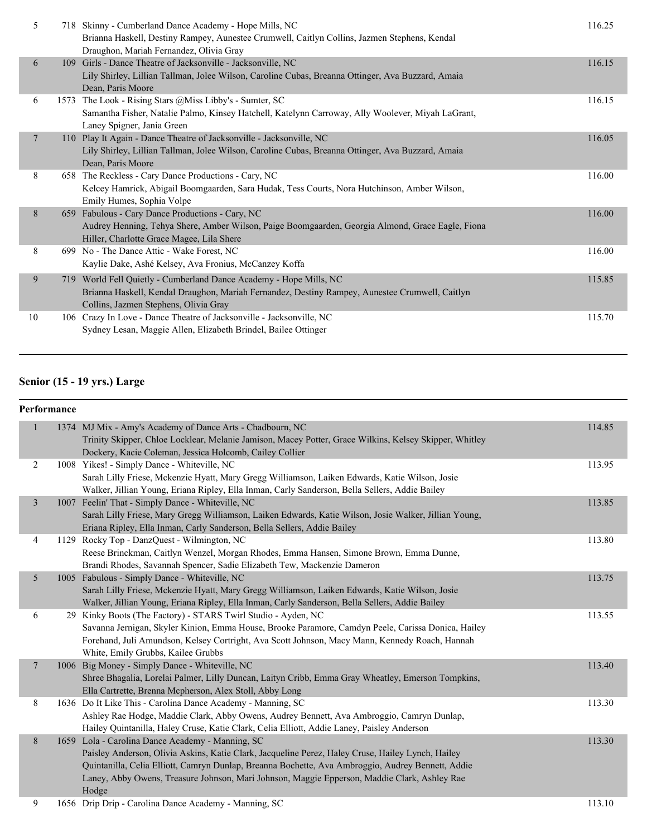| 5              | 718 Skinny - Cumberland Dance Academy - Hope Mills, NC<br>Brianna Haskell, Destiny Rampey, Aunestee Crumwell, Caitlyn Collins, Jazmen Stephens, Kendal<br>Draughon, Mariah Fernandez, Olivia Gray             | 116.25 |
|----------------|---------------------------------------------------------------------------------------------------------------------------------------------------------------------------------------------------------------|--------|
| 6              | 109 Girls - Dance Theatre of Jacksonville - Jacksonville, NC<br>Lily Shirley, Lillian Tallman, Jolee Wilson, Caroline Cubas, Breanna Ottinger, Ava Buzzard, Amaia<br>Dean, Paris Moore                        | 116.15 |
| 6              | 1573 The Look - Rising Stars @Miss Libby's - Sumter, SC<br>Samantha Fisher, Natalie Palmo, Kinsey Hatchell, Katelynn Carroway, Ally Woolever, Miyah LaGrant,<br>Laney Spigner, Jania Green                    | 116.15 |
| $\overline{7}$ | 110 Play It Again - Dance Theatre of Jacksonville - Jacksonville, NC<br>Lily Shirley, Lillian Tallman, Jolee Wilson, Caroline Cubas, Breanna Ottinger, Ava Buzzard, Amaia<br>Dean, Paris Moore                | 116.05 |
| 8              | 658 The Reckless - Cary Dance Productions - Cary, NC<br>Kelcey Hamrick, Abigail Boomgaarden, Sara Hudak, Tess Courts, Nora Hutchinson, Amber Wilson,<br>Emily Humes, Sophia Volpe                             | 116.00 |
| 8              | 659 Fabulous - Cary Dance Productions - Cary, NC<br>Audrey Henning, Tehya Shere, Amber Wilson, Paige Boomgaarden, Georgia Almond, Grace Eagle, Fiona<br>Hiller, Charlotte Grace Magee, Lila Shere             | 116.00 |
| 8              | 699 No - The Dance Attic - Wake Forest, NC<br>Kaylie Dake, Ashé Kelsey, Ava Fronius, McCanzey Koffa                                                                                                           | 116.00 |
| 9              | 719 World Fell Quietly - Cumberland Dance Academy - Hope Mills, NC<br>Brianna Haskell, Kendal Draughon, Mariah Fernandez, Destiny Rampey, Aunestee Crumwell, Caitlyn<br>Collins, Jazmen Stephens, Olivia Gray | 115.85 |
| 10             | 106 Crazy In Love - Dance Theatre of Jacksonville - Jacksonville, NC<br>Sydney Lesan, Maggie Allen, Elizabeth Brindel, Bailee Ottinger                                                                        | 115.70 |

## **Senior (15 - 19 yrs.) Large**

| Performance    |                                                                                                                                                                                                                                                                                                                                                                     |        |
|----------------|---------------------------------------------------------------------------------------------------------------------------------------------------------------------------------------------------------------------------------------------------------------------------------------------------------------------------------------------------------------------|--------|
| $\mathbf{1}$   | 1374 MJ Mix - Amy's Academy of Dance Arts - Chadbourn, NC<br>Trinity Skipper, Chloe Locklear, Melanie Jamison, Macey Potter, Grace Wilkins, Kelsey Skipper, Whitley<br>Dockery, Kacie Coleman, Jessica Holcomb, Cailey Collier                                                                                                                                      | 114.85 |
| $\overline{2}$ | 1008 Yikes! - Simply Dance - Whiteville, NC<br>Sarah Lilly Friese, Mckenzie Hyatt, Mary Gregg Williamson, Laiken Edwards, Katie Wilson, Josie<br>Walker, Jillian Young, Eriana Ripley, Ella Inman, Carly Sanderson, Bella Sellers, Addie Bailey                                                                                                                     | 113.95 |
| $\overline{3}$ | 1007 Feelin' That - Simply Dance - Whiteville, NC<br>Sarah Lilly Friese, Mary Gregg Williamson, Laiken Edwards, Katie Wilson, Josie Walker, Jillian Young,<br>Eriana Ripley, Ella Inman, Carly Sanderson, Bella Sellers, Addie Bailey                                                                                                                               | 113.85 |
| 4              | 1129 Rocky Top - DanzQuest - Wilmington, NC<br>Reese Brinckman, Caitlyn Wenzel, Morgan Rhodes, Emma Hansen, Simone Brown, Emma Dunne,<br>Brandi Rhodes, Savannah Spencer, Sadie Elizabeth Tew, Mackenzie Dameron                                                                                                                                                    | 113.80 |
| 5 <sup>5</sup> | 1005 Fabulous - Simply Dance - Whiteville, NC<br>Sarah Lilly Friese, Mckenzie Hyatt, Mary Gregg Williamson, Laiken Edwards, Katie Wilson, Josie<br>Walker, Jillian Young, Eriana Ripley, Ella Inman, Carly Sanderson, Bella Sellers, Addie Bailey                                                                                                                   | 113.75 |
| 6              | 29 Kinky Boots (The Factory) - STARS Twirl Studio - Ayden, NC<br>Savanna Jernigan, Skyler Kinion, Emma House, Brooke Paramore, Camdyn Peele, Carissa Donica, Hailey<br>Forehand, Juli Amundson, Kelsey Cortright, Ava Scott Johnson, Macy Mann, Kennedy Roach, Hannah<br>White, Emily Grubbs, Kailee Grubbs                                                         | 113.55 |
| 7              | 1006 Big Money - Simply Dance - Whiteville, NC<br>Shree Bhagalia, Lorelai Palmer, Lilly Duncan, Laityn Cribb, Emma Gray Wheatley, Emerson Tompkins,<br>Ella Cartrette, Brenna Mcpherson, Alex Stoll, Abby Long                                                                                                                                                      | 113.40 |
| 8              | 1636 Do It Like This - Carolina Dance Academy - Manning, SC<br>Ashley Rae Hodge, Maddie Clark, Abby Owens, Audrey Bennett, Ava Ambroggio, Camryn Dunlap,<br>Hailey Quintanilla, Haley Cruse, Katie Clark, Celia Elliott, Addie Laney, Paisley Anderson                                                                                                              | 113.30 |
| 8              | 1659 Lola - Carolina Dance Academy - Manning, SC<br>Paisley Anderson, Olivia Askins, Katie Clark, Jacqueline Perez, Haley Cruse, Hailey Lynch, Hailey<br>Quintanilla, Celia Elliott, Camryn Dunlap, Breanna Bochette, Ava Ambroggio, Audrey Bennett, Addie<br>Laney, Abby Owens, Treasure Johnson, Mari Johnson, Maggie Epperson, Maddie Clark, Ashley Rae<br>Hodge | 113.30 |

9 1656 Drip Drip - Carolina Dance Academy - Manning, SC 113.10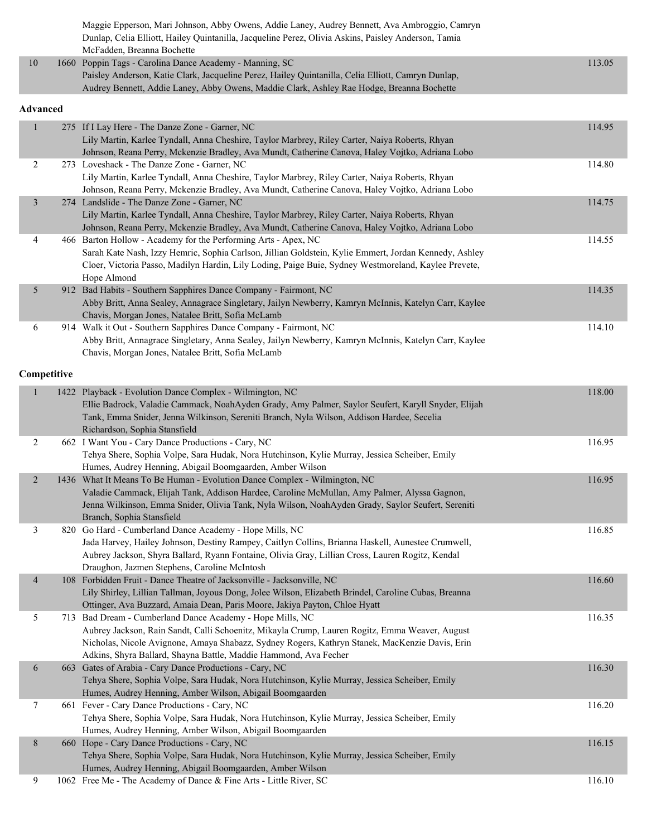|                          | Maggie Epperson, Mari Johnson, Abby Owens, Addie Laney, Audrey Bennett, Ava Ambroggio, Camryn<br>Dunlap, Celia Elliott, Hailey Quintanilla, Jacqueline Perez, Olivia Askins, Paisley Anderson, Tamia<br>McFadden, Breanna Bochette                                                                                                |        |
|--------------------------|-----------------------------------------------------------------------------------------------------------------------------------------------------------------------------------------------------------------------------------------------------------------------------------------------------------------------------------|--------|
| $10\,$                   | 1660 Poppin Tags - Carolina Dance Academy - Manning, SC<br>Paisley Anderson, Katie Clark, Jacqueline Perez, Hailey Quintanilla, Celia Elliott, Camryn Dunlap,<br>Audrey Bennett, Addie Laney, Abby Owens, Maddie Clark, Ashley Rae Hodge, Breanna Bochette                                                                        | 113.05 |
| <b>Advanced</b>          |                                                                                                                                                                                                                                                                                                                                   |        |
| $\mathbf{1}$             | 275 If I Lay Here - The Danze Zone - Garner, NC<br>Lily Martin, Karlee Tyndall, Anna Cheshire, Taylor Marbrey, Riley Carter, Naiya Roberts, Rhyan<br>Johnson, Reana Perry, Mckenzie Bradley, Ava Mundt, Catherine Canova, Haley Vojtko, Adriana Lobo                                                                              | 114.95 |
| $\overline{2}$           | 273 Loveshack - The Danze Zone - Garner, NC<br>Lily Martin, Karlee Tyndall, Anna Cheshire, Taylor Marbrey, Riley Carter, Naiya Roberts, Rhyan<br>Johnson, Reana Perry, Mckenzie Bradley, Ava Mundt, Catherine Canova, Haley Vojtko, Adriana Lobo                                                                                  | 114.80 |
| $\overline{\mathbf{3}}$  | 274 Landslide - The Danze Zone - Garner, NC<br>Lily Martin, Karlee Tyndall, Anna Cheshire, Taylor Marbrey, Riley Carter, Naiya Roberts, Rhyan<br>Johnson, Reana Perry, Mckenzie Bradley, Ava Mundt, Catherine Canova, Haley Vojtko, Adriana Lobo                                                                                  | 114.75 |
| 4                        | 466 Barton Hollow - Academy for the Performing Arts - Apex, NC<br>Sarah Kate Nash, Izzy Hemric, Sophia Carlson, Jillian Goldstein, Kylie Emmert, Jordan Kennedy, Ashley<br>Cloer, Victoria Passo, Madilyn Hardin, Lily Loding, Paige Buie, Sydney Westmoreland, Kaylee Prevete,<br>Hope Almond                                    | 114.55 |
| 5                        | 912 Bad Habits - Southern Sapphires Dance Company - Fairmont, NC<br>Abby Britt, Anna Sealey, Annagrace Singletary, Jailyn Newberry, Kamryn McInnis, Katelyn Carr, Kaylee<br>Chavis, Morgan Jones, Natalee Britt, Sofia McLamb                                                                                                     | 114.35 |
| 6                        | 914 Walk it Out - Southern Sapphires Dance Company - Fairmont, NC<br>Abby Britt, Annagrace Singletary, Anna Sealey, Jailyn Newberry, Kamryn McInnis, Katelyn Carr, Kaylee<br>Chavis, Morgan Jones, Natalee Britt, Sofia McLamb                                                                                                    | 114.10 |
| Competitive              |                                                                                                                                                                                                                                                                                                                                   |        |
| $\mathbf{1}$             | 1422 Playback - Evolution Dance Complex - Wilmington, NC<br>Ellie Badrock, Valadie Cammack, NoahAyden Grady, Amy Palmer, Saylor Seufert, Karyll Snyder, Elijah<br>Tank, Emma Snider, Jenna Wilkinson, Sereniti Branch, Nyla Wilson, Addison Hardee, Secelia<br>Richardson, Sophia Stansfield                                      | 118.00 |
| 2                        | 662 I Want You - Cary Dance Productions - Cary, NC<br>Tehya Shere, Sophia Volpe, Sara Hudak, Nora Hutchinson, Kylie Murray, Jessica Scheiber, Emily<br>Humes, Audrey Henning, Abigail Boomgaarden, Amber Wilson                                                                                                                   | 116.95 |
| $\overline{2}$           | 1436 What It Means To Be Human - Evolution Dance Complex - Wilmington, NC<br>Valadie Cammack, Elijah Tank, Addison Hardee, Caroline McMullan, Amy Palmer, Alyssa Gagnon.<br>Jenna Wilkinson, Emma Snider, Olivia Tank, Nyla Wilson, NoahAyden Grady, Saylor Seufert, Sereniti<br>Branch, Sophia Stansfield                        | 116.95 |
| 3                        | 820 Go Hard - Cumberland Dance Academy - Hope Mills, NC<br>Jada Harvey, Hailey Johnson, Destiny Rampey, Caitlyn Collins, Brianna Haskell, Aunestee Crumwell,<br>Aubrey Jackson, Shyra Ballard, Ryann Fontaine, Olivia Gray, Lillian Cross, Lauren Rogitz, Kendal<br>Draughon, Jazmen Stephens, Caroline McIntosh                  | 116.85 |
| $\overline{\mathcal{A}}$ | 108 Forbidden Fruit - Dance Theatre of Jacksonville - Jacksonville, NC<br>Lily Shirley, Lillian Tallman, Joyous Dong, Jolee Wilson, Elizabeth Brindel, Caroline Cubas, Breanna<br>Ottinger, Ava Buzzard, Amaia Dean, Paris Moore, Jakiya Payton, Chloe Hyatt                                                                      | 116.60 |
| 5                        | 713 Bad Dream - Cumberland Dance Academy - Hope Mills, NC<br>Aubrey Jackson, Rain Sandt, Calli Schoenitz, Mikayla Crump, Lauren Rogitz, Emma Weaver, August<br>Nicholas, Nicole Avignone, Amaya Shabazz, Sydney Rogers, Kathryn Stanek, MacKenzie Davis, Erin<br>Adkins, Shyra Ballard, Shayna Battle, Maddie Hammond, Ava Fecher | 116.35 |
| 6                        | 663 Gates of Arabia - Cary Dance Productions - Cary, NC<br>Tehya Shere, Sophia Volpe, Sara Hudak, Nora Hutchinson, Kylie Murray, Jessica Scheiber, Emily<br>Humes, Audrey Henning, Amber Wilson, Abigail Boomgaarden                                                                                                              | 116.30 |
| 7                        | 661 Fever - Cary Dance Productions - Cary, NC<br>Tehya Shere, Sophia Volpe, Sara Hudak, Nora Hutchinson, Kylie Murray, Jessica Scheiber, Emily<br>Humes, Audrey Henning, Amber Wilson, Abigail Boomgaarden                                                                                                                        | 116.20 |
| 8                        | 660 Hope - Cary Dance Productions - Cary, NC<br>Tehya Shere, Sophia Volpe, Sara Hudak, Nora Hutchinson, Kylie Murray, Jessica Scheiber, Emily<br>Humes, Audrey Henning, Abigail Boomgaarden, Amber Wilson                                                                                                                         | 116.15 |
| 9                        | 1062 Free Me - The Academy of Dance & Fine Arts - Little River, SC                                                                                                                                                                                                                                                                | 116.10 |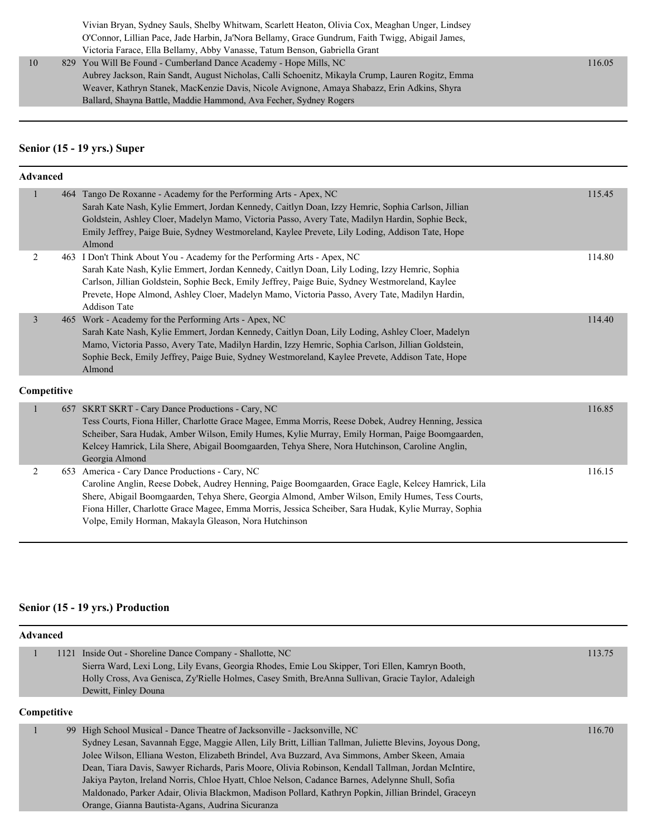Vivian Bryan, Sydney Sauls, Shelby Whitwam, Scarlett Heaton, Olivia Cox, Meaghan Unger, Lindsey O'Connor, Lillian Pace, Jade Harbin, Ja'Nora Bellamy, Grace Gundrum, Faith Twigg, Abigail James, Victoria Farace, Ella Bellamy, Abby Vanasse, Tatum Benson, Gabriella Grant 10 829 You Will Be Found - Cumberland Dance Academy - Hope Mills, NC 116.05

Aubrey Jackson, Rain Sandt, August Nicholas, Calli Schoenitz, Mikayla Crump, Lauren Rogitz, Emma Weaver, Kathryn Stanek, MacKenzie Davis, Nicole Avignone, Amaya Shabazz, Erin Adkins, Shyra Ballard, Shayna Battle, Maddie Hammond, Ava Fecher, Sydney Rogers

#### **Senior (15 - 19 yrs.) Super**

| <b>Advanced</b> |                                                                                                                                                                                                                                                                                                                                                                                                                            |        |
|-----------------|----------------------------------------------------------------------------------------------------------------------------------------------------------------------------------------------------------------------------------------------------------------------------------------------------------------------------------------------------------------------------------------------------------------------------|--------|
| 1               | 464 Tango De Roxanne - Academy for the Performing Arts - Apex, NC<br>Sarah Kate Nash, Kylie Emmert, Jordan Kennedy, Caitlyn Doan, Izzy Hemric, Sophia Carlson, Jillian<br>Goldstein, Ashley Cloer, Madelyn Mamo, Victoria Passo, Avery Tate, Madilyn Hardin, Sophie Beck,<br>Emily Jeffrey, Paige Buie, Sydney Westmoreland, Kaylee Prevete, Lily Loding, Addison Tate, Hope<br>Almond                                     | 115.45 |
| 2               | 463 I Don't Think About You - Academy for the Performing Arts - Apex, NC<br>Sarah Kate Nash, Kylie Emmert, Jordan Kennedy, Caitlyn Doan, Lily Loding, Izzy Hemric, Sophia<br>Carlson, Jillian Goldstein, Sophie Beck, Emily Jeffrey, Paige Buie, Sydney Westmoreland, Kaylee<br>Prevete, Hope Almond, Ashley Cloer, Madelyn Mamo, Victoria Passo, Avery Tate, Madilyn Hardin,<br><b>Addison Tate</b>                       | 114.80 |
| $\overline{3}$  | 465 Work - Academy for the Performing Arts - Apex, NC<br>Sarah Kate Nash, Kylie Emmert, Jordan Kennedy, Caitlyn Doan, Lily Loding, Ashley Cloer, Madelyn<br>Mamo, Victoria Passo, Avery Tate, Madilyn Hardin, Izzy Hemric, Sophia Carlson, Jillian Goldstein,<br>Sophie Beck, Emily Jeffrey, Paige Buie, Sydney Westmoreland, Kaylee Prevete, Addison Tate, Hope<br>Almond                                                 | 114.40 |
| Competitive     |                                                                                                                                                                                                                                                                                                                                                                                                                            |        |
| $\mathbf{1}$    | 657 SKRT SKRT - Cary Dance Productions - Cary, NC<br>Tess Courts, Fiona Hiller, Charlotte Grace Magee, Emma Morris, Reese Dobek, Audrey Henning, Jessica<br>Scheiber, Sara Hudak, Amber Wilson, Emily Humes, Kylie Murray, Emily Horman, Paige Boomgaarden,<br>Kelcey Hamrick, Lila Shere, Abigail Boomgaarden, Tehya Shere, Nora Hutchinson, Caroline Anglin,<br>Georgia Almond                                           | 116.85 |
| 2               | 653 America - Cary Dance Productions - Cary, NC<br>Caroline Anglin, Reese Dobek, Audrey Henning, Paige Boomgaarden, Grace Eagle, Kelcey Hamrick, Lila<br>Shere, Abigail Boomgaarden, Tehya Shere, Georgia Almond, Amber Wilson, Emily Humes, Tess Courts,<br>Fiona Hiller, Charlotte Grace Magee, Emma Morris, Jessica Scheiber, Sara Hudak, Kylie Murray, Sophia<br>Volpe, Emily Horman, Makayla Gleason, Nora Hutchinson | 116.15 |

#### **Senior (15 - 19 yrs.) Production**

| <b>Advanced</b> |                                                                                                        |        |  |  |
|-----------------|--------------------------------------------------------------------------------------------------------|--------|--|--|
|                 | 1121 Inside Out - Shoreline Dance Company - Shallotte, NC                                              | 113.75 |  |  |
|                 | Sierra Ward, Lexi Long, Lily Evans, Georgia Rhodes, Emie Lou Skipper, Tori Ellen, Kamryn Booth,        |        |  |  |
|                 | Holly Cross, Ava Genisca, Zy'Rielle Holmes, Casey Smith, BreAnna Sullivan, Gracie Taylor, Adaleigh     |        |  |  |
|                 | Dewitt, Finley Douna                                                                                   |        |  |  |
| Competitive     |                                                                                                        |        |  |  |
|                 | 99 High School Musical - Dance Theatre of Jacksonville - Jacksonville, NC                              | 116.70 |  |  |
|                 | Sydney Lesan, Savannah Egge, Maggie Allen, Lily Britt, Lillian Tallman, Juliette Blevins, Joyous Dong, |        |  |  |
|                 | Jolee Wilson, Elliana Weston, Elizabeth Brindel, Ava Buzzard, Ava Simmons, Amber Skeen, Amaia          |        |  |  |
|                 | Dean, Tiara Davis, Sawyer Richards, Paris Moore, Olivia Robinson, Kendall Tallman, Jordan McIntire,    |        |  |  |
|                 | Jakiya Payton, Ireland Norris, Chloe Hyatt, Chloe Nelson, Cadance Barnes, Adelynne Shull, Sofia        |        |  |  |
|                 | Maldonado, Parker Adair, Olivia Blackmon, Madison Pollard, Kathryn Popkin, Jillian Brindel, Graceyn    |        |  |  |
|                 | Orange, Gianna Bautista-Agans, Audrina Sicuranza                                                       |        |  |  |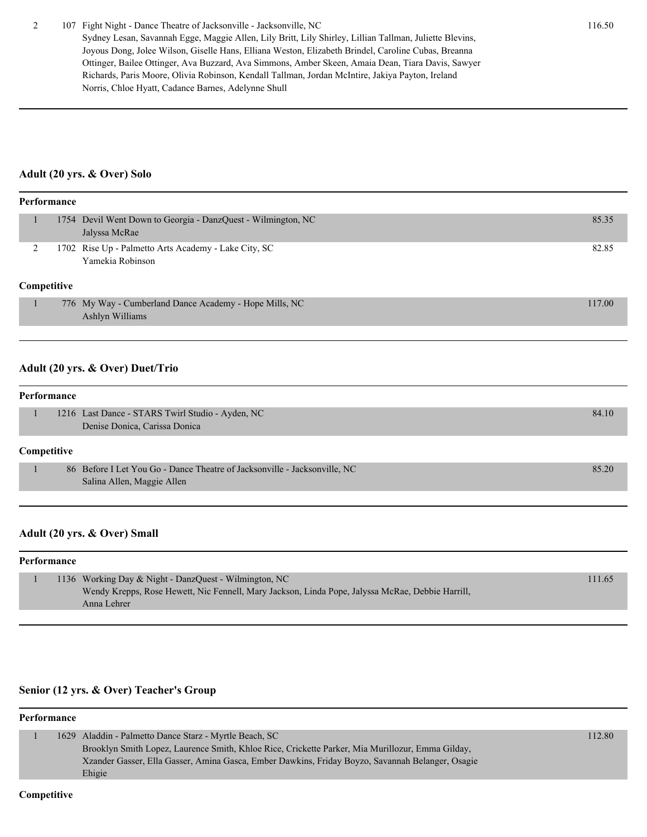2 107 Fight Night - Dance Theatre of Jacksonville - Jacksonville, NC 116.50 Sydney Lesan, Savannah Egge, Maggie Allen, Lily Britt, Lily Shirley, Lillian Tallman, Juliette Blevins, Joyous Dong, Jolee Wilson, Giselle Hans, Elliana Weston, Elizabeth Brindel, Caroline Cubas, Breanna Ottinger, Bailee Ottinger, Ava Buzzard, Ava Simmons, Amber Skeen, Amaia Dean, Tiara Davis, Sawyer Richards, Paris Moore, Olivia Robinson, Kendall Tallman, Jordan McIntire, Jakiya Payton, Ireland Norris, Chloe Hyatt, Cadance Barnes, Adelynne Shull

#### **Adult (20 yrs. & Over) Solo**

| <b>Performance</b> |  |                                                                               |        |
|--------------------|--|-------------------------------------------------------------------------------|--------|
|                    |  | 1754 Devil Went Down to Georgia - DanzQuest - Wilmington, NC<br>Jalyssa McRae | 85.35  |
| ↑                  |  | 1702 Rise Up - Palmetto Arts Academy - Lake City, SC<br>Yamekia Robinson      | 82.85  |
| Competitive        |  |                                                                               |        |
|                    |  | 776 My Way - Cumberland Dance Academy - Hope Mills, NC<br>Ashlyn Williams     | 117.00 |

#### **Adult (20 yrs. & Over) Duet/Trio**

#### **Performance**

|        |                     | 1216 Last Dance - STARS Twirl Studio - Ayden, NC<br>Denise Donica, Carissa Donica | 84.10 |
|--------|---------------------|-----------------------------------------------------------------------------------|-------|
| $\sim$ | $\cdot \cdot \cdot$ |                                                                                   |       |

#### **Competitive**

| 86 Before I Let You Go - Dance Theatre of Jacksonville - Jacksonville, NC | 85.20 |
|---------------------------------------------------------------------------|-------|
| Salina Allen, Maggie Allen                                                |       |

#### **Adult (20 yrs. & Over) Small**

#### **Performance**

|  | 1136 Working Day & Night - DanzQuest - Wilmington, NC                                            | 111.65 |
|--|--------------------------------------------------------------------------------------------------|--------|
|  | Wendy Krepps, Rose Hewett, Nic Fennell, Mary Jackson, Linda Pope, Jalyssa McRae, Debbie Harrill, |        |
|  | Anna Lehrer                                                                                      |        |

#### **Senior (12 yrs. & Over) Teacher's Group**

#### **Performance**

| 1629 Aladdin - Palmetto Dance Starz - Myrtle Beach, SC                                           | 112.80 |
|--------------------------------------------------------------------------------------------------|--------|
| Brooklyn Smith Lopez, Laurence Smith, Khloe Rice, Crickette Parker, Mia Murillozur, Emma Gilday, |        |
| Xzander Gasser, Ella Gasser, Amina Gasca, Ember Dawkins, Friday Boyzo, Savannah Belanger, Osagie |        |
| Ehigie                                                                                           |        |